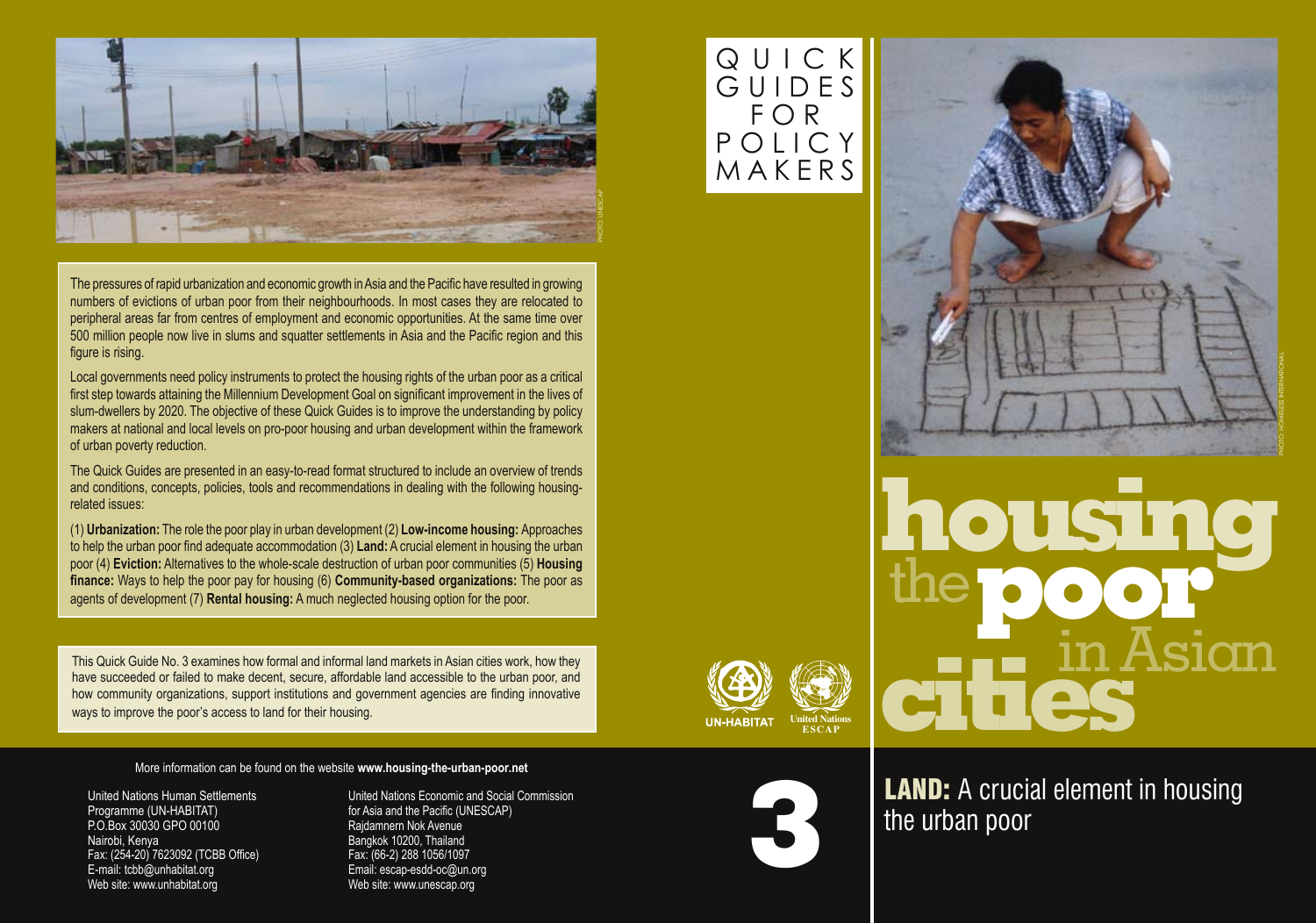

The pressures of rapid urbanization and economic growth in Asia and the Pacific have resulted in growing numbers of evictions of urban poor from their neighbourhoods. In most cases they are relocated to peripheral areas far from centres of employment and economic opportunities. At the same time over 500 million people now live in slums and squatter settlements in Asia and the Pacific region and this figure is rising.

Local governments need policy instruments to protect the housing rights of the urban poor as a critical first step towards attaining the Millennium Development Goal on significant improvement in the lives of slum-dwellers by 2020. The objective of these Quick Guides is to improve the understanding by policy makers at national and local levels on pro-poor housing and urban development within the framework of urban poverty reduction.

The Quick Guides are presented in an easy-to-read format structured to include an overview of trends and conditions, concepts, policies, tools and recommendations in dealing with the following housingrelated issues:

(1) **Urbanization:** The role the poor play in urban development (2) **Low-income housing:** Approaches to help the urban poor find adequate accommodation (3) **Land:** A crucial element in housing the urban poor (4) **Eviction:** Alternatives to the whole-scale destruction of urban poor communities (5) **Housing finance:** Ways to help the poor pay for housing (6) **Community-based organizations:** The poor as agents of development (7) **Rental housing:** A much neglected housing option for the poor.

This Quick Guide No. 3 examines how formal and informal land markets in Asian cities work, how they have succeeded or failed to make decent, secure, affordable land accessible to the urban poor, and how community organizations, support institutions and government agencies are finding innovative ways to improve the poor's access to land for their housing. **We are all the United Nationsalism in the United Nations** 

More information can be found on the website **www.housing-the-urban-poor.net**

United Nations Human Settlements Programme (UN-HABITAT) P.O.Box 30030 GPO 00100 Nairobi, Kenya Fax: (254-20) 7623092 (TCBB Office) E-mail: tcbb@unhabitat.org Web site: www.unhabitat.org

United Nations Economic and Social Commission for Asia and the Pacific (UNESCAP) Rajdamnern Nok Avenue Bangkok 10200, Thailand Fax: (66-2) 288 1056/1097 Email: escap-esdd-oc@un.org Web site: www.unescap.org

## Q U I C K G U I D E S F O R P O L I C Y **MAKFRS**





**LAND:** A crucial element in housing the urban poor

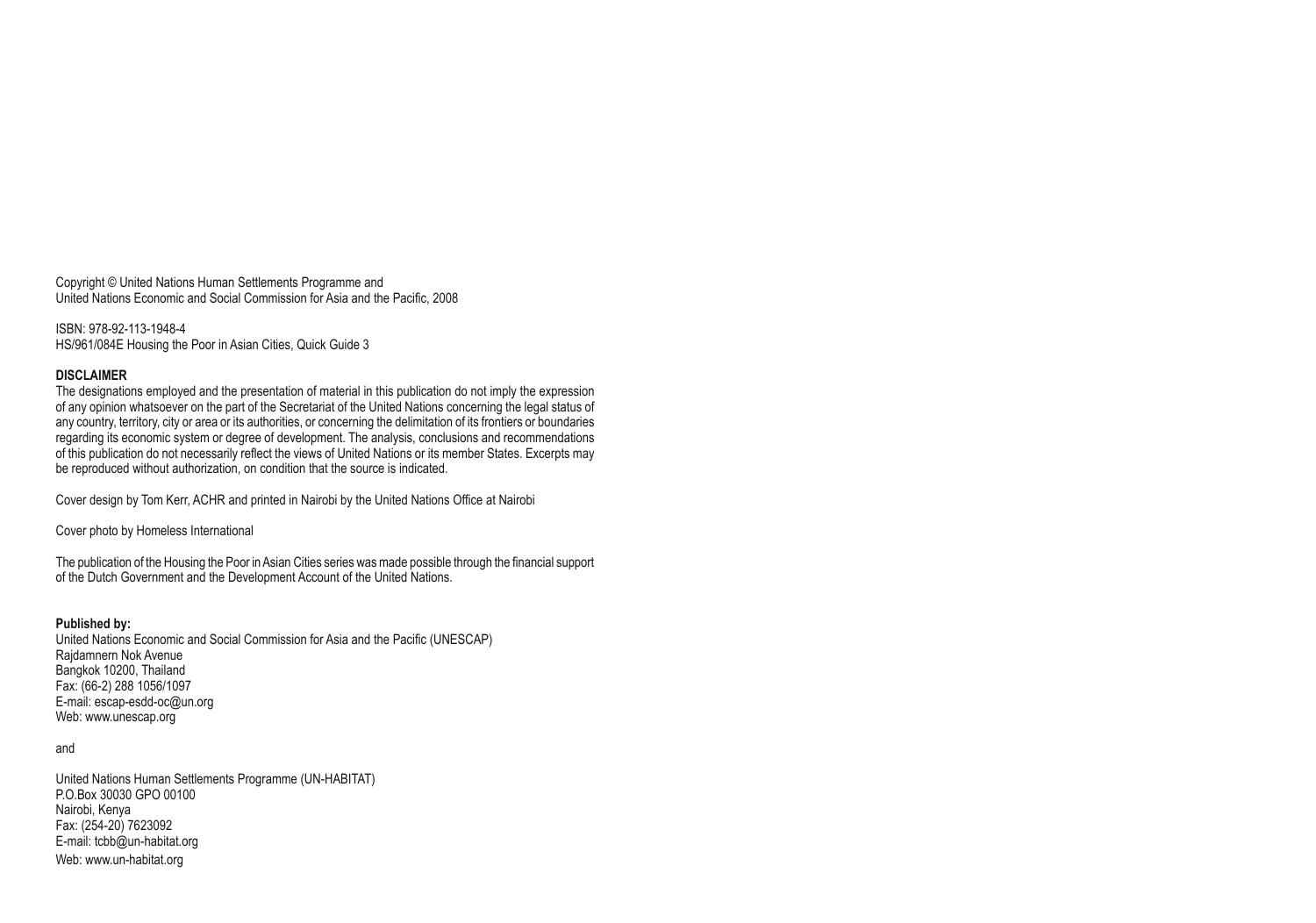Copyright © United Nations Human Settlements Programme and United Nations Economic and Social Commission for Asia and the Pacific, 2008

ISBN: 978-92-113-1948-4 HS/961/084E Housing the Poor in Asian Cities, Quick Guide 3

#### **DISCLAIMER**

The designations employed and the presentation of material in this publication do not imply the expression of any opinion whatsoever on the part of the Secretariat of the United Nations concerning the legal status of any country, territory, city or area or its authorities, or concerning the delimitation of its frontiers or boundaries regarding its economic system or degree of development. The analysis, conclusions and recommendations of this publication do not necessarily reflect the views of United Nations or its member states. Excerpts may be reproduced without authorization, on condition that the source is indicated.

Cover design by Tom Kerr, ACHR and printed in Nairobi by the United Nations Office at Nairobi

Cover photo by Homeless International

The publication of the Housing the Poor in Asian cities series was made possible through the financial support of the Dutch Government and the Development Account of the United Nations.

#### **Published by:**

United Nations Economic and Social Commission for Asia and the Pacific (UNESCAP) Rajdamnern Nok Avenue Bangkok 10200, Thailand Fax: (66-2) 288 1056/1097 E-mail: escap-esdd-oc@un.org Web: www.unescap.org

#### and

United Nations Human Settlements Programme (UN-HABITAT) P.O.Box 30030 GPO 00100 Nairobi, Kenya Fax: (254-20) 7623092 E-mail: tcbb@un-habitat.org Web: www.un-habitat.org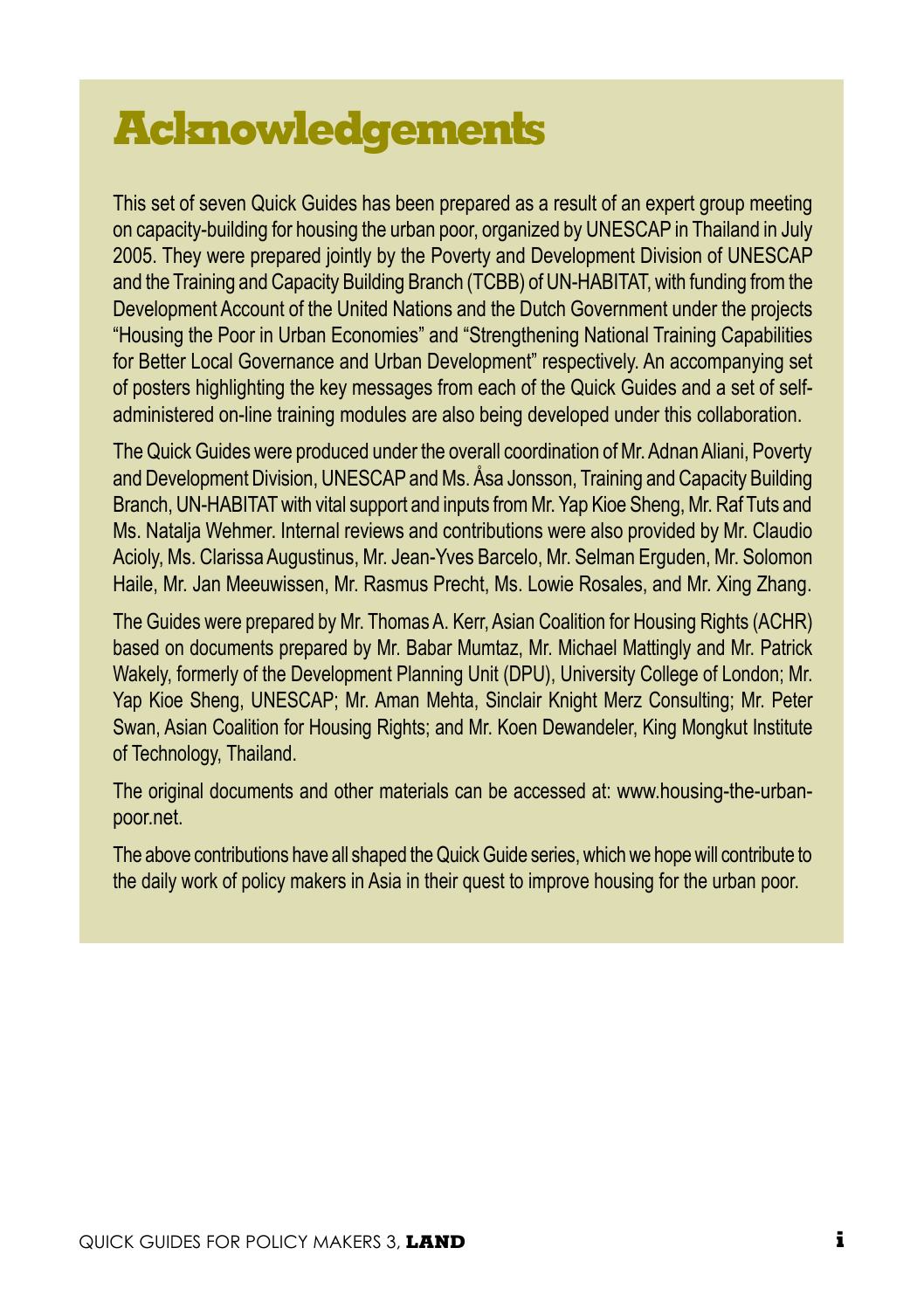# **Acknowledgements**

This set of seven Quick Guides has been prepared as a result of an expert group meeting on capacity-building for housing the urban poor, organized by UNESCAP in Thailand in July 2005. They were prepared jointly by the Poverty and Development Division of UNESCAP and the Training and Capacity Building Branch (TCBB) of UN-HABITAT, with funding from the Development Account of the United Nations and the Dutch Government under the projects "Housing the Poor in Urban Economies" and "Strengthening National Training Capabilities for Better Local Governance and Urban Development" respectively. An accompanying set of posters highlighting the key messages from each of the Quick Guides and a set of selfadministered on-line training modules are also being developed under this collaboration.

The Quick Guides were produced under the overall coordination of Mr. Adnan Aliani, Poverty and Development Division, UNESCAP and Ms. Åsa Jonsson, Training and Capacity Building Branch, UN-HABITAT with vital support and inputs from Mr. Yap Kioe Sheng, Mr. Raf Tuts and Ms. Natalja Wehmer. Internal reviews and contributions were also provided by Mr. Claudio Acioly, Ms. Clarissa Augustinus, Mr. Jean-Yves Barcelo, Mr. Selman Erguden, Mr. Solomon Haile, Mr. Jan Meeuwissen, Mr. Rasmus Precht, Ms. Lowie Rosales, and Mr. Xing Zhang.

The Guides were prepared by Mr. Thomas A. Kerr, Asian Coalition for Housing Rights (ACHR) based on documents prepared by Mr. Babar Mumtaz, Mr. Michael Mattingly and Mr. Patrick Wakely, formerly of the Development Planning Unit (DPU), University College of London; Mr. Yap Kioe Sheng, UNESCAP; Mr. Aman Mehta, Sinclair Knight Merz Consulting; Mr. Peter Swan, Asian Coalition for Housing Rights; and Mr. Koen Dewandeler, King Mongkut Institute of Technology, Thailand.

The original documents and other materials can be accessed at: www.housing-the-urbanpoor.net.

The above contributions have all shaped the Quick Guide series, which we hope will contribute to the daily work of policy makers in Asia in their quest to improve housing for the urban poor.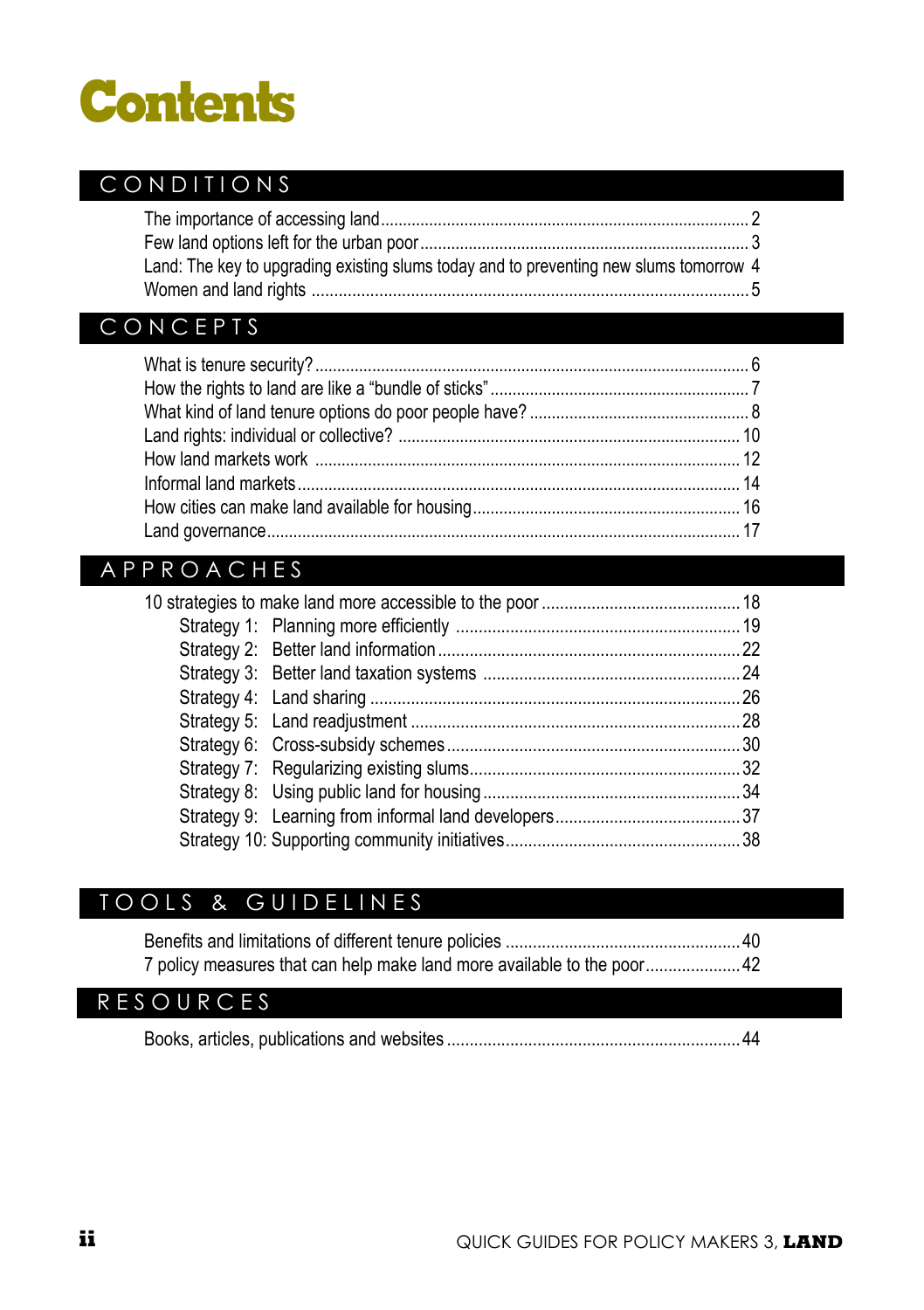# **Contents**

#### CONDITIONS

| Land: The key to upgrading existing slums today and to preventing new slums tomorrow 4 |  |
|----------------------------------------------------------------------------------------|--|
|                                                                                        |  |

#### **CONCEPTS**

#### A P P R O A C H E S

#### TOOLS & GUIDELINES

| 7 policy measures that can help make land more available to the poor 42 |  |
|-------------------------------------------------------------------------|--|

#### R E S O U R C E S

Books, articles, publications and websites .................................................................44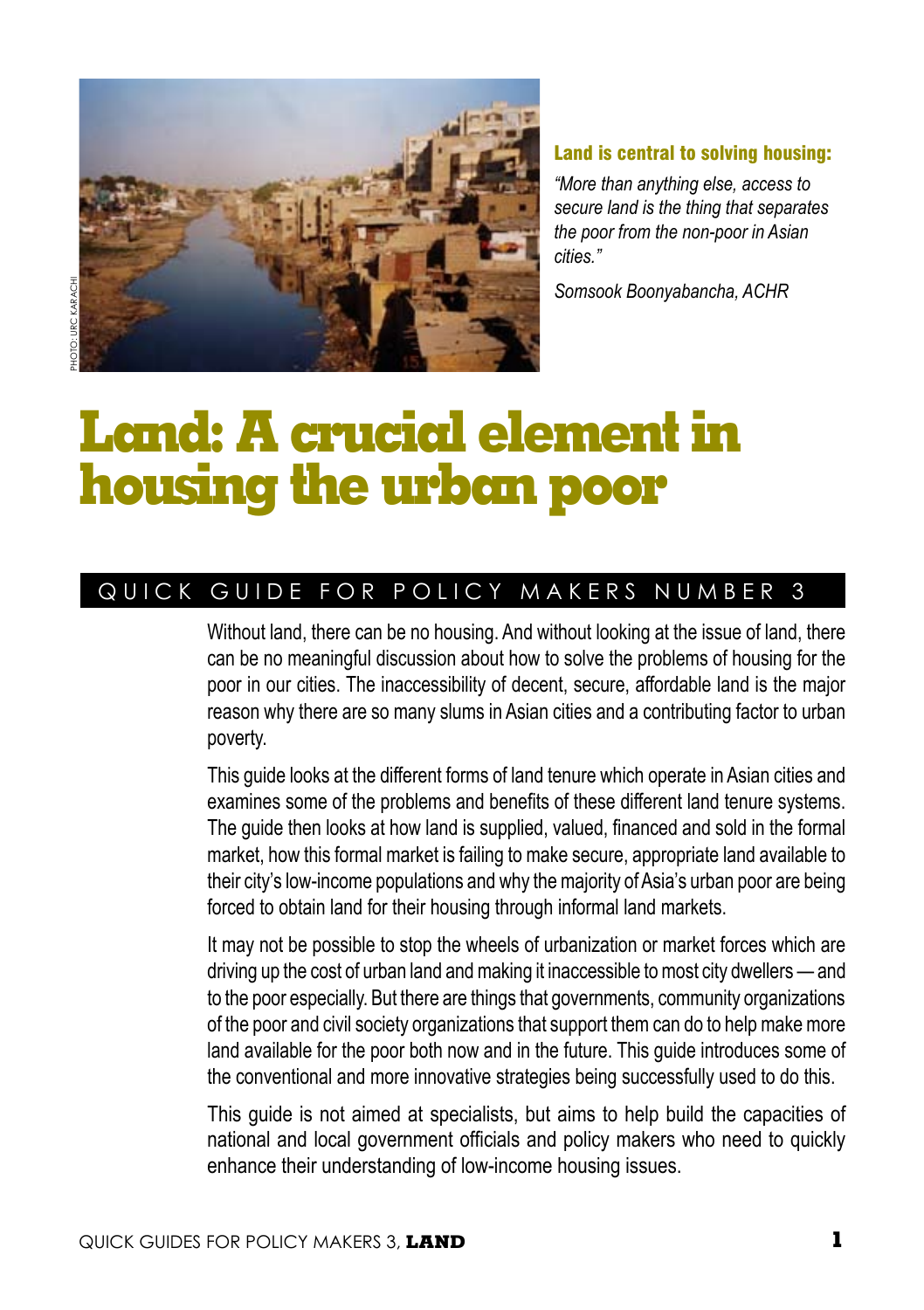

#### Land is central to solving housing:

*"More than anything else, access to secure land is the thing that separates the poor from the non-poor in Asian cities."* 

*Somsook Boonyabancha, ACHR*

# **Land: A crucial element in housing the urban poor**

#### QUICK GUIDE FOR POLICY MAKERS NUMBER 3

Without land, there can be no housing. And without looking at the issue of land, there can be no meaningful discussion about how to solve the problems of housing for the poor in our cities. The inaccessibility of decent, secure, affordable land is the major reason why there are so many slums in Asian cities and a contributing factor to urban poverty.

This guide looks at the different forms of land tenure which operate in Asian cities and examines some of the problems and benefits of these different land tenure systems. The guide then looks at how land is supplied, valued, financed and sold in the formal market, how this formal market is failing to make secure, appropriate land available to their city's low-income populations and why the majority of Asia's urban poor are being forced to obtain land for their housing through informal land markets.

It may not be possible to stop the wheels of urbanization or market forces which are driving up the cost of urban land and making it inaccessible to most city dwellers — and to the poor especially. But there are things that governments, community organizations of the poor and civil society organizations that support them can do to help make more land available for the poor both now and in the future. This guide introduces some of the conventional and more innovative strategies being successfully used to do this.

This guide is not aimed at specialists, but aims to help build the capacities of national and local government officials and policy makers who need to quickly enhance their understanding of low-income housing issues.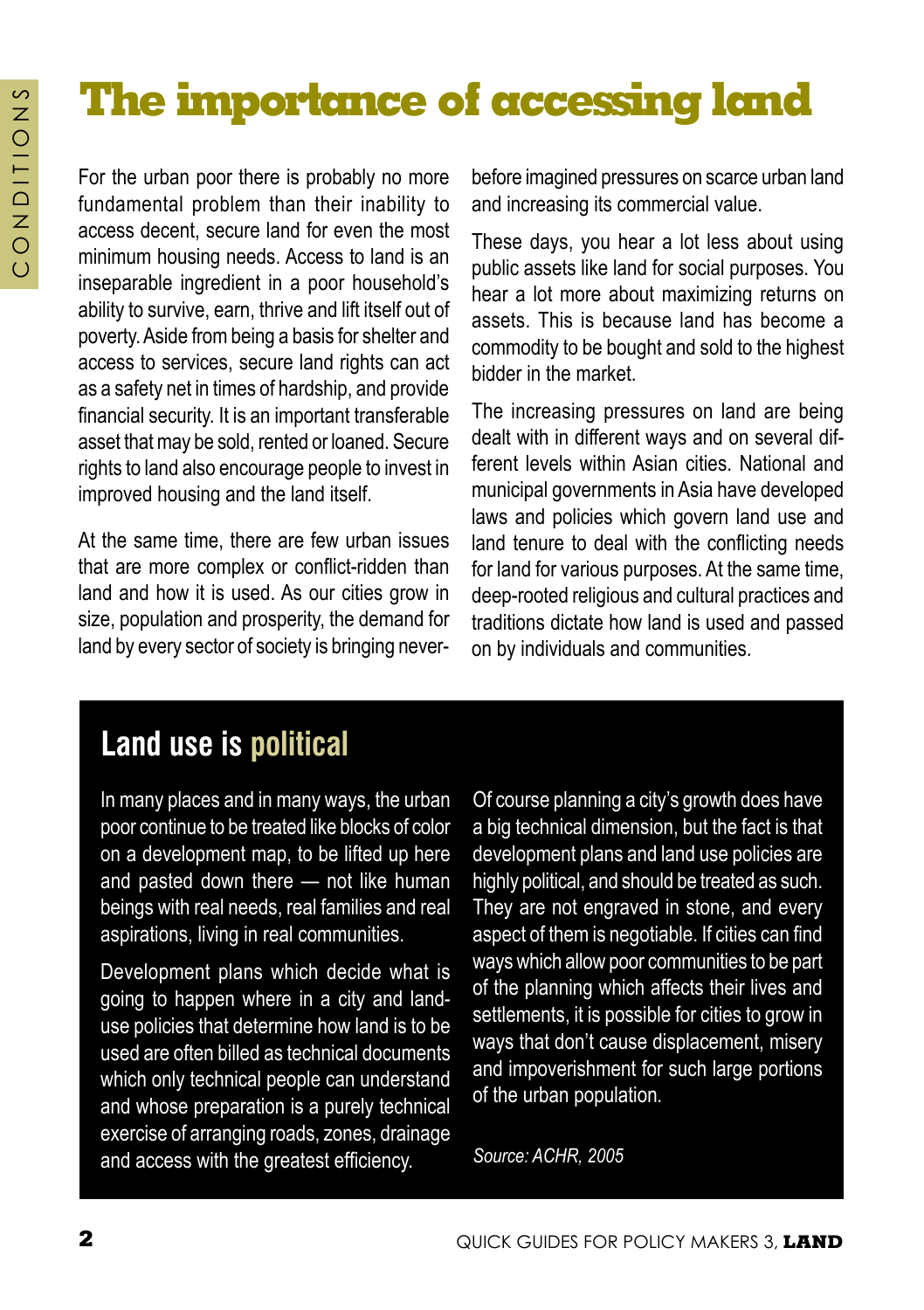# **The importance of accessing land**

For the urban poor there is probably no more fundamental problem than their inability to access decent, secure land for even the most minimum housing needs. Access to land is an inseparable ingredient in a poor household's ability to survive, earn, thrive and lift itself out of poverty. Aside from being a basis for shelter and access to services, secure land rights can act as a safety net in times of hardship, and provide financial security. It is an important transferable asset that may be sold, rented or loaned. Secure rights to land also encourage people to invest in improved housing and the land itself.

At the same time, there are few urban issues that are more complex or conflict-ridden than land and how it is used. As our cities grow in size, population and prosperity, the demand for land by every sector of society is bringing never-

before imagined pressures on scarce urban land and increasing its commercial value.

These days, you hear a lot less about using public assets like land for social purposes. You hear a lot more about maximizing returns on assets. This is because land has become a commodity to be bought and sold to the highest bidder in the market.

The increasing pressures on land are being dealt with in different ways and on several different levels within Asian cities. National and municipal governments in Asia have developed laws and policies which govern land use and land tenure to deal with the conflicting needs for land for various purposes. At the same time, deep-rooted religious and cultural practices and traditions dictate how land is used and passed on by individuals and communities.

## **Land use is political**

In many places and in many ways, the urban poor continue to be treated like blocks of color on a development map, to be lifted up here and pasted down there — not like human beings with real needs, real families and real aspirations, living in real communities.

Development plans which decide what is going to happen where in a city and landuse policies that determine how land is to be used are often billed as technical documents which only technical people can understand and whose preparation is a purely technical exercise of arranging roads, zones, drainage and access with the greatest efficiency.

Of course planning a city's growth does have a big technical dimension, but the fact is that development plans and land use policies are highly political, and should be treated as such. They are not engraved in stone, and every aspect of them is negotiable. If cities can find ways which allow poor communities to be part of the planning which affects their lives and settlements, it is possible for cities to grow in ways that don't cause displacement, misery and impoverishment for such large portions of the urban population*.* 

*Source: ACHR, 2005*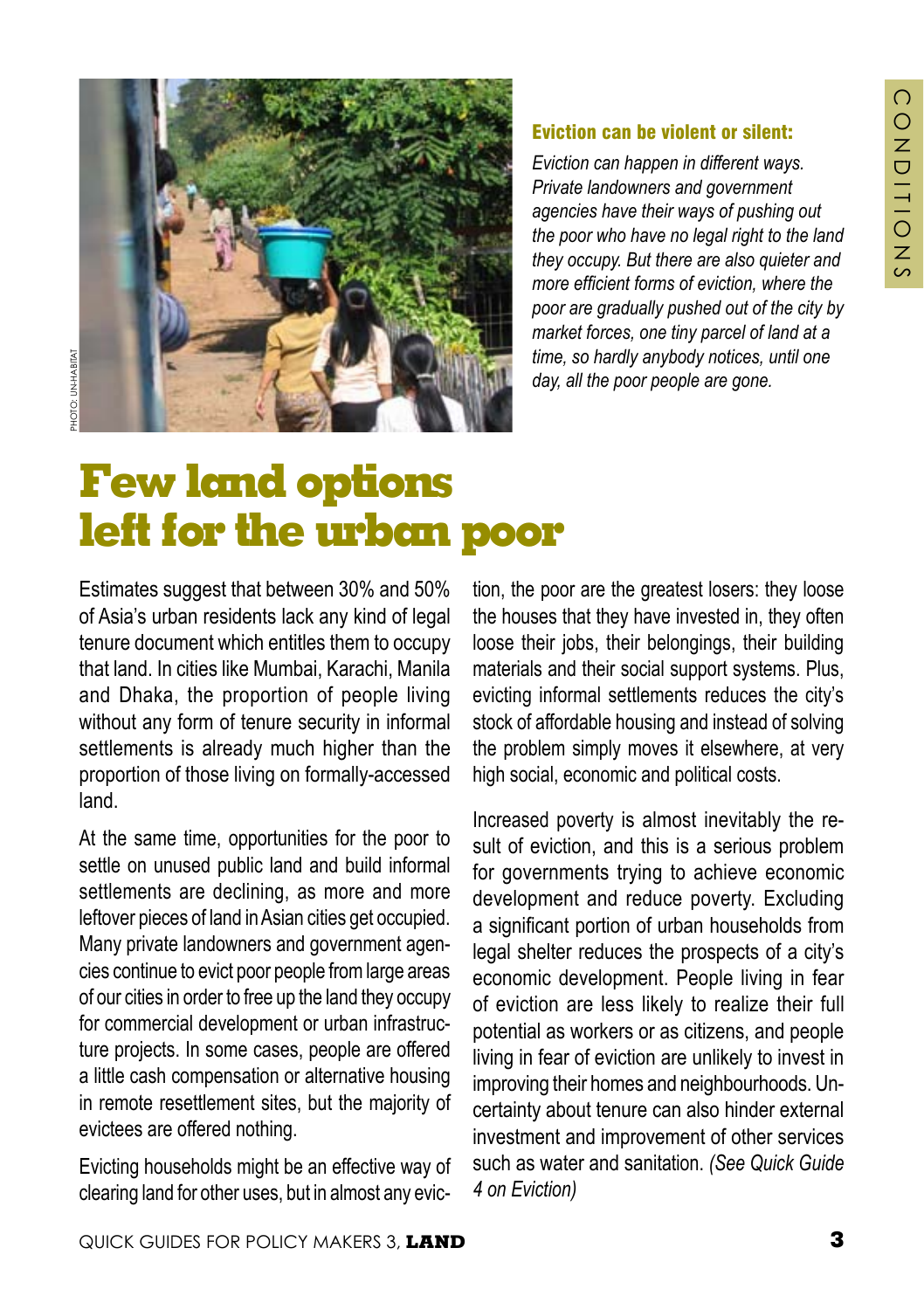

#### Eviction can be violent or silent:

*Eviction can happen in different ways. Private landowners and government agencies have their ways of pushing out the poor who have no legal right to the land they occupy. But there are also quieter and more efficient forms of eviction, where the poor are gradually pushed out of the city by market forces, one tiny parcel of land at a time, so hardly anybody notices, until one day, all the poor people are gone.* 

# **Few land options left for the urban poor**

Estimates suggest that between 30% and 50% of Asia's urban residents lack any kind of legal tenure document which entitles them to occupy that land. In cities like Mumbai, Karachi, Manila and Dhaka, the proportion of people living without any form of tenure security in informal settlements is already much higher than the proportion of those living on formally-accessed land.

At the same time, opportunities for the poor to settle on unused public land and build informal settlements are declining, as more and more leftover pieces of land in Asian cities get occupied. Many private landowners and government agencies continue to evict poor people from large areas of our cities in order to free up the land they occupy for commercial development or urban infrastructure projects. In some cases, people are offered a little cash compensation or alternative housing in remote resettlement sites, but the majority of evictees are offered nothing.

Evicting households might be an effective way of clearing land for other uses, but in almost any eviction, the poor are the greatest losers: they loose the houses that they have invested in, they often loose their jobs, their belongings, their building materials and their social support systems. Plus, evicting informal settlements reduces the city's stock of affordable housing and instead of solving the problem simply moves it elsewhere, at very high social, economic and political costs.

Increased poverty is almost inevitably the result of eviction, and this is a serious problem for governments trying to achieve economic development and reduce poverty. Excluding a significant portion of urban households from legal shelter reduces the prospects of a city's economic development. People living in fear of eviction are less likely to realize their full potential as workers or as citizens, and people living in fear of eviction are unlikely to invest in improving their homes and neighbourhoods. Uncertainty about tenure can also hinder external investment and improvement of other services such as water and sanitation. *(See Quick Guide 4 on Eviction)*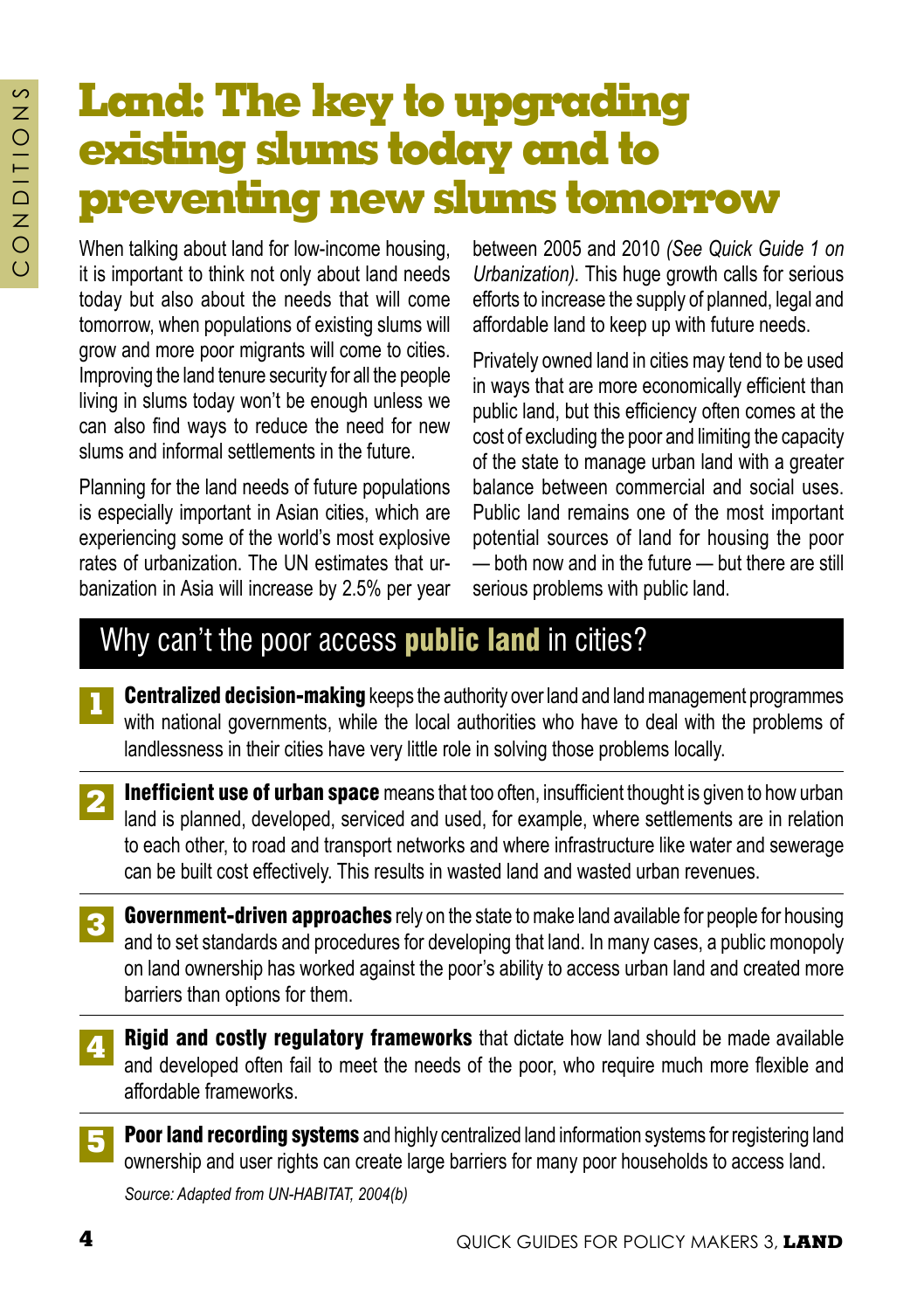# **Land: The key to upgrading existing slums today and to preventing new slums tomorrow**

When talking about land for low-income housing, it is important to think not only about land needs today but also about the needs that will come tomorrow, when populations of existing slums will grow and more poor migrants will come to cities. Improving the land tenure security for all the people living in slums today won't be enough unless we can also find ways to reduce the need for new slums and informal settlements in the future.

Planning for the land needs of future populations is especially important in Asian cities, which are experiencing some of the world's most explosive rates of urbanization. The UN estimates that urbanization in Asia will increase by 2.5% per year

between 2005 and 2010 *(See Quick Guide 1 on Urbanization).* This huge growth calls for serious efforts to increase the supply of planned, legal and affordable land to keep up with future needs.

Privately owned land in cities may tend to be used in ways that are more economically efficient than public land, but this efficiency often comes at the cost of excluding the poor and limiting the capacity of the state to manage urban land with a greater balance between commercial and social uses. Public land remains one of the most important potential sources of land for housing the poor — both now and in the future — but there are still serious problems with public land.

## Why can't the poor access **public land** in cities?

- **Centralized decision-making** keeps the authority over land and land management programmes with national governments, while the local authorities who have to deal with the problems of landlessness in their cities have very little role in solving those problems locally. **1**
- **Inefficient use of urban space** means that too often, insufficient thought is given to how urban land is planned, developed, serviced and used, for example, where settlements are in relation to each other, to road and transport networks and where infrastructure like water and sewerage can be built cost effectively. This results in wasted land and wasted urban revenues. **2**
- **Government-driven approaches** rely on the state to make land available for people for housing and to set standards and procedures for developing that land. In many cases, a public monopoly on land ownership has worked against the poor's ability to access urban land and created more barriers than options for them. **3**
- Rigid and costly regulatory frameworks that dictate how land should be made available and developed often fail to meet the needs of the poor, who require much more flexible and affordable frameworks. **4**
- Poor land recording systems and highly centralized land information systems for registering land ownership and user rights can create large barriers for many poor households to access land. **5**

*Source: Adapted from UN-HABITAT, 2004(b)*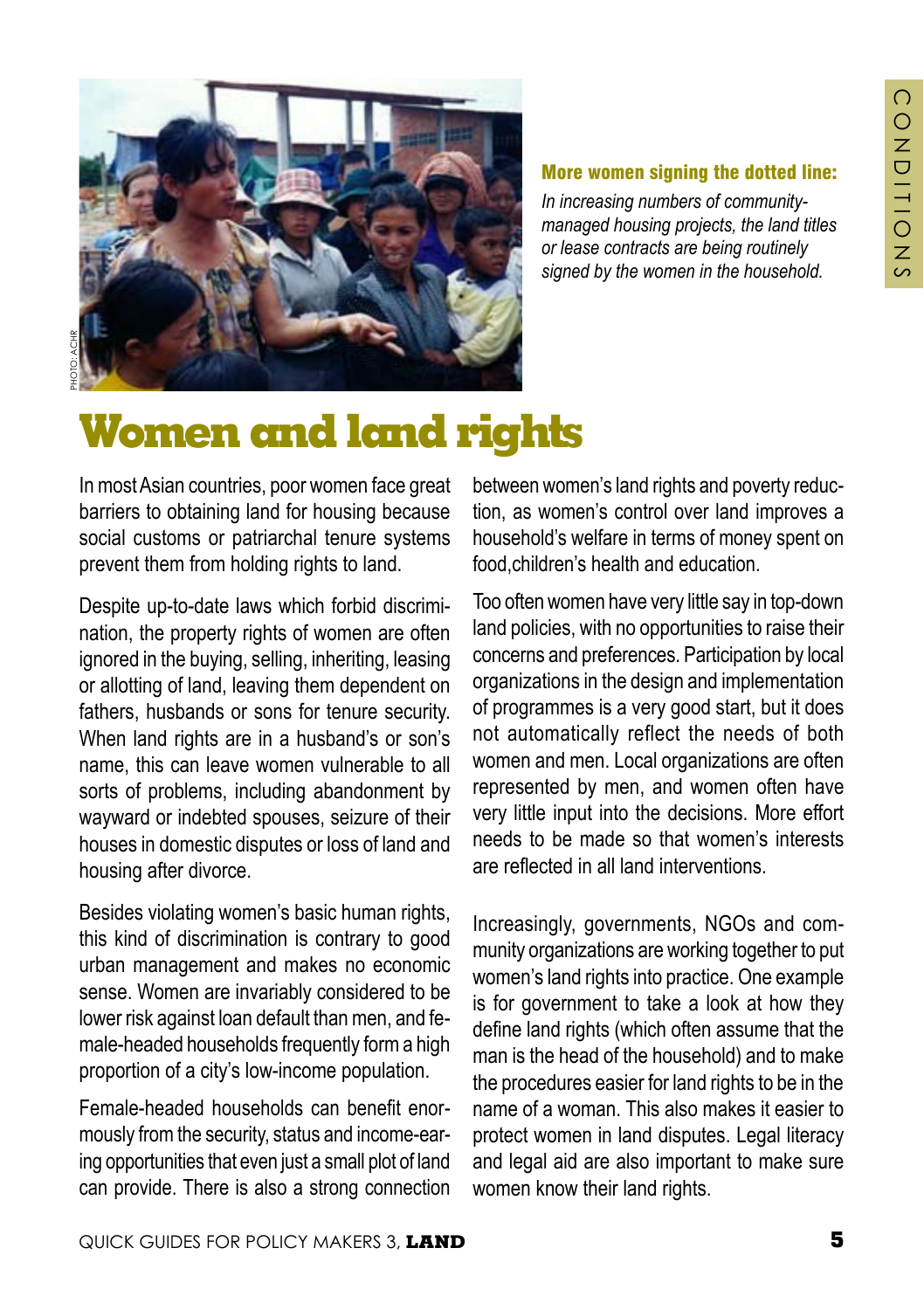

#### More women signing the dotted line:

*In increasing numbers of communitymanaged housing projects, the land titles or lease contracts are being routinely signed by the women in the household.*

# **Women and land rights**

In most Asian countries, poor women face great barriers to obtaining land for housing because social customs or patriarchal tenure systems prevent them from holding rights to land.

Despite up-to-date laws which forbid discrimination, the property rights of women are often ignored in the buying, selling, inheriting, leasing or allotting of land, leaving them dependent on fathers, husbands or sons for tenure security. When land rights are in a husband's or son's name, this can leave women vulnerable to all sorts of problems, including abandonment by wayward or indebted spouses, seizure of their houses in domestic disputes or loss of land and housing after divorce.

Besides violating women's basic human rights, this kind of discrimination is contrary to good urban management and makes no economic sense. Women are invariably considered to be lower risk against loan default than men, and female-headed households frequently form a high proportion of a city's low-income population.

Female-headed households can benefit enormously from the security, status and income-earing opportunities that even just a small plot of land can provide. There is also a strong connection

between women's land rights and poverty reduction, as women's control over land improves a household's welfare in terms of money spent on food,children's health and education.

Too often women have very little say in top-down land policies, with no opportunities to raise their concerns and preferences. Participation by local organizations in the design and implementation of programmes is a very good start, but it does not automatically reflect the needs of both women and men. Local organizations are often represented by men, and women often have very little input into the decisions. More effort needs to be made so that women's interests are reflected in all land interventions.

Increasingly, governments, NGOs and community organizations are working together to put women's land rights into practice. One example is for government to take a look at how they define land rights (which often assume that the man is the head of the household) and to make the procedures easier for land rights to be in the name of a woman. This also makes it easier to protect women in land disputes. Legal literacy and legal aid are also important to make sure women know their land rights.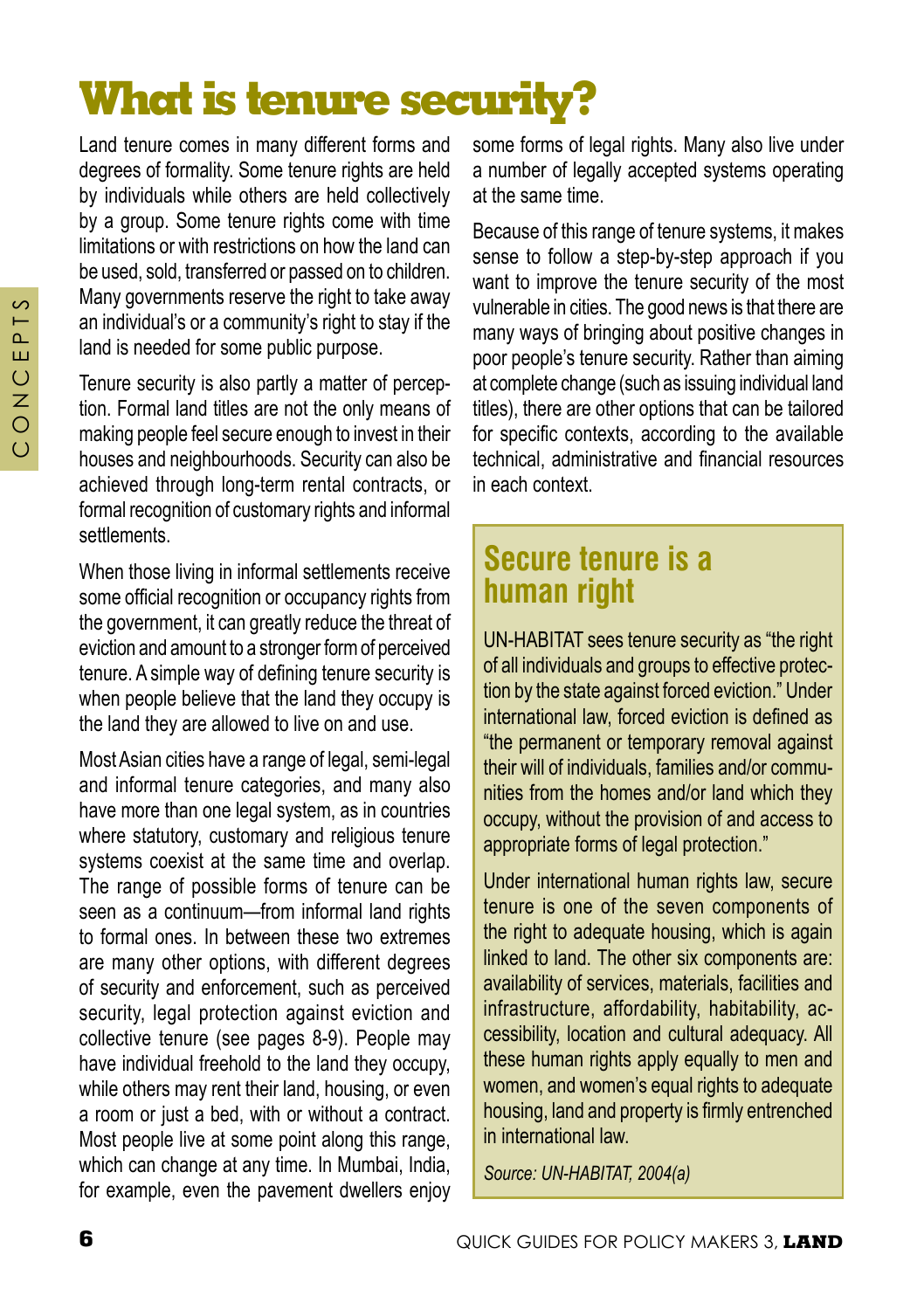# **What is tenure security?**

Land tenure comes in many different forms and degrees of formality. Some tenure rights are held by individuals while others are held collectively by a group. Some tenure rights come with time limitations or with restrictions on how the land can be used, sold, transferred or passed on to children. Many governments reserve the right to take away an individual's or a community's right to stay if the land is needed for some public purpose.

Tenure security is also partly a matter of perception. Formal land titles are not the only means of making people feel secure enough to invest in their houses and neighbourhoods. Security can also be achieved through long-term rental contracts, or formal recognition of customary rights and informal **settlements** 

When those living in informal settlements receive some official recognition or occupancy rights from the government, it can greatly reduce the threat of eviction and amount to a stronger form of perceived tenure. A simple way of defining tenure security is when people believe that the land they occupy is the land they are allowed to live on and use.

Most Asian cities have a range of legal, semi-legal and informal tenure categories, and many also have more than one legal system, as in countries where statutory, customary and religious tenure systems coexist at the same time and overlap. The range of possible forms of tenure can be seen as a continuum—from informal land rights to formal ones. In between these two extremes are many other options, with different degrees of security and enforcement, such as perceived security, legal protection against eviction and collective tenure (see pages 8-9). People may have individual freehold to the land they occupy, while others may rent their land, housing, or even a room or just a bed, with or without a contract. Most people live at some point along this range, which can change at any time. In Mumbai, India, for example, even the pavement dwellers enjoy

some forms of legal rights. Many also live under a number of legally accepted systems operating at the same time.

Because of this range of tenure systems, it makes sense to follow a step-by-step approach if you want to improve the tenure security of the most vulnerable in cities. The good news is that there are many ways of bringing about positive changes in poor people's tenure security. Rather than aiming at complete change (such as issuing individual land titles), there are other options that can be tailored for specific contexts, according to the available technical, administrative and financial resources in each context.

## **Secure tenure is a human right**

UN-HABITAT sees tenure security as "the right of all individuals and groups to effective protection by the state against forced eviction." Under international law, forced eviction is defined as "the permanent or temporary removal against their will of individuals, families and/or communities from the homes and/or land which they occupy, without the provision of and access to appropriate forms of legal protection."

Under international human rights law, secure tenure is one of the seven components of the right to adequate housing, which is again linked to land. The other six components are: availability of services, materials, facilities and infrastructure, affordability, habitability, accessibility, location and cultural adequacy. All these human rights apply equally to men and women, and women's equal rights to adequate housing, land and property is firmly entrenched in international law.

*Source: UN-HABITAT, 2004(a)*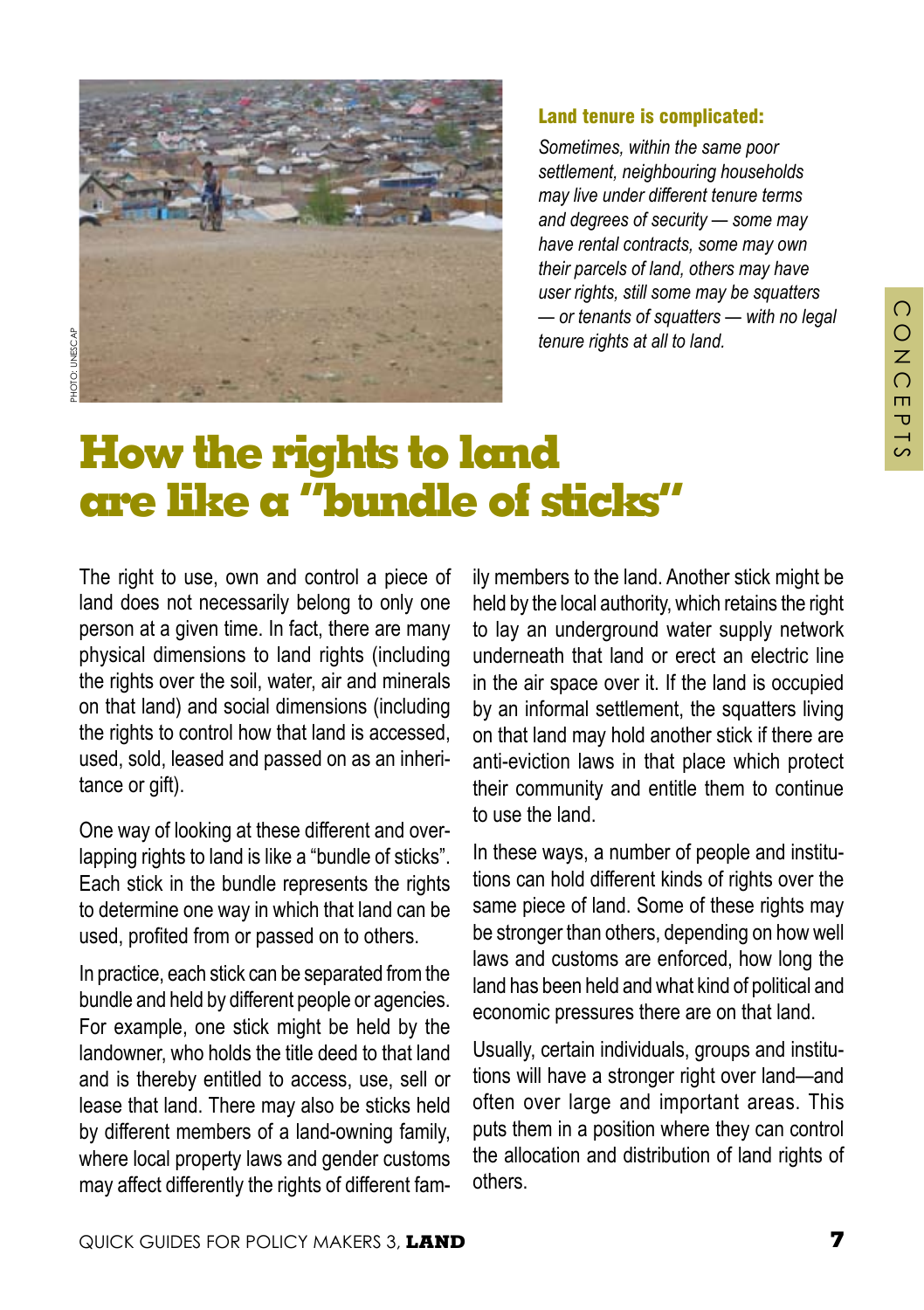

#### Land tenure is complicated:

*Sometimes, within the same poor settlement, neighbouring households may live under different tenure terms and degrees of security — some may have rental contracts, some may own their parcels of land, others may have user rights, still some may be squatters — or tenants of squatters — with no legal tenure rights at all to land.* 

## **How the rights to land are like a "bundle of sticks"**

The right to use, own and control a piece of land does not necessarily belong to only one person at a given time. In fact, there are many physical dimensions to land rights (including the rights over the soil, water, air and minerals on that land) and social dimensions (including the rights to control how that land is accessed, used, sold, leased and passed on as an inheritance or gift).

One way of looking at these different and overlapping rights to land is like a "bundle of sticks". Each stick in the bundle represents the rights to determine one way in which that land can be used, profited from or passed on to others.

In practice, each stick can be separated from the bundle and held by different people or agencies. For example, one stick might be held by the landowner, who holds the title deed to that land and is thereby entitled to access, use, sell or lease that land. There may also be sticks held by different members of a land-owning family, where local property laws and gender customs may affect differently the rights of different family members to the land. Another stick might be held by the local authority, which retains the right to lay an underground water supply network underneath that land or erect an electric line in the air space over it. If the land is occupied by an informal settlement, the squatters living on that land may hold another stick if there are anti-eviction laws in that place which protect their community and entitle them to continue to use the land.

In these ways, a number of people and institutions can hold different kinds of rights over the same piece of land. Some of these rights may be stronger than others, depending on how well laws and customs are enforced, how long the land has been held and what kind of political and economic pressures there are on that land.

Usually, certain individuals, groups and institutions will have a stronger right over land—and often over large and important areas. This puts them in a position where they can control the allocation and distribution of land rights of others.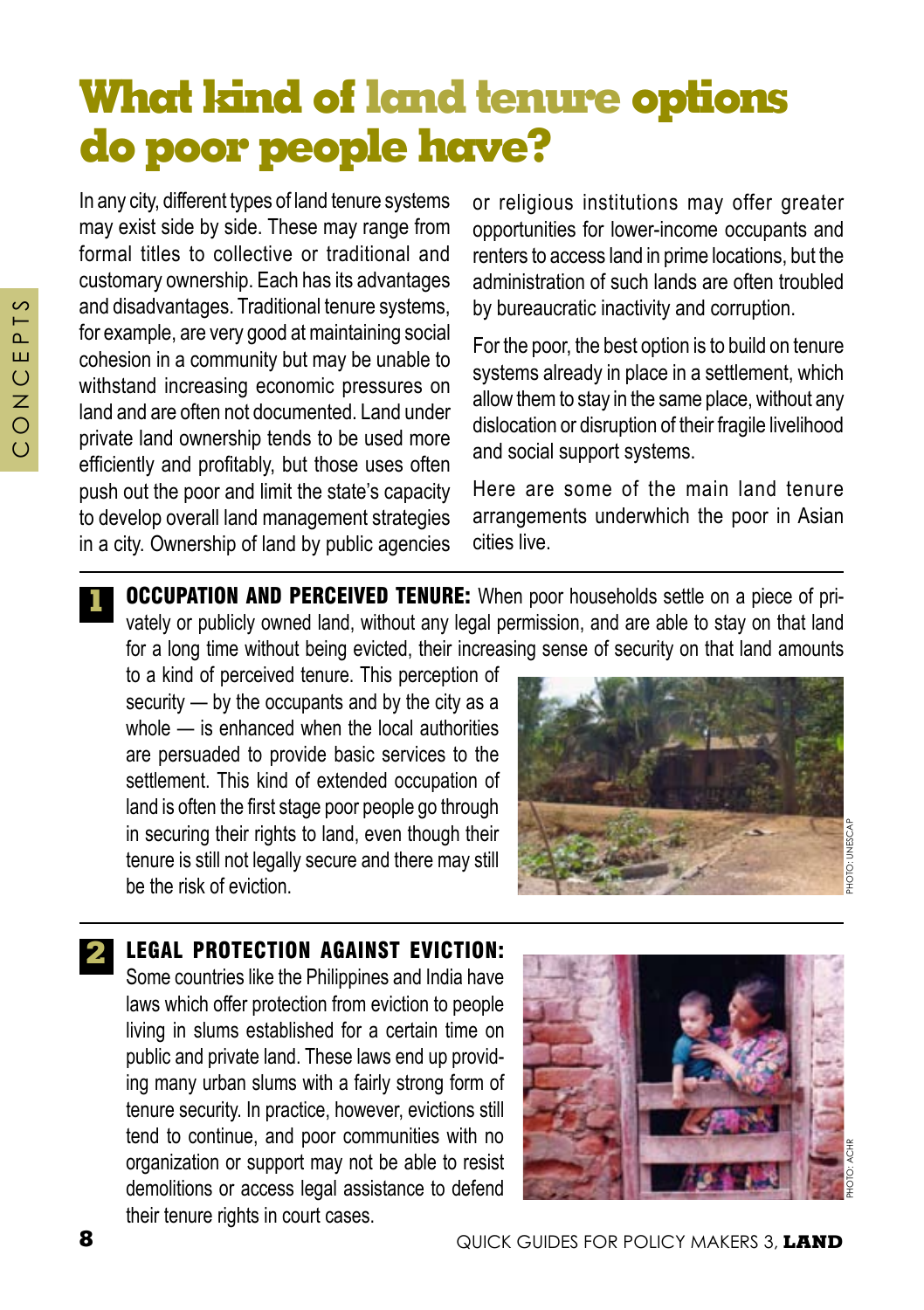# **What kind of land tenure options do poor people have?**

In any city, different types of land tenure systems may exist side by side. These may range from formal titles to collective or traditional and customary ownership. Each has its advantages and disadvantages. Traditional tenure systems, for example, are very good at maintaining social cohesion in a community but may be unable to withstand increasing economic pressures on land and are often not documented. Land under private land ownership tends to be used more efficiently and profitably, but those uses often push out the poor and limit the state's capacity to develop overall land management strategies in a city. Ownership of land by public agencies

or religious institutions may offer greater opportunities for lower-income occupants and renters to access land in prime locations, but the administration of such lands are often troubled by bureaucratic inactivity and corruption.

For the poor, the best option is to build on tenure systems already in place in a settlement, which allow them to stay in the same place, without any dislocation or disruption of their fragile livelihood and social support systems.

Here are some of the main land tenure arrangements underwhich the poor in Asian cities live.

**1 OCCUPATION AND PERCEIVED TENURE:** When poor households settle on a piece of privately or publicly owned land, without any legal permission, and are able to stay on that land for a long time without being evicted, their increasing sense of security on that land amounts

to a kind of perceived tenure. This perception of security — by the occupants and by the city as a whole — is enhanced when the local authorities are persuaded to provide basic services to the settlement. This kind of extended occupation of land is often the first stage poor people go through in securing their rights to land, even though their tenure is still not legally secure and there may still be the risk of eviction.



**2** LEGAL PROTECTION AGAINST EVICTION: Some countries like the Philippines and India have laws which offer protection from eviction to people living in slums established for a certain time on public and private land. These laws end up providing many urban slums with a fairly strong form of tenure security. In practice, however, evictions still tend to continue, and poor communities with no organization or support may not be able to resist demolitions or access legal assistance to defend

their tenure rights in court cases.

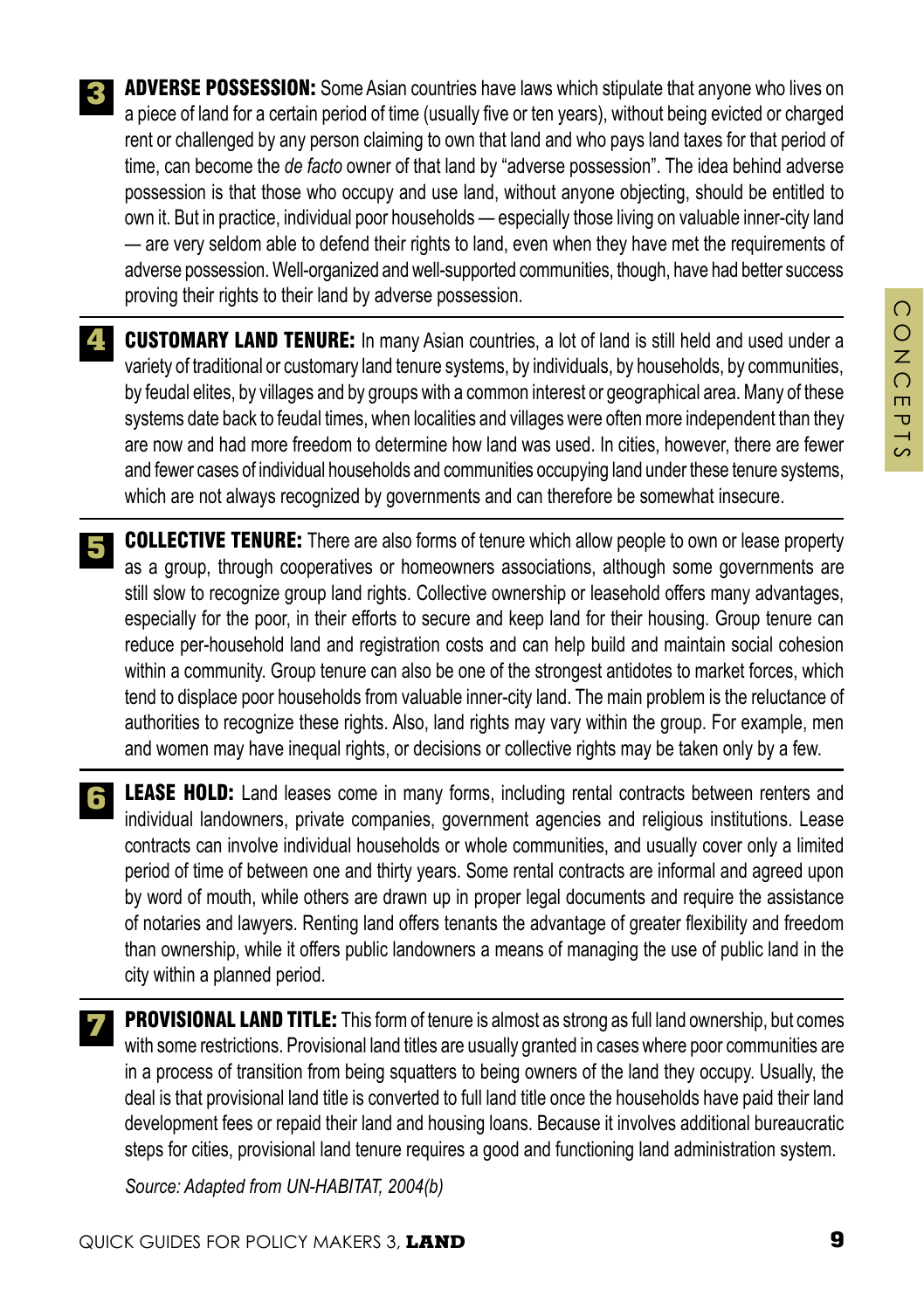- **ADVERSE POSSESSION:** Some Asian countries have laws which stipulate that anyone who lives on a piece of land for a certain period of time (usually five or ten years), without being evicted or charged rent or challenged by any person claiming to own that land and who pays land taxes for that period of time, can become the *de facto* owner of that land by "adverse possession". The idea behind adverse possession is that those who occupy and use land, without anyone objecting, should be entitled to own it. But in practice, individual poor households — especially those living on valuable inner-city land — are very seldom able to defend their rights to land, even when they have met the requirements of adverse possession. Well-organized and well-supported communities, though, have had better success proving their rights to their land by adverse possession. **3**
- **4. CUSTOMARY LAND TENURE:** In many Asian countries, a lot of land is still held and used under a variety of traditional or customary land tenure systems, by individuals, by households, by communities, by feudal elites, by villages and by groups with a common interest or geographical area. Many of these systems date back to feudal times, when localities and villages were often more independent than they are now and had more freedom to determine how land was used. In cities, however, there are fewer and fewer cases of individual households and communities occupying land under these tenure systems, which are not always recognized by governments and can therefore be somewhat insecure.
- **COLLECTIVE TENURE:** There are also forms of tenure which allow people to own or lease property as a group, through cooperatives or homeowners associations, although some governments are still slow to recognize group land rights. Collective ownership or leasehold offers many advantages, especially for the poor, in their efforts to secure and keep land for their housing. Group tenure can reduce per-household land and registration costs and can help build and maintain social cohesion within a community. Group tenure can also be one of the strongest antidotes to market forces, which tend to displace poor households from valuable inner-city land. The main problem is the reluctance of authorities to recognize these rights. Also, land rights may vary within the group. For example, men and women may have inequal rights, or decisions or collective rights may be taken only by a few. **5**
- **LEASE HOLD:** Land leases come in many forms, including rental contracts between renters and individual landowners, private companies, government agencies and religious institutions. Lease contracts can involve individual households or whole communities, and usually cover only a limited period of time of between one and thirty years. Some rental contracts are informal and agreed upon by word of mouth, while others are drawn up in proper legal documents and require the assistance of notaries and lawyers. Renting land offers tenants the advantage of greater flexibility and freedom than ownership, while it offers public landowners a means of managing the use of public land in the city within a planned period. **6**
- **PROVISIONAL LAND TITLE:** This form of tenure is almost as strong as full land ownership, but comes with some restrictions. Provisional land titles are usually granted in cases where poor communities are in a process of transition from being squatters to being owners of the land they occupy. Usually, the deal is that provisional land title is converted to full land title once the households have paid their land development fees or repaid their land and housing loans. Because it involves additional bureaucratic steps for cities, provisional land tenure requires a good and functioning land administration system. **7**
	- *Source: Adapted from UN-HABITAT, 2004(b)*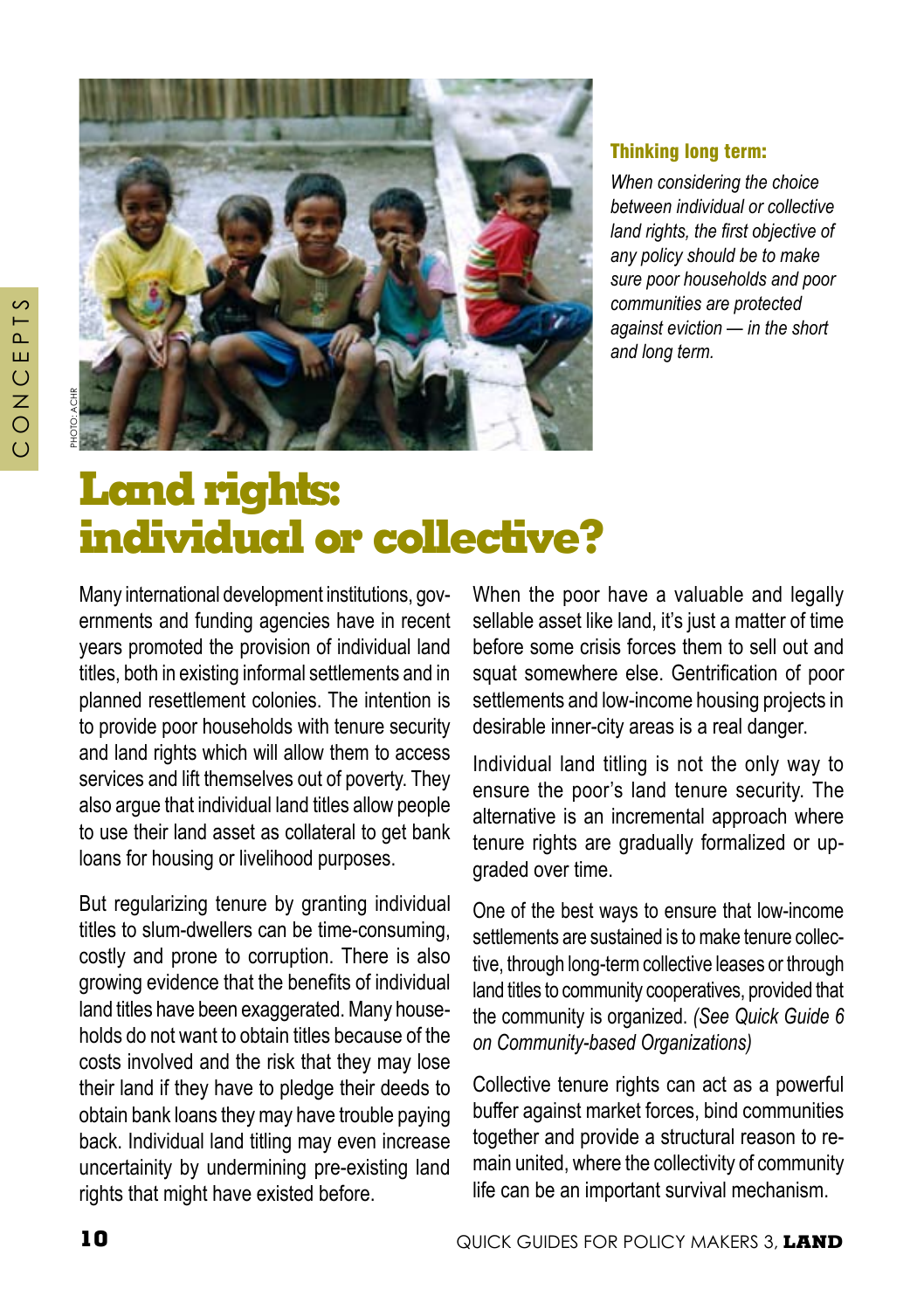

#### Thinking long term:

*When considering the choice between individual or collective land rights, the first objective of any policy should be to make sure poor households and poor communities are protected against eviction — in the short and long term.*

## **Land rights: individual or collective?**

Many international development institutions, governments and funding agencies have in recent years promoted the provision of individual land titles, both in existing informal settlements and in planned resettlement colonies. The intention is to provide poor households with tenure security and land rights which will allow them to access services and lift themselves out of poverty. They also argue that individual land titles allow people to use their land asset as collateral to get bank loans for housing or livelihood purposes.

But regularizing tenure by granting individual titles to slum-dwellers can be time-consuming, costly and prone to corruption. There is also growing evidence that the benefits of individual land titles have been exaggerated. Many households do not want to obtain titles because of the costs involved and the risk that they may lose their land if they have to pledge their deeds to obtain bank loans they may have trouble paying back. Individual land titling may even increase uncertainity by undermining pre-existing land rights that might have existed before.

When the poor have a valuable and legally sellable asset like land, it's just a matter of time before some crisis forces them to sell out and squat somewhere else. Gentrification of poor settlements and low-income housing projects in desirable inner-city areas is a real danger.

Individual land titling is not the only way to ensure the poor's land tenure security. The alternative is an incremental approach where tenure rights are gradually formalized or upgraded over time.

One of the best ways to ensure that low-income settlements are sustained is to make tenure collective, through long-term collective leases or through land titles to community cooperatives, provided that the community is organized. *(See Quick Guide 6 on Community-based Organizations)*

Collective tenure rights can act as a powerful buffer against market forces, bind communities together and provide a structural reason to remain united, where the collectivity of community life can be an important survival mechanism.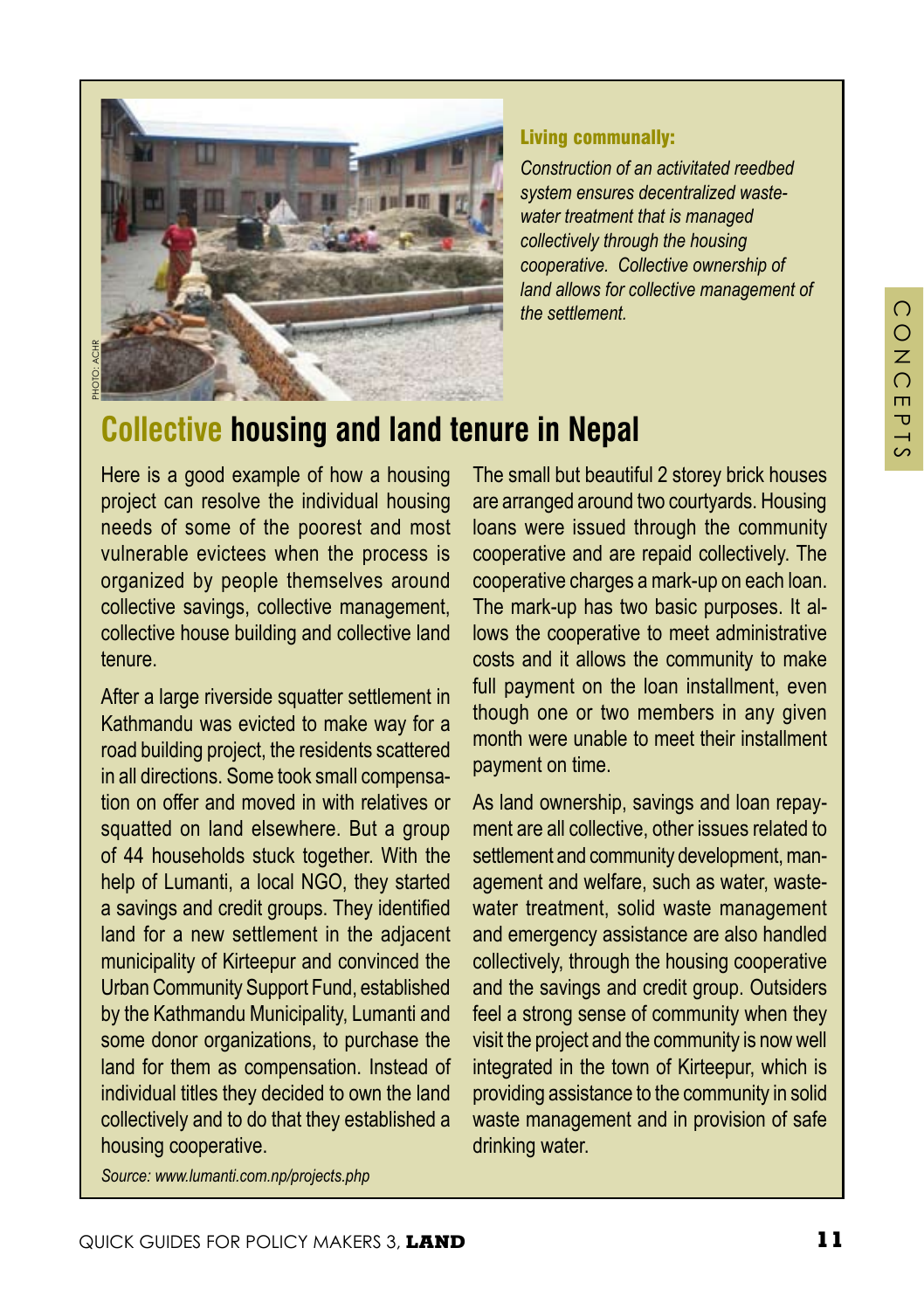

#### Living communally:

*Construction of an activitated reedbed system ensures decentralized wastewater treatment that is managed collectively through the housing cooperative. Collective ownership of land allows for collective management of the settlement.*

## **Collective housing and land tenure in Nepal**

Here is a good example of how a housing project can resolve the individual housing needs of some of the poorest and most vulnerable evictees when the process is organized by people themselves around collective savings, collective management, collective house building and collective land tenure.

After a large riverside squatter settlement in Kathmandu was evicted to make way for a road building project, the residents scattered in all directions. Some took small compensation on offer and moved in with relatives or squatted on land elsewhere. But a group of 44 households stuck together. With the help of Lumanti, a local NGO, they started a savings and credit groups. They identified land for a new settlement in the adjacent municipality of Kirteepur and convinced the Urban Community Support Fund, established by the Kathmandu Municipality, Lumanti and some donor organizations, to purchase the land for them as compensation. Instead of individual titles they decided to own the land collectively and to do that they established a housing cooperative.

The small but beautiful 2 storey brick houses are arranged around two courtyards. Housing loans were issued through the community cooperative and are repaid collectively. The cooperative charges a mark-up on each loan. The mark-up has two basic purposes. It allows the cooperative to meet administrative costs and it allows the community to make full payment on the loan installment, even though one or two members in any given month were unable to meet their installment payment on time.

As land ownership, savings and loan repayment are all collective, other issues related to settlement and community development, management and welfare, such as water, wastewater treatment, solid waste management and emergency assistance are also handled collectively, through the housing cooperative and the savings and credit group. Outsiders feel a strong sense of community when they visit the project and the community is now well integrated in the town of Kirteepur, which is providing assistance to the community in solid waste management and in provision of safe drinking water.

*Source: www.lumanti.com.np/projects.php*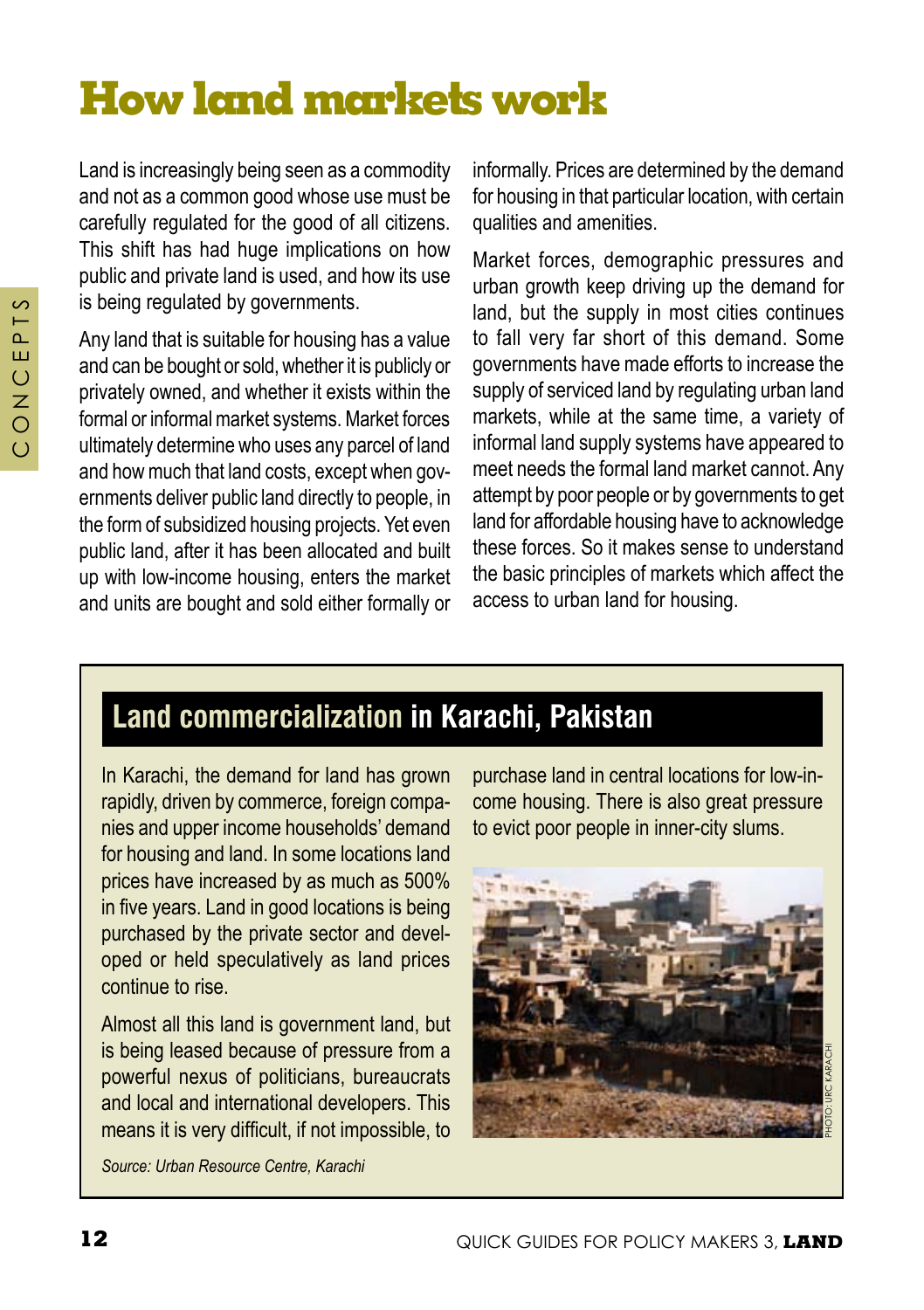# **How land markets work**

Land is increasingly being seen as a commodity and not as a common good whose use must be carefully regulated for the good of all citizens. This shift has had huge implications on how public and private land is used, and how its use is being regulated by governments.

Any land that is suitable for housing has a value and can be bought or sold, whether it is publicly or privately owned, and whether it exists within the formal or informal market systems. Market forces ultimately determine who uses any parcel of land and how much that land costs, except when governments deliver public land directly to people, in the form of subsidized housing projects. Yet even public land, after it has been allocated and built up with low-income housing, enters the market and units are bought and sold either formally or

informally. Prices are determined by the demand for housing in that particular location, with certain qualities and amenities.

Market forces, demographic pressures and urban growth keep driving up the demand for land, but the supply in most cities continues to fall very far short of this demand. Some governments have made efforts to increase the supply of serviced land by regulating urban land markets, while at the same time, a variety of informal land supply systems have appeared to meet needs the formal land market cannot. Any attempt by poor people or by governments to get land for affordable housing have to acknowledge these forces. So it makes sense to understand the basic principles of markets which affect the access to urban land for housing.

## **Land commercialization in karachi, Pakistan**

In Karachi, the demand for land has grown rapidly, driven by commerce, foreign companies and upper income households' demand for housing and land. In some locations land prices have increased by as much as 500% in five years. Land in good locations is being purchased by the private sector and developed or held speculatively as land prices continue to rise.

Almost all this land is government land, but is being leased because of pressure from a powerful nexus of politicians, bureaucrats and local and international developers. This means it is very difficult, if not impossible, to

purchase land in central locations for low-income housing. There is also great pressure to evict poor people in inner-city slums.



*Source: Urban Resource Centre, Karachi*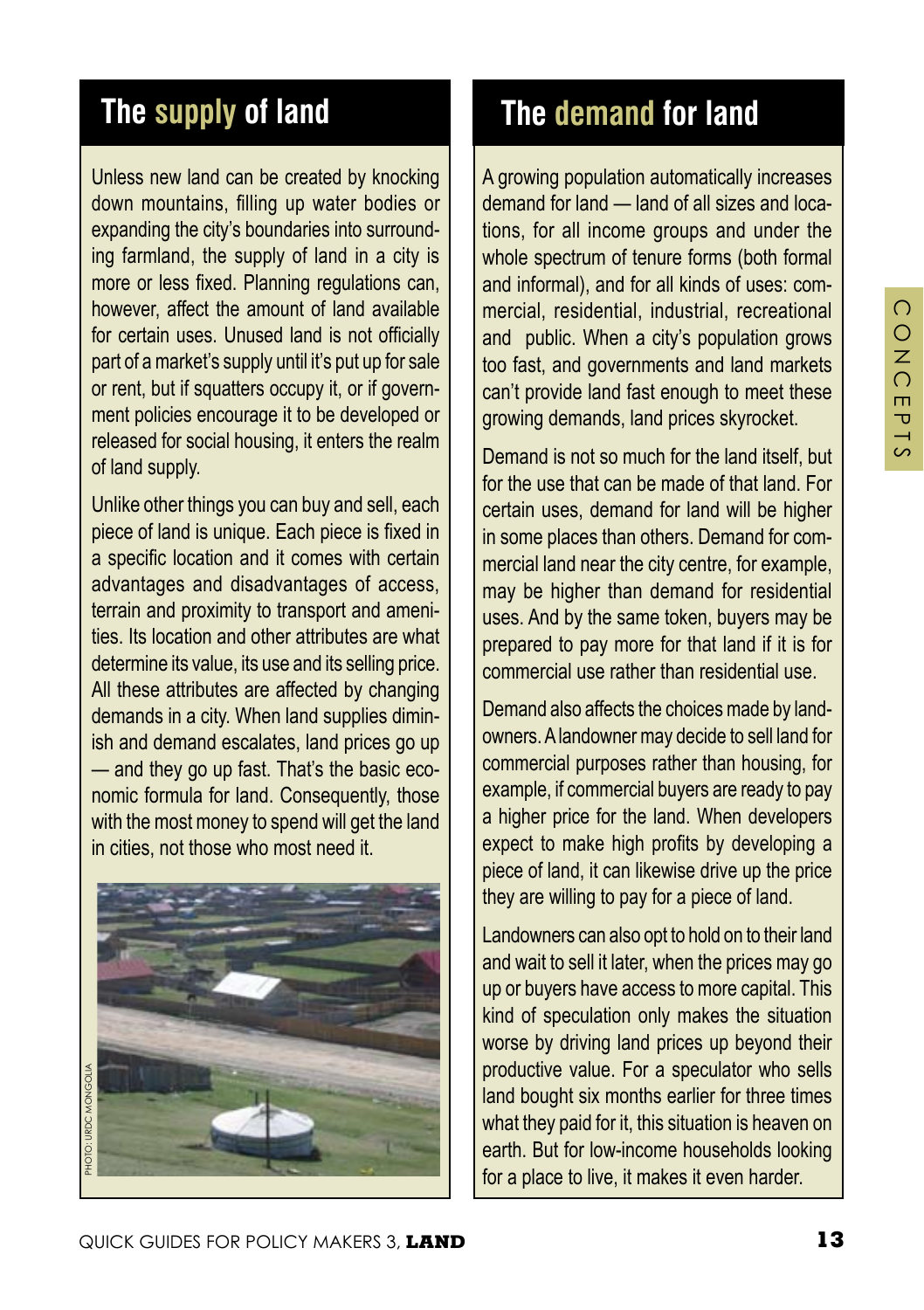## **The supply of land**

Unless new land can be created by knocking down mountains, filling up water bodies or expanding the city's boundaries into surrounding farmland, the supply of land in a city is more or less fixed. Planning regulations can, however, affect the amount of land available for certain uses. Unused land is not officially part of a market's supply until it's put up for sale or rent, but if squatters occupy it, or if government policies encourage it to be developed or released for social housing, it enters the realm of land supply.

Unlike other things you can buy and sell, each piece of land is unique. Each piece is fixed in a specific location and it comes with certain advantages and disadvantages of access, terrain and proximity to transport and amenities. Its location and other attributes are what determine its value, its use and its selling price. All these attributes are affected by changing demands in a city. When land supplies diminish and demand escalates, land prices go up — and they go up fast. That's the basic economic formula for land. Consequently, those with the most money to spend will get the land in cities, not those who most need it.



## **The demand for land**

A growing population automatically increases demand for land — land of all sizes and locations, for all income groups and under the whole spectrum of tenure forms (both formal and informal), and for all kinds of uses: commercial, residential, industrial, recreational and public. When a city's population grows too fast, and governments and land markets can't provide land fast enough to meet these growing demands, land prices skyrocket.

Demand is not so much for the land itself, but for the use that can be made of that land. For certain uses, demand for land will be higher in some places than others. Demand for commercial land near the city centre, for example, may be higher than demand for residential uses. And by the same token, buyers may be prepared to pay more for that land if it is for commercial use rather than residential use.

Demand also affects the choices made by landowners. A landowner may decide to sell land for commercial purposes rather than housing, for example, if commercial buyers are ready to pay a higher price for the land. When developers expect to make high profits by developing a piece of land, it can likewise drive up the price they are willing to pay for a piece of land.

Landowners can also opt to hold on to their land and wait to sell it later, when the prices may go up or buyers have access to more capital. This kind of speculation only makes the situation worse by driving land prices up beyond their productive value. For a speculator who sells land bought six months earlier for three times what they paid for it, this situation is heaven on earth. But for low-income households looking for a place to live, it makes it even harder.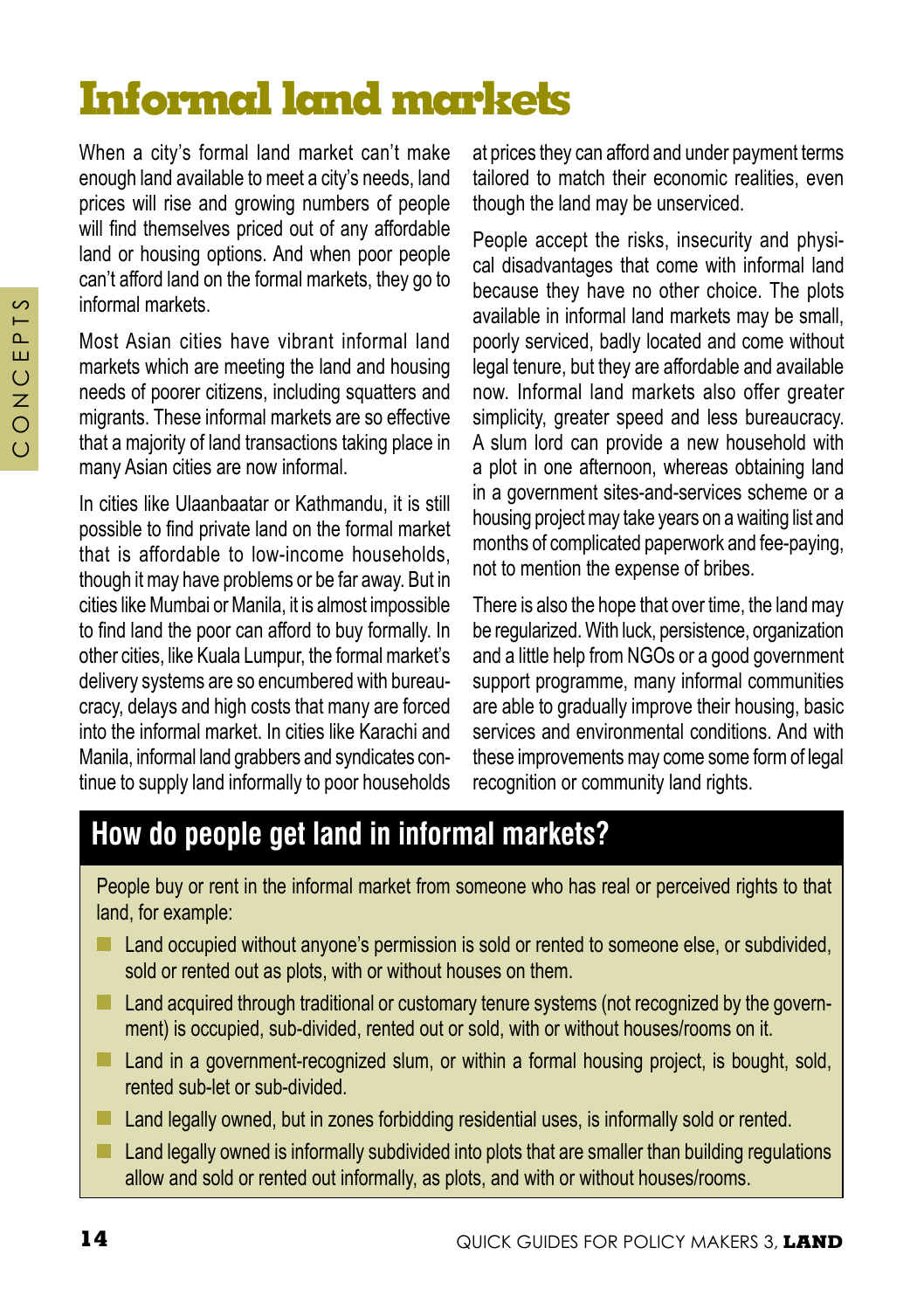# **Informal land markets**

When a city's formal land market can't make enough land available to meet a city's needs, land prices will rise and growing numbers of people will find themselves priced out of any affordable land or housing options. And when poor people can't afford land on the formal markets, they go to informal markets.

Most Asian cities have vibrant informal land markets which are meeting the land and housing needs of poorer citizens, including squatters and migrants. These informal markets are so effective that a majority of land transactions taking place in many Asian cities are now informal.

In cities like Ulaanbaatar or Kathmandu, it is still possible to find private land on the formal market that is affordable to low-income households, though it may have problems or be far away. But in cities like Mumbai or Manila, it is almost impossible to find land the poor can afford to buy formally. In other cities, like Kuala Lumpur, the formal market's delivery systems are so encumbered with bureaucracy, delays and high costs that many are forced into the informal market. In cities like Karachi and Manila, informal land grabbers and syndicates continue to supply land informally to poor households at prices they can afford and under payment terms tailored to match their economic realities, even though the land may be unserviced.

People accept the risks, insecurity and physical disadvantages that come with informal land because they have no other choice. The plots available in informal land markets may be small, poorly serviced, badly located and come without legal tenure, but they are affordable and available now. Informal land markets also offer greater simplicity, greater speed and less bureaucracy. A slum lord can provide a new household with a plot in one afternoon, whereas obtaining land in a government sites-and-services scheme or a housing project may take years on a waiting list and months of complicated paperwork and fee-paying, not to mention the expense of bribes.

There is also the hope that over time, the land may be regularized. With luck, persistence, organization and a little help from NGOs or a good government support programme, many informal communities are able to gradually improve their housing, basic services and environmental conditions. And with these improvements may come some form of legal recognition or community land rights.

## **How do people get land in informal markets?**

People buy or rent in the informal market from someone who has real or perceived rights to that land, for example:

- **Land occupied without anyone's permission is sold or rented to someone else, or subdivided,** sold or rented out as plots, with or without houses on them.
- **Land acquired through traditional or customary tenure systems (not recognized by the govern**ment) is occupied, sub-divided, rented out or sold, with or without houses/rooms on it.
- Land in a government-recognized slum, or within a formal housing project, is bought, sold, rented sub-let or sub-divided.
- **Land legally owned, but in zones forbidding residential uses, is informally sold or rented.**
- $\blacksquare$  Land legally owned is informally subdivided into plots that are smaller than building regulations allow and sold or rented out informally, as plots, and with or without houses/rooms.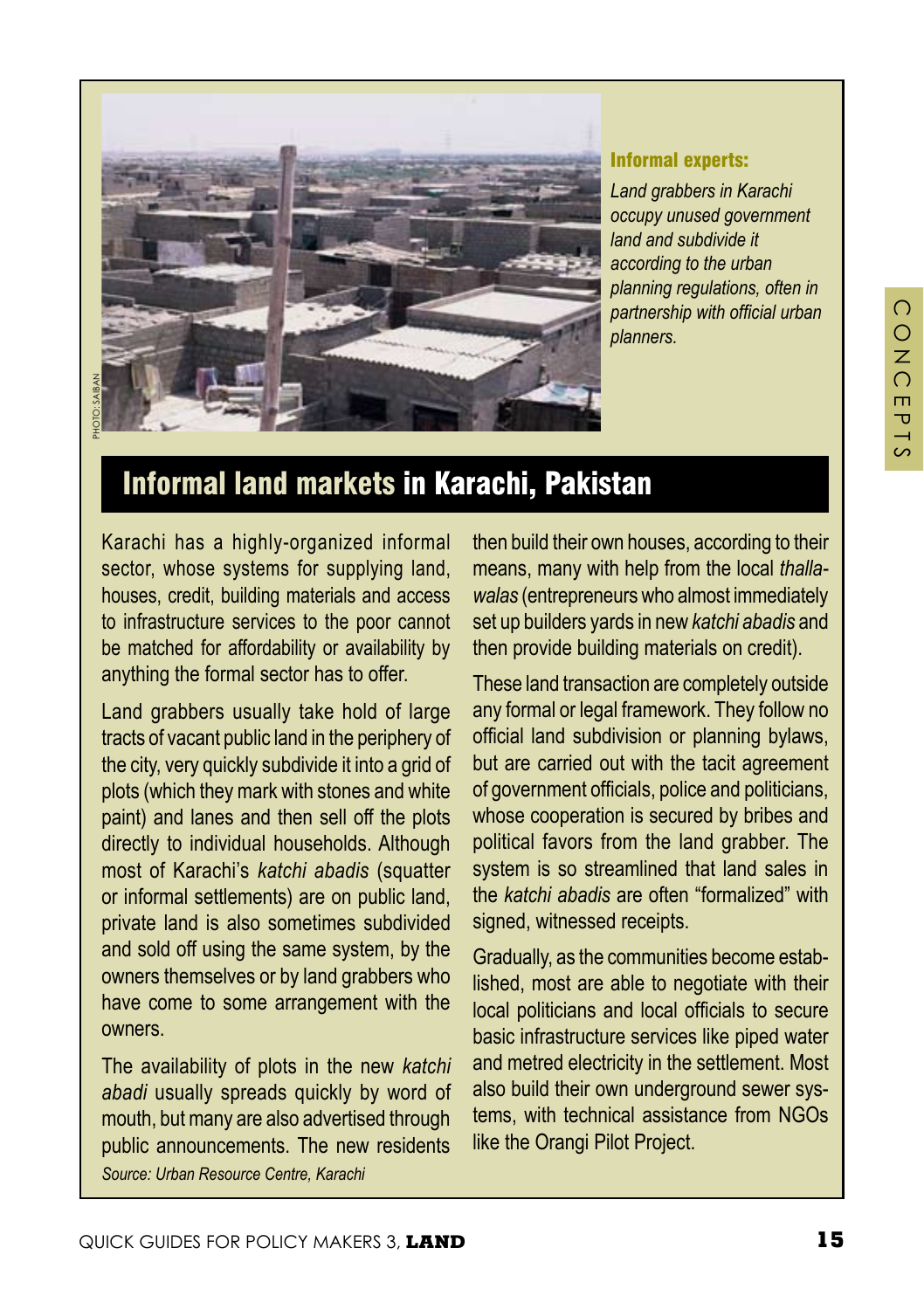

#### Informal experts:

*Land grabbers in Karachi occupy unused government land and subdivide it according to the urban planning regulations, often in partnership with official urban planners.*

## Informal land markets in Karachi, Pakistan

Karachi has a highly-organized informal sector, whose systems for supplying land, houses, credit, building materials and access to infrastructure services to the poor cannot be matched for affordability or availability by anything the formal sector has to offer.

Land grabbers usually take hold of large tracts of vacant public land in the periphery of the city, very quickly subdivide it into a grid of plots (which they mark with stones and white paint) and lanes and then sell off the plots directly to individual households. Although most of Karachi's *katchi abadis* (squatter or informal settlements) are on public land, private land is also sometimes subdivided and sold off using the same system, by the owners themselves or by land grabbers who have come to some arrangement with the owners.

The availability of plots in the new *katchi abadi* usually spreads quickly by word of mouth, but many are also advertised through public announcements. The new residents *Source: Urban Resource Centre, Karachi*

then build their own houses, according to their means, many with help from the local *thallawalas* (entrepreneurs who almost immediately set up builders yards in new *katchi abadis* and then provide building materials on credit).

These land transaction are completely outside any formal or legal framework. They follow no official land subdivision or planning bylaws, but are carried out with the tacit agreement of government officials, police and politicians, whose cooperation is secured by bribes and political favors from the land grabber. The system is so streamlined that land sales in the *katchi abadis* are often "formalized" with signed, witnessed receipts.

Gradually, as the communities become established, most are able to negotiate with their local politicians and local officials to secure basic infrastructure services like piped water and metred electricity in the settlement. Most also build their own underground sewer systems, with technical assistance from NGOs like the Orangi Pilot Project.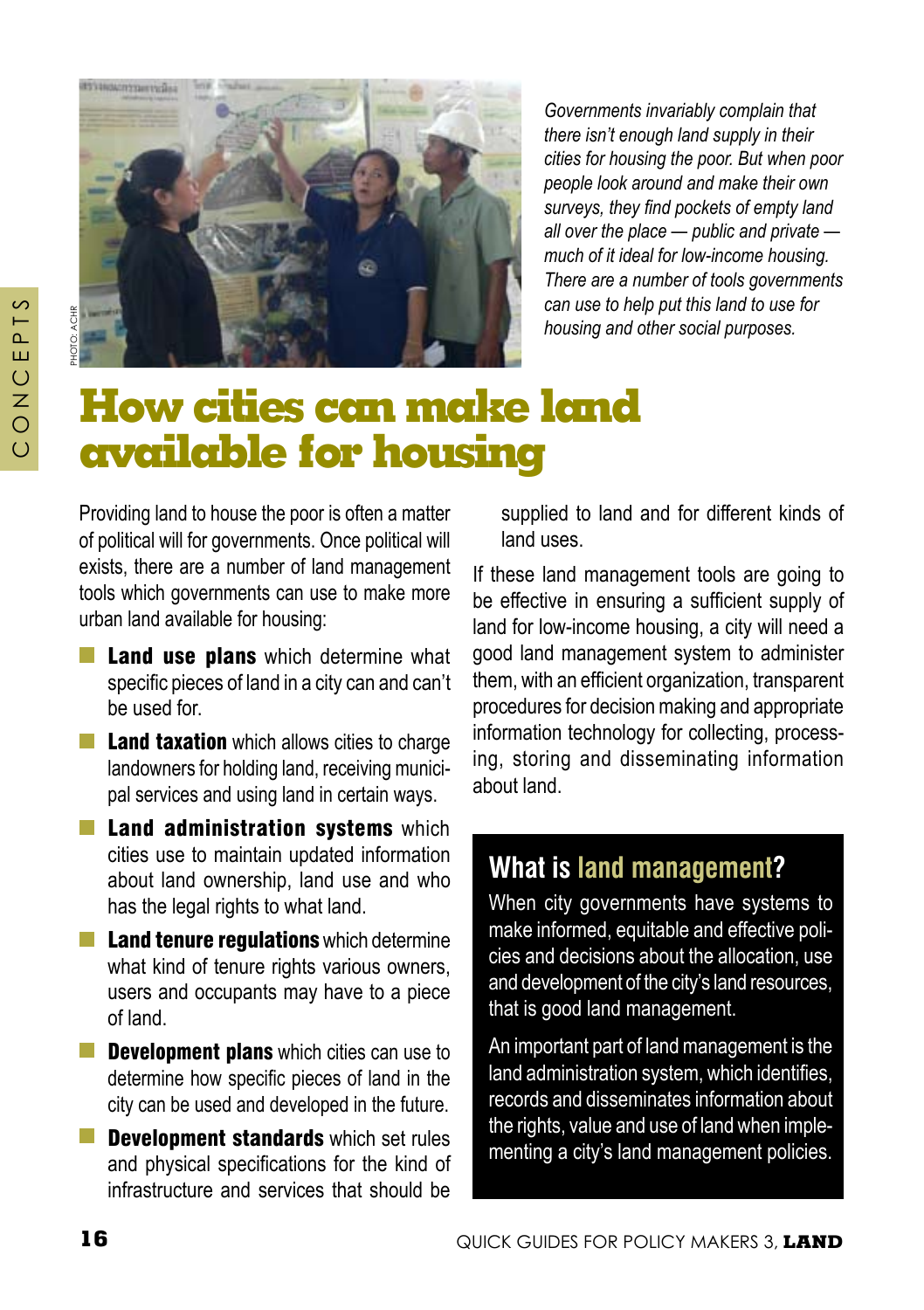

PHOTO: ACHR

*cities for housing the poor. But when poor people look around and make their own surveys, they find pockets of empty land all over the place — public and private much of it ideal for low-income housing. There are a number of tools governments can use to help put this land to use for housing and other social purposes.* 

*Governments invariably complain that there isn't enough land supply in their* 

## **How cities can make land available for housing**

Providing land to house the poor is often a matter of political will for governments. Once political will exists, there are a number of land management tools which governments can use to make more urban land available for housing:

- **Land use plans** which determine what specific pieces of land in a city can and can't be used for.
- $\blacksquare$  Land taxation which allows cities to charge landowners for holding land, receiving municipal services and using land in certain ways.
- $\blacksquare$  Land administration systems which cities use to maintain updated information about land ownership, land use and who has the legal rights to what land.
- $\blacksquare$  Land tenure regulations which determine what kind of tenure rights various owners. users and occupants may have to a piece of land.
- $\blacksquare$  Development plans which cities can use to determine how specific pieces of land in the city can be used and developed in the future.
- Development standards which set rules and physical specifications for the kind of infrastructure and services that should be

supplied to land and for different kinds of land uses.

If these land management tools are going to be effective in ensuring a sufficient supply of land for low-income housing, a city will need a good land management system to administer them, with an efficient organization, transparent procedures for decision making and appropriate information technology for collecting, processing, storing and disseminating information about land.

#### **What is land management?**

When city governments have systems to make informed, equitable and effective policies and decisions about the allocation, use and development of the city's land resources, that is good land management.

An important part of land management is the land administration system, which identifies, records and disseminates information about the rights, value and use of land when implementing a city's land management policies.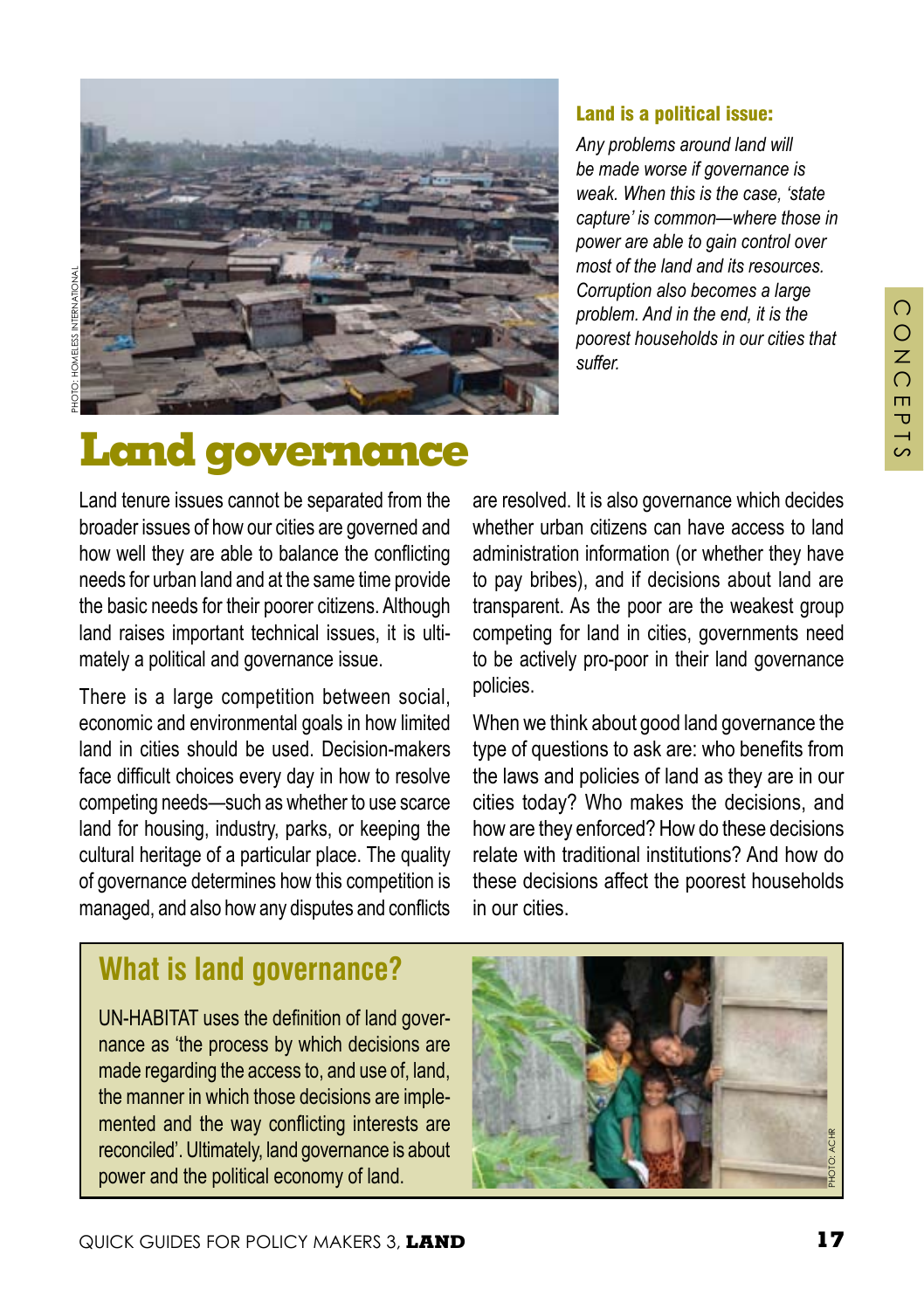PHOTO: HOMELESS INTERNATIONAL



#### Land is a political issue:

*Any problems around land will be made worse if governance is weak. When this is the case, 'state capture' is common—where those in power are able to gain control over most of the land and its resources. Corruption also becomes a large problem. And in the end, it is the poorest households in our cities that suffer.*

# **Land governance**

Land tenure issues cannot be separated from the broader issues of how our cities are governed and how well they are able to balance the conflicting needs for urban land and at the same time provide the basic needs for their poorer citizens. Although land raises important technical issues, it is ultimately a political and governance issue.

There is a large competition between social, economic and environmental goals in how limited land in cities should be used. Decision-makers face difficult choices every day in how to resolve competing needs—such as whether to use scarce land for housing, industry, parks, or keeping the cultural heritage of a particular place. The quality of governance determines how this competition is managed, and also how any disputes and conflicts

are resolved. It is also governance which decides whether urban citizens can have access to land administration information (or whether they have to pay bribes), and if decisions about land are transparent. As the poor are the weakest group competing for land in cities, governments need to be actively pro-poor in their land governance policies.

When we think about good land governance the type of questions to ask are: who benefits from the laws and policies of land as they are in our cities today? Who makes the decisions, and how are they enforced? How do these decisions relate with traditional institutions? And how do these decisions affect the poorest households in our cities.

#### **What is land governance?**

UN-HABITAT uses the definition of land governance as 'the process by which decisions are made regarding the access to, and use of, land, the manner in which those decisions are implemented and the way conflicting interests are reconciled'. Ultimately, land governance is about power and the political economy of land.



 $\bigcap$  $\overline{O}$  $\overline{z}$  $\Omega$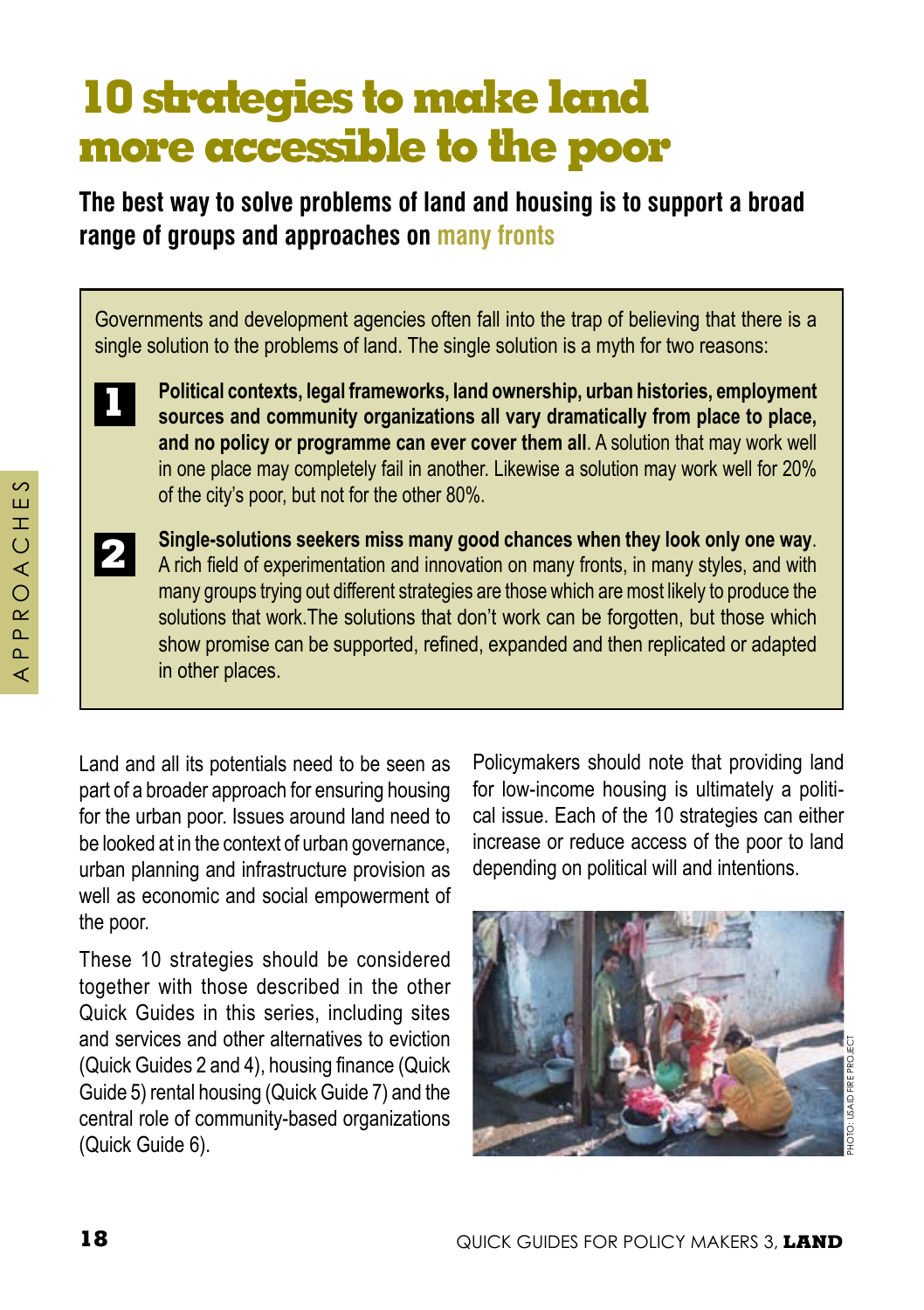# **10 strategies to make land more accessible to the poor**

**The best way to solve problems of land and housing is to support a broad range of groups and approaches on many fronts**

Governments and development agencies often fall into the trap of believing that there is a single solution to the problems of land. The single solution is a myth for two reasons:



**2**

**Political contexts, legal frameworks, land ownership, urban histories, employment sources and community organizations all vary dramatically from place to place, and no policy or programme can ever cover them all**. A solution that may work well in one place may completely fail in another. Likewise a solution may work well for 20% of the city's poor, but not for the other 80%.

**Single-solutions seekers miss many good chances when they look only one way**. A rich field of experimentation and innovation on many fronts, in many styles, and with many groups trying out different strategies are those which are most likely to produce the solutions that work.The solutions that don't work can be forgotten, but those which show promise can be supported, refined, expanded and then replicated or adapted in other places.

Land and all its potentials need to be seen as part of a broader approach for ensuring housing for the urban poor. Issues around land need to be looked at in the context of urban governance, urban planning and infrastructure provision as well as economic and social empowerment of the poor.

These 10 strategies should be considered together with those described in the other Quick Guides in this series, including sites and services and other alternatives to eviction (Quick Guides 2 and 4), housing finance (Quick Guide 5) rental housing (Quick Guide 7) and the central role of community-based organizations (Quick Guide 6).

Policymakers should note that providing land for low-income housing is ultimately a political issue. Each of the 10 strategies can either increase or reduce access of the poor to land depending on political will and intentions.



 $\circ$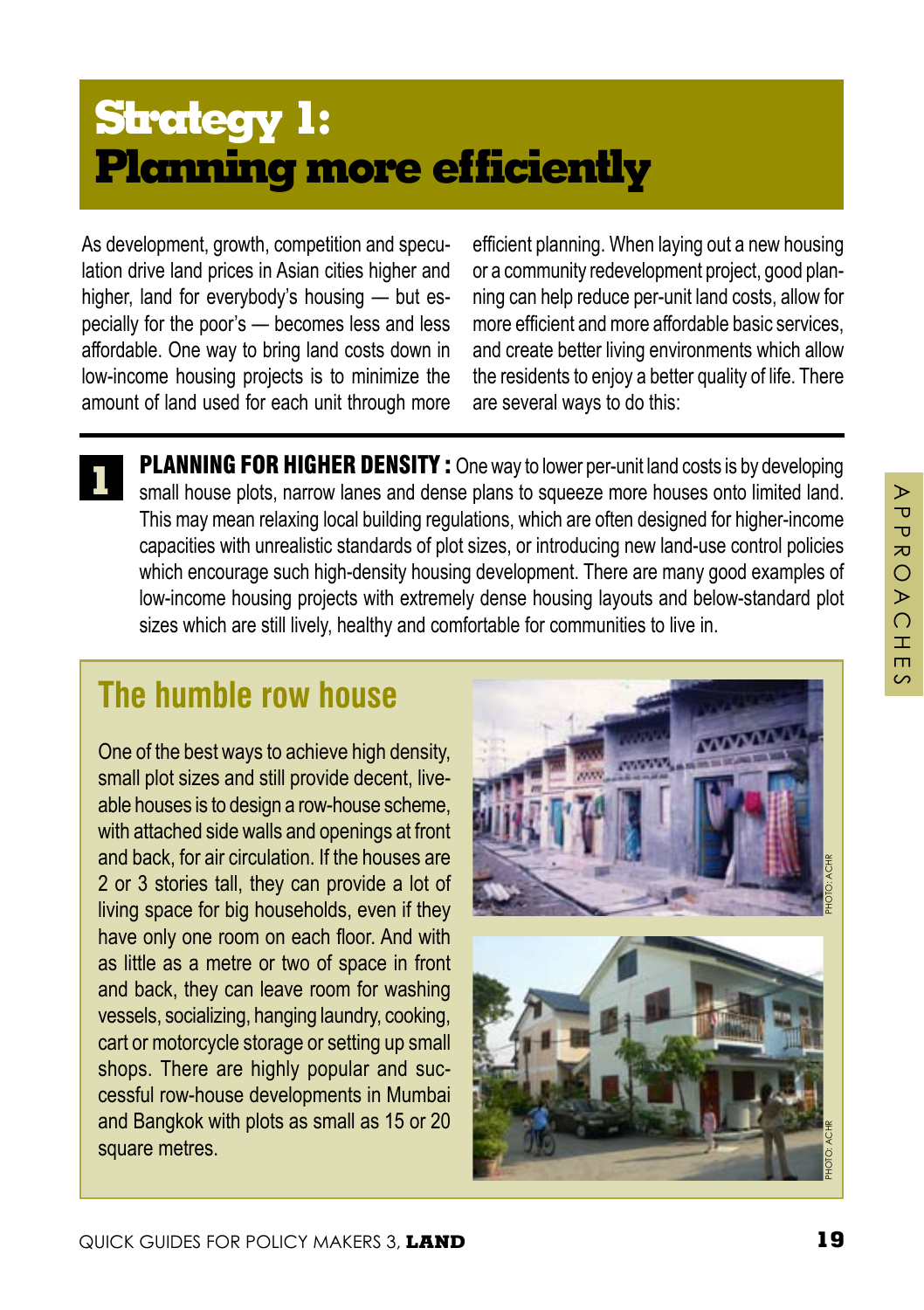# **Strategy 1: Planning more efficiently**

As development, growth, competition and speculation drive land prices in Asian cities higher and higher, land for everybody's housing — but especially for the poor's — becomes less and less affordable. One way to bring land costs down in low-income housing projects is to minimize the amount of land used for each unit through more efficient planning. When laying out a new housing or a community redevelopment project, good planning can help reduce per-unit land costs, allow for more efficient and more affordable basic services, and create better living environments which allow the residents to enjoy a better quality of life. There are several ways to do this:

**1 PLANNING FOR HIGHER DENSITY:** One way to lower per-unit land costs is by developing small house plots, narrow lanes and dense plans to squeeze more houses onto limited land. This may mean relaxing local building regulations, which are often designed for higher-income capacities with unrealistic standards of plot sizes, or introducing new land-use control policies which encourage such high-density housing development. There are many good examples of low-income housing projects with extremely dense housing layouts and below-standard plot sizes which are still lively, healthy and comfortable for communities to live in.

## **The humble row house**

One of the best ways to achieve high density, small plot sizes and still provide decent, liveable houses is to design a row-house scheme, with attached side walls and openings at front and back, for air circulation. If the houses are 2 or 3 stories tall, they can provide a lot of living space for big households, even if they have only one room on each floor. And with as little as a metre or two of space in front and back, they can leave room for washing vessels, socializing, hanging laundry, cooking, cart or motorcycle storage or setting up small shops. There are highly popular and successful row-house developments in Mumbai and Bangkok with plots as small as 15 or 20 square metres.

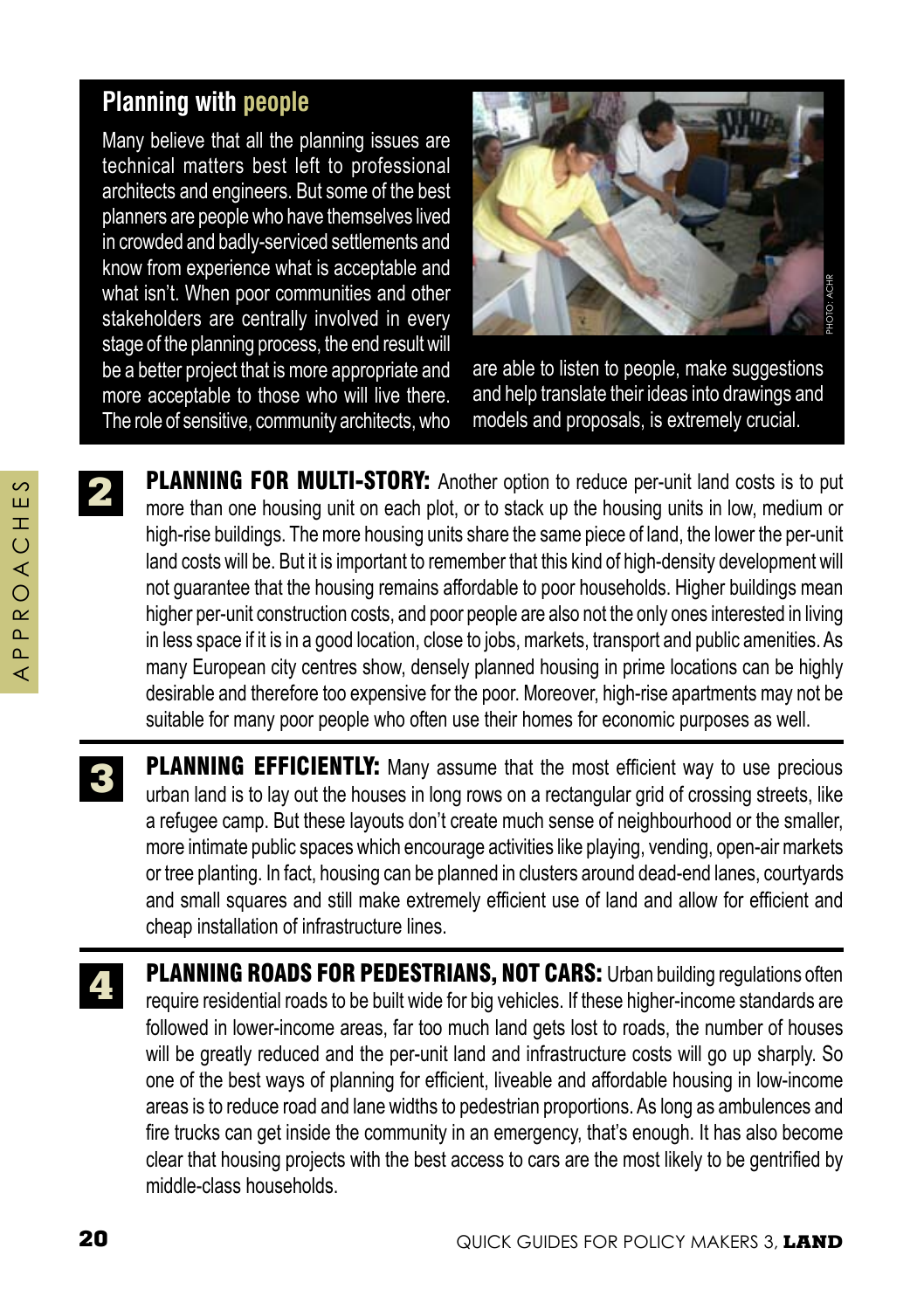#### **Planning with people**

Many believe that all the planning issues are technical matters best left to professional architects and engineers. But some of the best planners are people who have themselves lived in crowded and badly-serviced settlements and know from experience what is acceptable and what isn't. When poor communities and other stakeholders are centrally involved in every stage of the planning process, the end result will be a better project that is more appropriate and more acceptable to those who will live there. The role of sensitive, community architects, who



are able to listen to people, make suggestions and help translate their ideas into drawings and models and proposals, is extremely crucial.

**PLANNING FOR MULTI-STORY:** Another option to reduce per-unit land costs is to put more than one housing unit on each plot, or to stack up the housing units in low, medium or high-rise buildings. The more housing units share the same piece of land, the lower the per-unit land costs will be. But it is important to remember that this kind of high-density development will not guarantee that the housing remains affordable to poor households. Higher buildings mean higher per-unit construction costs, and poor people are also not the only ones interested in living in less space if it is in a good location, close to jobs, markets, transport and public amenities. As many European city centres show, densely planned housing in prime locations can be highly desirable and therefore too expensive for the poor. Moreover, high-rise apartments may not be suitable for many poor people who often use their homes for economic purposes as well.

- PLANNING EFFICIENTLY: Many assume that the most efficient way to use precious urban land is to lay out the houses in long rows on a rectangular grid of crossing streets, like a refugee camp. But these layouts don't create much sense of neighbourhood or the smaller, more intimate public spaces which encourage activities like playing, vending, open-air markets or tree planting. In fact, housing can be planned in clusters around dead-end lanes, courtyards and small squares and still make extremely efficient use of land and allow for efficient and cheap installation of infrastructure lines. **3**
- **4 PLANNING ROADS FOR PEDESTRIANS, NOT CARS:** Urban building regulations often require residential roads to be built wide for big vehicles. If these higher-income standards are followed in lower-income areas, far too much land gets lost to roads, the number of houses will be greatly reduced and the per-unit land and infrastructure costs will go up sharply. So one of the best ways of planning for efficient, liveable and affordable housing in low-income areas is to reduce road and lane widths to pedestrian proportions. As long as ambulences and fire trucks can get inside the community in an emergency, that's enough. It has also become clear that housing projects with the best access to cars are the most likely to be gentrified by middle-class households.

**2**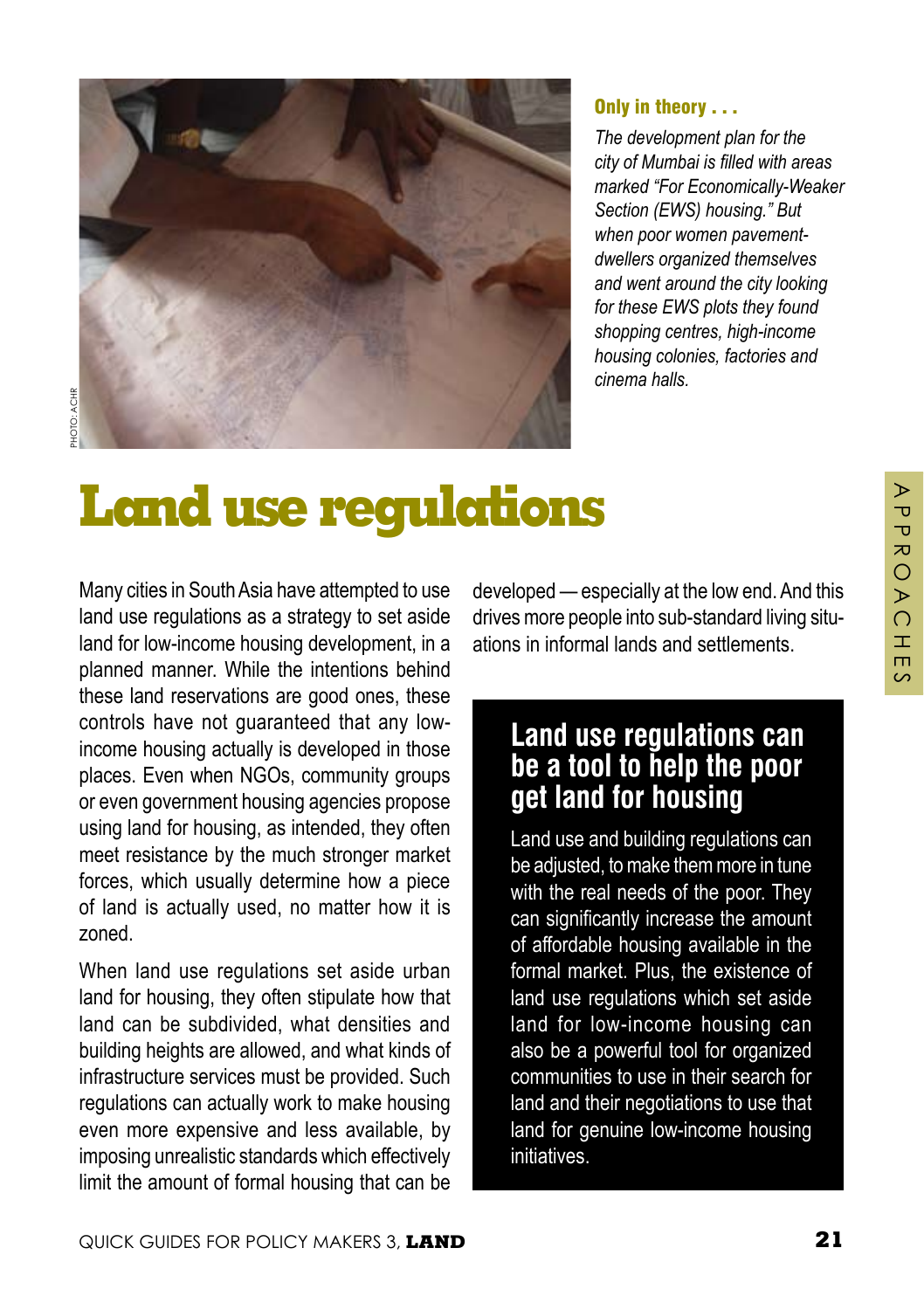

#### Only in theory . . .

*The development plan for the city of Mumbai is filled with areas marked "For Economically-Weaker Section (EWS) housing." But when poor women pavementdwellers organized themselves and went around the city looking for these EWS plots they found shopping centres, high-income housing colonies, factories and cinema halls.* 

# **Land use regulations**

Many cities in South Asia have attempted to use land use regulations as a strategy to set aside land for low-income housing development, in a planned manner. While the intentions behind these land reservations are good ones, these controls have not guaranteed that any lowincome housing actually is developed in those places. Even when NGOs, community groups or even government housing agencies propose using land for housing, as intended, they often meet resistance by the much stronger market forces, which usually determine how a piece of land is actually used, no matter how it is zoned.

When land use regulations set aside urban land for housing, they often stipulate how that land can be subdivided, what densities and building heights are allowed, and what kinds of infrastructure services must be provided. Such regulations can actually work to make housing even more expensive and less available, by imposing unrealistic standards which effectively limit the amount of formal housing that can be

developed — especially at the low end. And this drives more people into sub-standard living situations in informal lands and settlements.

#### **Land use regulations can be a tool to help the poor get land for housing**

Land use and building regulations can be adjusted, to make them more in tune with the real needs of the poor. They can significantly increase the amount of affordable housing available in the formal market. Plus, the existence of land use regulations which set aside land for low-income housing can also be a powerful tool for organized communities to use in their search for land and their negotiations to use that land for genuine low-income housing initiatives.

⋗  $\overline{\mathbf{U}}$  $\overline{\mathbf{U}}$  $\overline{a}$  $\overline{O}$  $\triangleright$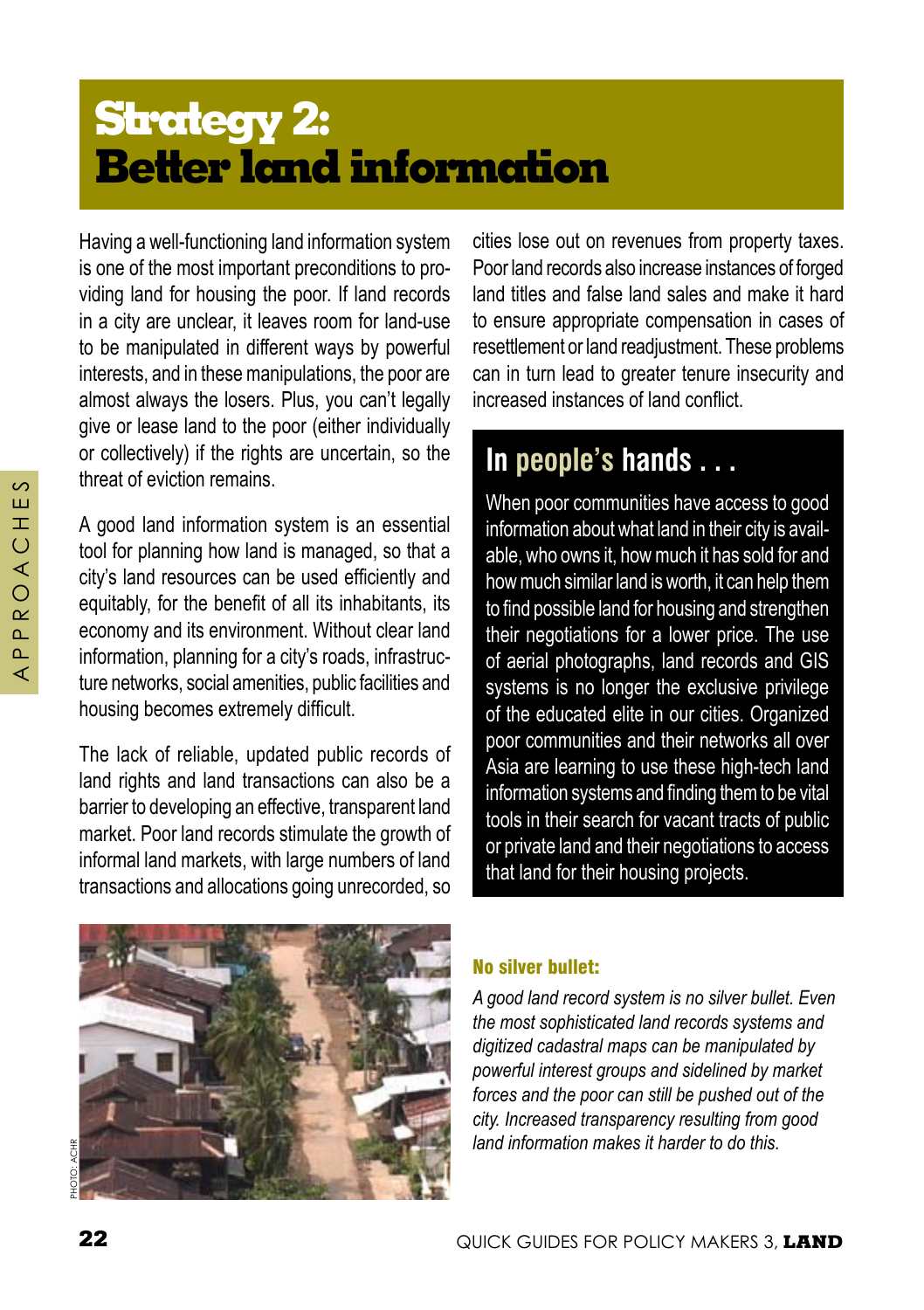# **Strategy 2: Better land information**

Having a well-functioning land information system is one of the most important preconditions to providing land for housing the poor. If land records in a city are unclear, it leaves room for land-use to be manipulated in different ways by powerful interests, and in these manipulations, the poor are almost always the losers. Plus, you can't legally give or lease land to the poor (either individually or collectively) if the rights are uncertain, so the threat of eviction remains.

A good land information system is an essential tool for planning how land is managed, so that a city's land resources can be used efficiently and equitably, for the benefit of all its inhabitants, its economy and its environment. Without clear land information, planning for a city's roads, infrastructure networks, social amenities, public facilities and housing becomes extremely difficult.

The lack of reliable, updated public records of land rights and land transactions can also be a barrier to developing an effective, transparent land market. Poor land records stimulate the growth of informal land markets, with large numbers of land transactions and allocations going unrecorded, so

cities lose out on revenues from property taxes. Poor land records also increase instances of forged land titles and false land sales and make it hard to ensure appropriate compensation in cases of resettlement or land readjustment. These problems can in turn lead to greater tenure insecurity and increased instances of land conflict.

## **In people's hands . . .**

When poor communities have access to good information about what land in their city is available, who owns it, how much it has sold for and how much similar land is worth, it can help them to find possible land for housing and strengthen their negotiations for a lower price. The use of aerial photographs, land records and GIS systems is no longer the exclusive privilege of the educated elite in our cities. Organized poor communities and their networks all over Asia are learning to use these high-tech land information systems and finding them to be vital tools in their search for vacant tracts of public or private land and their negotiations to access that land for their housing projects.



#### No silver bullet:

*A good land record system is no silver bullet. Even the most sophisticated land records systems and digitized cadastral maps can be manipulated by powerful interest groups and sidelined by market forces and the poor can still be pushed out of the city. Increased transparency resulting from good land information makes it harder to do this.* 

 $\sim$ Ш Ŧ  $\overline{O}$ ∢  $\overline{O}$  $\alpha$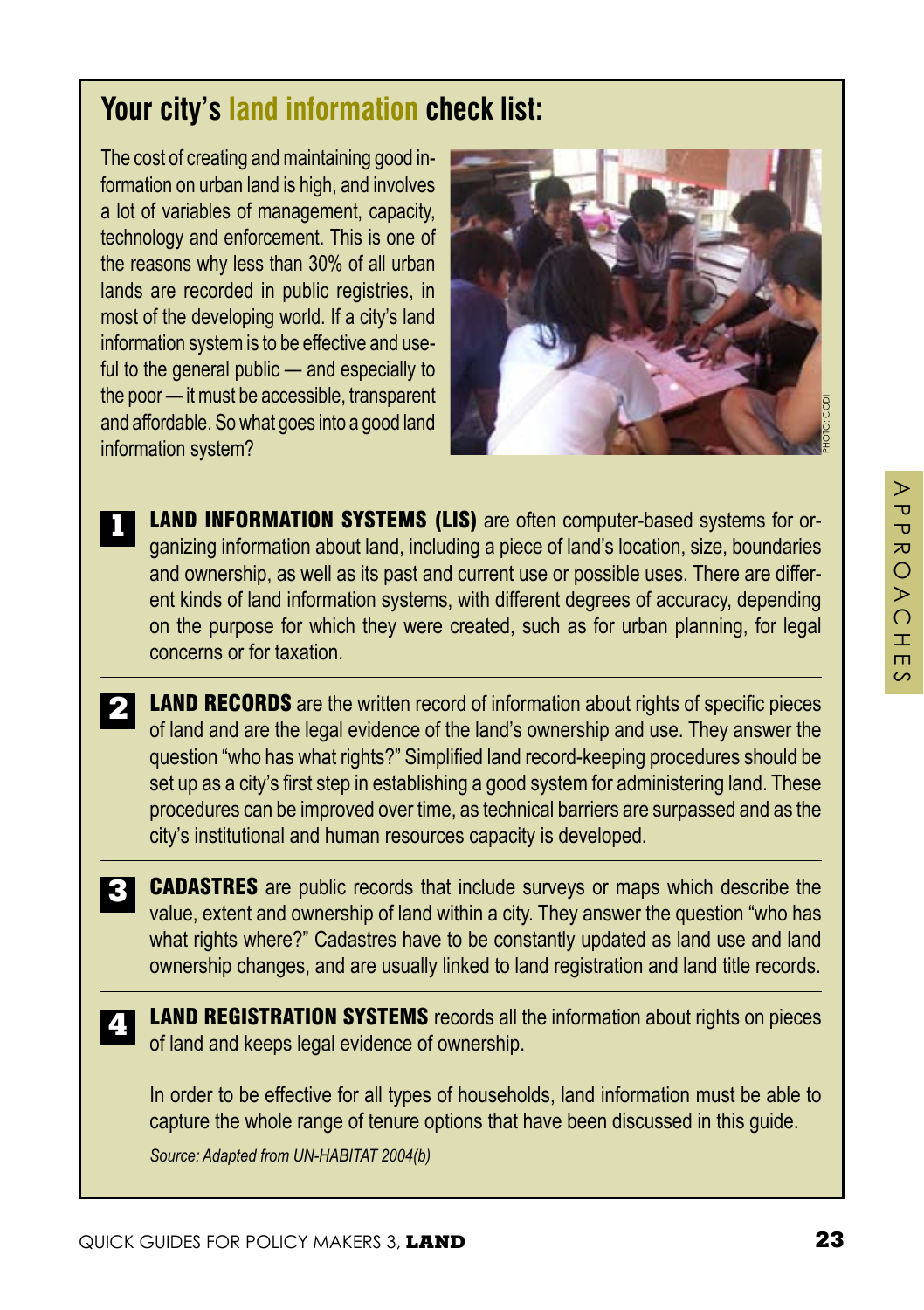PHOTO: CODI

## **Your city's land information check list:**

The cost of creating and maintaining good information on urban land is high, and involves a lot of variables of management, capacity, technology and enforcement. This is one of the reasons why less than 30% of all urban lands are recorded in public registries, in most of the developing world. If a city's land information system is to be effective and useful to the general public — and especially to the poor — it must be accessible, transparent and affordable. So what goes into a good land information system?

**1**



**PHOTO 51 — A**

- **2 LAND RECORDS** are the written record of information about rights of specific pieces of land and are the legal evidence of the land's ownership and use. They answer the question "who has what rights?" Simplified land record-keeping procedures should be set up as a city's first step in establishing a good system for administering land. These procedures can be improved over time, as technical barriers are surpassed and as the city's institutional and human resources capacity is developed.
- **3** CADASTRES are public records that include surveys or maps which describe the value, extent and ownership of land within a city. They answer the question "who has what rights where?" Cadastres have to be constantly updated as land use and land ownership changes, and are usually linked to land registration and land title records.
- **4** LAND REGISTRATION SYSTEMS records all the information about rights on pieces of land and keeps legal evidence of ownership.

In order to be effective for all types of households, land information must be able to capture the whole range of tenure options that have been discussed in this guide.

*Source: Adapted from UN-HABITAT 2004(b)*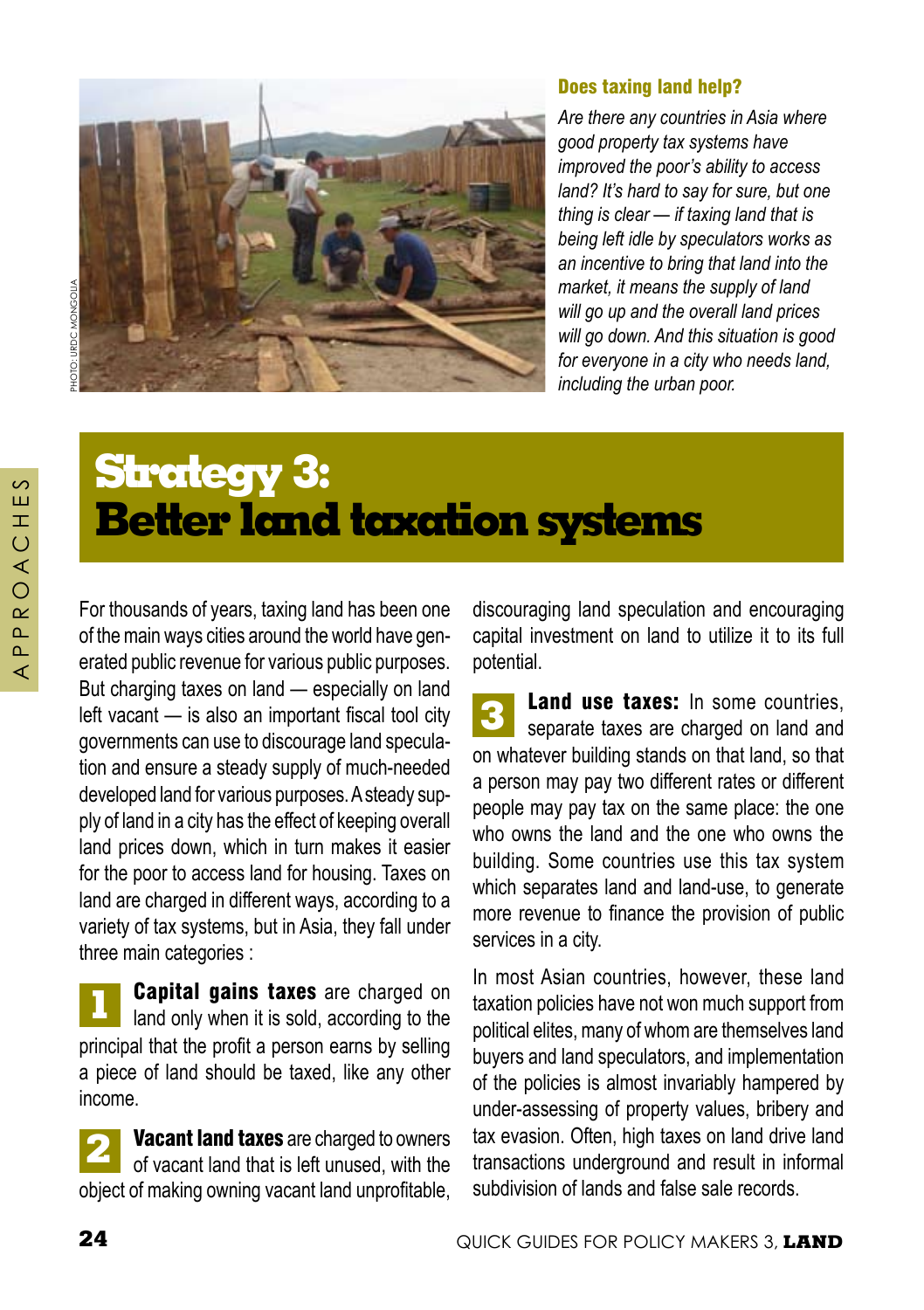

# TO: URDC MONGOUA

#### Does taxing land help?

*Are there any countries in Asia where good property tax systems have improved the poor's ability to access land? It's hard to say for sure, but one thing is clear — if taxing land that is being left idle by speculators works as an incentive to bring that land into the market, it means the supply of land will go up and the overall land prices will go down. And this situation is good for everyone in a city who needs land, including the urban poor.* 

# **Strategy 3: Better land taxation systems**

For thousands of years, taxing land has been one of the main ways cities around the world have generated public revenue for various public purposes. But charging taxes on land — especially on land left vacant — is also an important fiscal tool city governments can use to discourage land speculation and ensure a steady supply of much-needed developed land for various purposes. A steady supply of land in a city has the effect of keeping overall land prices down, which in turn makes it easier for the poor to access land for housing. Taxes on land are charged in different ways, according to a variety of tax systems, but in Asia, they fall under three main categories :

**1 Capital gains taxes** are charged on land only when it is sold, according to the principal that the profit a person earns by selling a piece of land should be taxed, like any other income.

**2** Vacant land taxes are charged to owners of vacant land that is left unused, with the object of making owning vacant land unprofitable, discouraging land speculation and encouraging capital investment on land to utilize it to its full potential.

**3** Land use taxes: In some countries. separate taxes are charged on land and on whatever building stands on that land, so that a person may pay two different rates or different people may pay tax on the same place: the one who owns the land and the one who owns the building. Some countries use this tax system which separates land and land-use, to generate more revenue to finance the provision of public services in a city.

In most Asian countries, however, these land taxation policies have not won much support from political elites, many of whom are themselves land buyers and land speculators, and implementation of the policies is almost invariably hampered by under-assessing of property values, bribery and tax evasion. Often, high taxes on land drive land transactions underground and result in informal subdivision of lands and false sale records.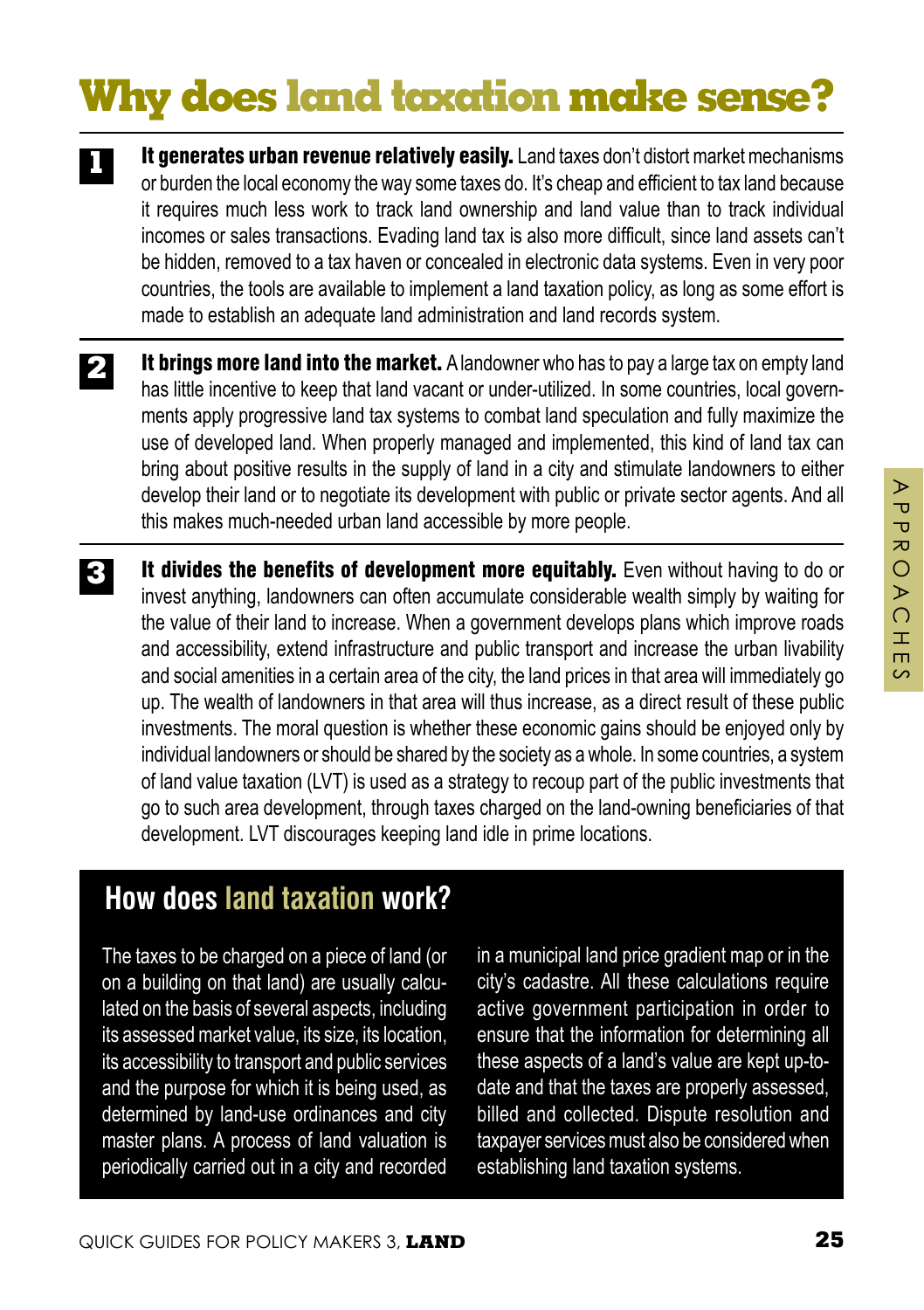# **Why does land taxation make sense?**

- It generates urban revenue relatively easily. Land taxes don't distort market mechanisms or burden the local economy the way some taxes do. It's cheap and efficient to tax land because it requires much less work to track land ownership and land value than to track individual incomes or sales transactions. Evading land tax is also more difficult, since land assets can't be hidden, removed to a tax haven or concealed in electronic data systems. Even in very poor countries, the tools are available to implement a land taxation policy, as long as some effort is made to establish an adequate land administration and land records system. **1**
- It brings more land into the market. A landowner who has to pay a large tax on empty land has little incentive to keep that land vacant or under-utilized. In some countries, local governments apply progressive land tax systems to combat land speculation and fully maximize the use of developed land. When properly managed and implemented, this kind of land tax can bring about positive results in the supply of land in a city and stimulate landowners to either develop their land or to negotiate its development with public or private sector agents. And all this makes much-needed urban land accessible by more people. **2**
- It divides the benefits of development more equitably. Even without having to do or invest anything, landowners can often accumulate considerable wealth simply by waiting for the value of their land to increase. When a government develops plans which improve roads and accessibility, extend infrastructure and public transport and increase the urban livability and social amenities in a certain area of the city, the land prices in that area will immediately go up. The wealth of landowners in that area will thus increase, as a direct result of these public investments. The moral question is whether these economic gains should be enjoyed only by individual landowners or should be shared by the society as a whole. In some countries, a system of land value taxation (LVT) is used as a strategy to recoup part of the public investments that go to such area development, through taxes charged on the land-owning beneficiaries of that development. LVT discourages keeping land idle in prime locations. **3**

## **How does land taxation work?**

The taxes to be charged on a piece of land (or on a building on that land) are usually calculated on the basis of several aspects, including its assessed market value, its size, its location, its accessibility to transport and public services and the purpose for which it is being used, as determined by land-use ordinances and city master plans. A process of land valuation is periodically carried out in a city and recorded in a municipal land price gradient map or in the city's cadastre. All these calculations require active government participation in order to ensure that the information for determining all these aspects of a land's value are kept up-todate and that the taxes are properly assessed, billed and collected. Dispute resolution and taxpayer services must also be considered when establishing land taxation systems.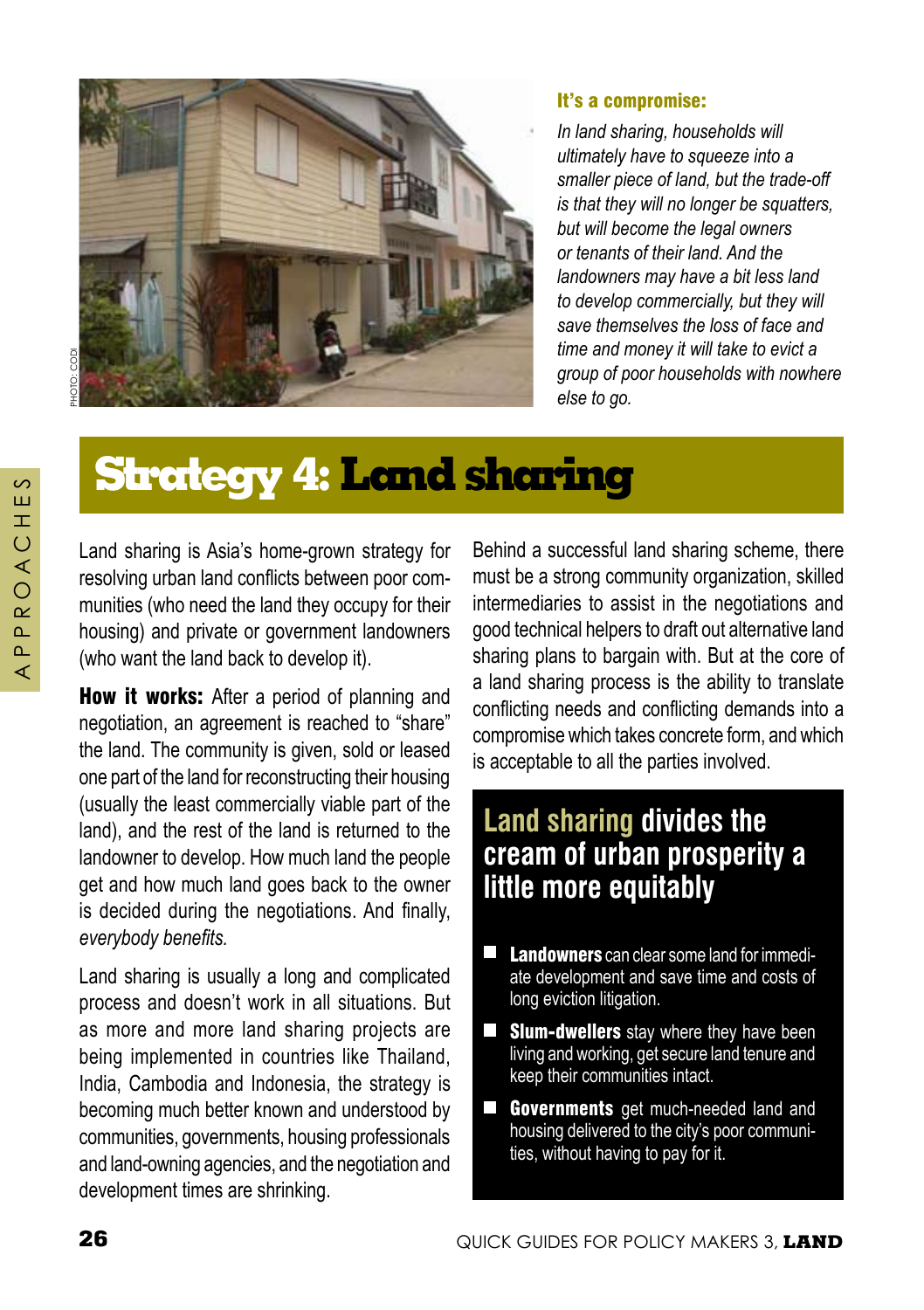

#### It's a compromise:

*In land sharing, households will ultimately have to squeeze into a smaller piece of land, but the trade-off is that they will no longer be squatters, but will become the legal owners or tenants of their land. And the landowners may have a bit less land to develop commercially, but they will save themselves the loss of face and time and money it will take to evict a group of poor households with nowhere else to go.* 

# **Strategy 4: Land sharing**

Land sharing is Asia's home-grown strategy for resolving urban land conflicts between poor communities (who need the land they occupy for their housing) and private or government landowners (who want the land back to develop it).

How it works: After a period of planning and negotiation, an agreement is reached to "share" the land. The community is given, sold or leased one part of the land for reconstructing their housing (usually the least commercially viable part of the land), and the rest of the land is returned to the landowner to develop. How much land the people get and how much land goes back to the owner is decided during the negotiations. And finally, *everybody benefits.*

Land sharing is usually a long and complicated process and doesn't work in all situations. But as more and more land sharing projects are being implemented in countries like Thailand, India, Cambodia and Indonesia, the strategy is becoming much better known and understood by communities, governments, housing professionals and land-owning agencies, and the negotiation and development times are shrinking.

Behind a successful land sharing scheme, there must be a strong community organization, skilled intermediaries to assist in the negotiations and good technical helpers to draft out alternative land sharing plans to bargain with. But at the core of a land sharing process is the ability to translate conflicting needs and conflicting demands into a compromise which takes concrete form, and which is acceptable to all the parties involved.

## **Land sharing divides the cream of urban prosperity a little more equitably**

- П Landowners can clear some land for immediate development and save time and costs of long eviction litigation.
- $\Box$ **Slum-dwellers** stay where they have been living and working, get secure land tenure and keep their communities intact.
- **Governments** get much-needed land and П housing delivered to the city's poor communities, without having to pay for it.

 $\mathcal{L}$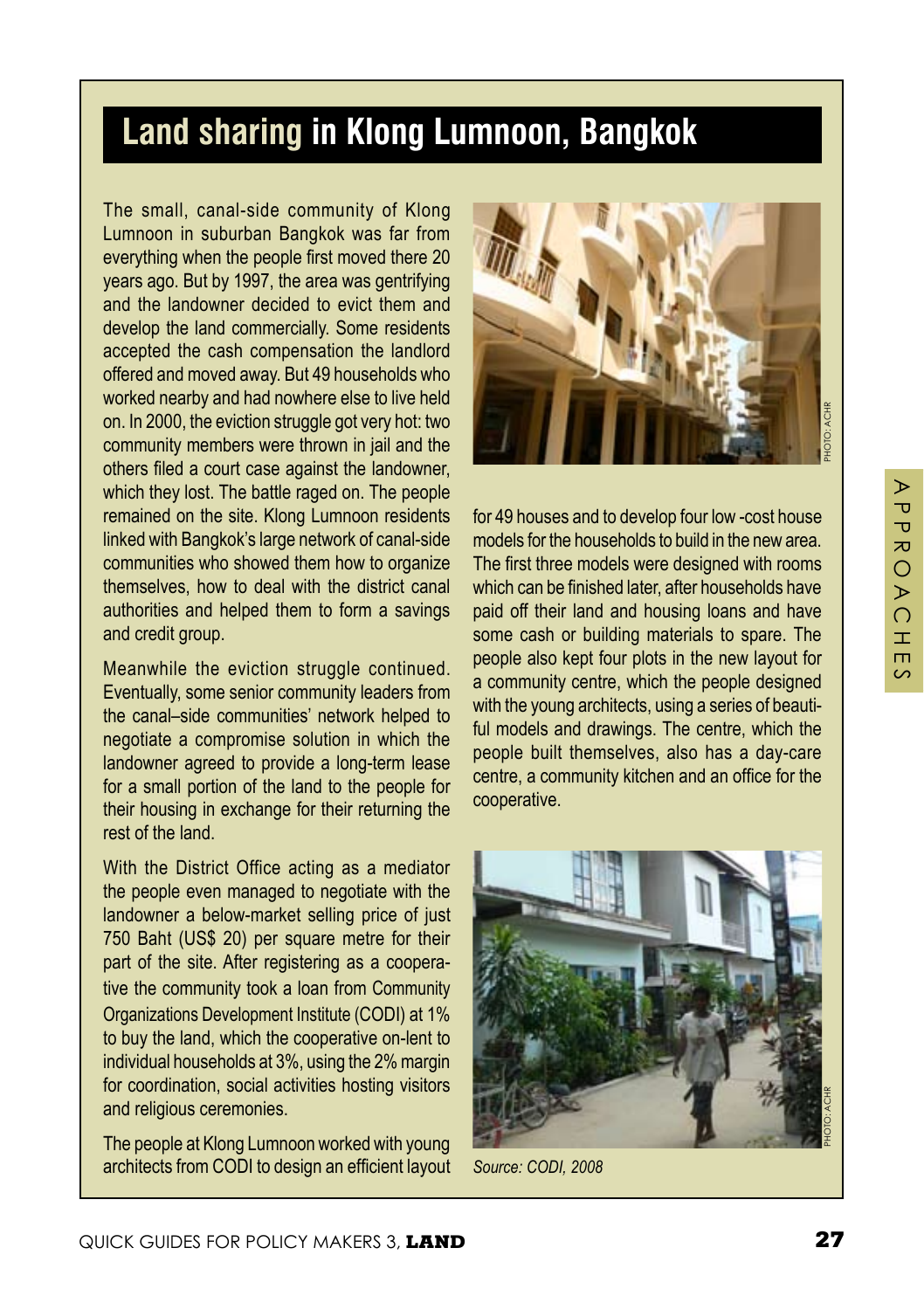## **Land sharing in Klong Lumnoon, Bangkok**

The small, canal-side community of Klong Lumnoon in suburban Bangkok was far from everything when the people first moved there 20 years ago. But by 1997, the area was gentrifying and the landowner decided to evict them and develop the land commercially. Some residents accepted the cash compensation the landlord offered and moved away. But 49 households who worked nearby and had nowhere else to live held on. In 2000, the eviction struggle got very hot: two community members were thrown in jail and the others filed a court case against the landowner, which they lost. The battle raged on. The people remained on the site. Klong Lumnoon residents linked with Bangkok's large network of canal-side communities who showed them how to organize themselves, how to deal with the district canal authorities and helped them to form a savings and credit group.

Meanwhile the eviction struggle continued. Eventually, some senior community leaders from the canal–side communities' network helped to negotiate a compromise solution in which the landowner agreed to provide a long-term lease for a small portion of the land to the people for their housing in exchange for their returning the rest of the land.

With the District Office acting as a mediator the people even managed to negotiate with the landowner a below-market selling price of just 750 Baht (US\$ 20) per square metre for their part of the site. After registering as a cooperative the community took a loan from Community Organizations Development Institute (CODI) at 1% to buy the land, which the cooperative on-lent to individual households at 3%, using the 2% margin for coordination, social activities hosting visitors and religious ceremonies.

The people at Klong Lumnoon worked with young architects from CODI to design an efficient layout



for 49 houses and to develop four low -cost house models for the households to build in the new area. The first three models were designed with rooms which can be finished later, after households have paid off their land and housing loans and have some cash or building materials to spare. The people also kept four plots in the new layout for a community centre, which the people designed with the young architects, using a series of beautiful models and drawings. The centre, which the people built themselves, also has a day-care centre, a community kitchen and an office for the cooperative.



*Source: CODI, 2008*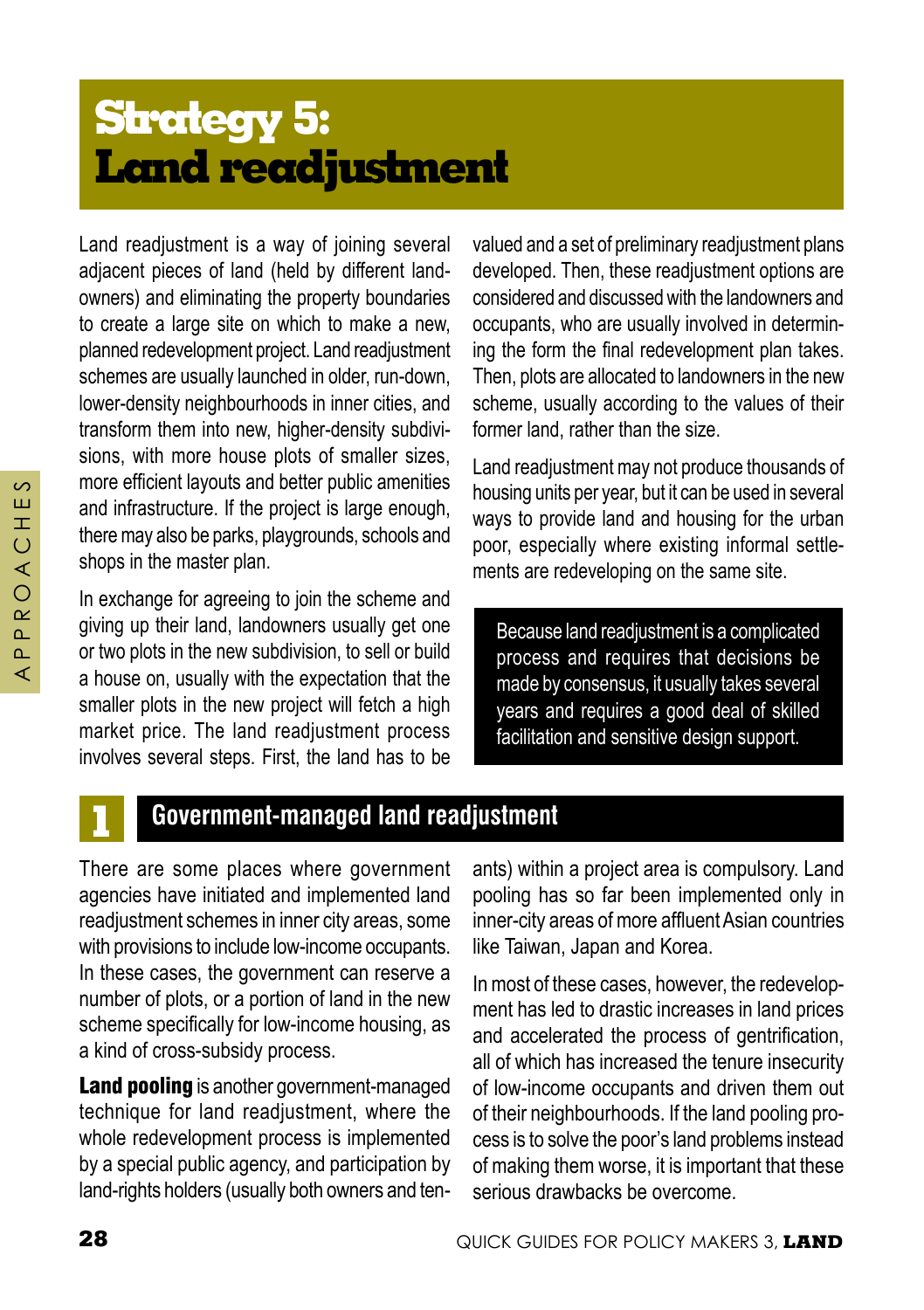# **Strategy 5: Land readjustment**

Land readjustment is a way of joining several adjacent pieces of land (held by different landowners) and eliminating the property boundaries to create a large site on which to make a new, planned redevelopment project. Land readjustment schemes are usually launched in older, run-down, lower-density neighbourhoods in inner cities, and transform them into new, higher-density subdivisions, with more house plots of smaller sizes, more efficient layouts and better public amenities and infrastructure. If the project is large enough, there may also be parks, playgrounds, schools and shops in the master plan.

In exchange for agreeing to join the scheme and giving up their land, landowners usually get one or two plots in the new subdivision, to sell or build a house on, usually with the expectation that the smaller plots in the new project will fetch a high market price. The land readjustment process involves several steps. First, the land has to be valued and a set of preliminary readjustment plans developed. Then, these readjustment options are considered and discussed with the landowners and occupants, who are usually involved in determining the form the final redevelopment plan takes. Then, plots are allocated to landowners in the new scheme, usually according to the values of their former land, rather than the size.

Land readjustment may not produce thousands of housing units per year, but it can be used in several ways to provide land and housing for the urban poor, especially where existing informal settlements are redeveloping on the same site.

Because land readjustment is a complicated process and requires that decisions be made by consensus, it usually takes several years and requires a good deal of skilled facilitation and sensitive design support.

## **1 Government-managed land readjustment**

There are some places where government agencies have initiated and implemented land readjustment schemes in inner city areas, some with provisions to include low-income occupants. In these cases, the government can reserve a number of plots, or a portion of land in the new scheme specifically for low-income housing, as a kind of cross-subsidy process.

Land pooling is another government-managed technique for land readjustment, where the whole redevelopment process is implemented by a special public agency, and participation by land-rights holders (usually both owners and tenants) within a project area is compulsory. Land pooling has so far been implemented only in inner-city areas of more affluent Asian countries like Taiwan, Japan and Korea.

In most of these cases, however, the redevelopment has led to drastic increases in land prices and accelerated the process of gentrification, all of which has increased the tenure insecurity of low-income occupants and driven them out of their neighbourhoods. If the land pooling process is to solve the poor's land problems instead of making them worse, it is important that these serious drawbacks be overcome.

 $\circ$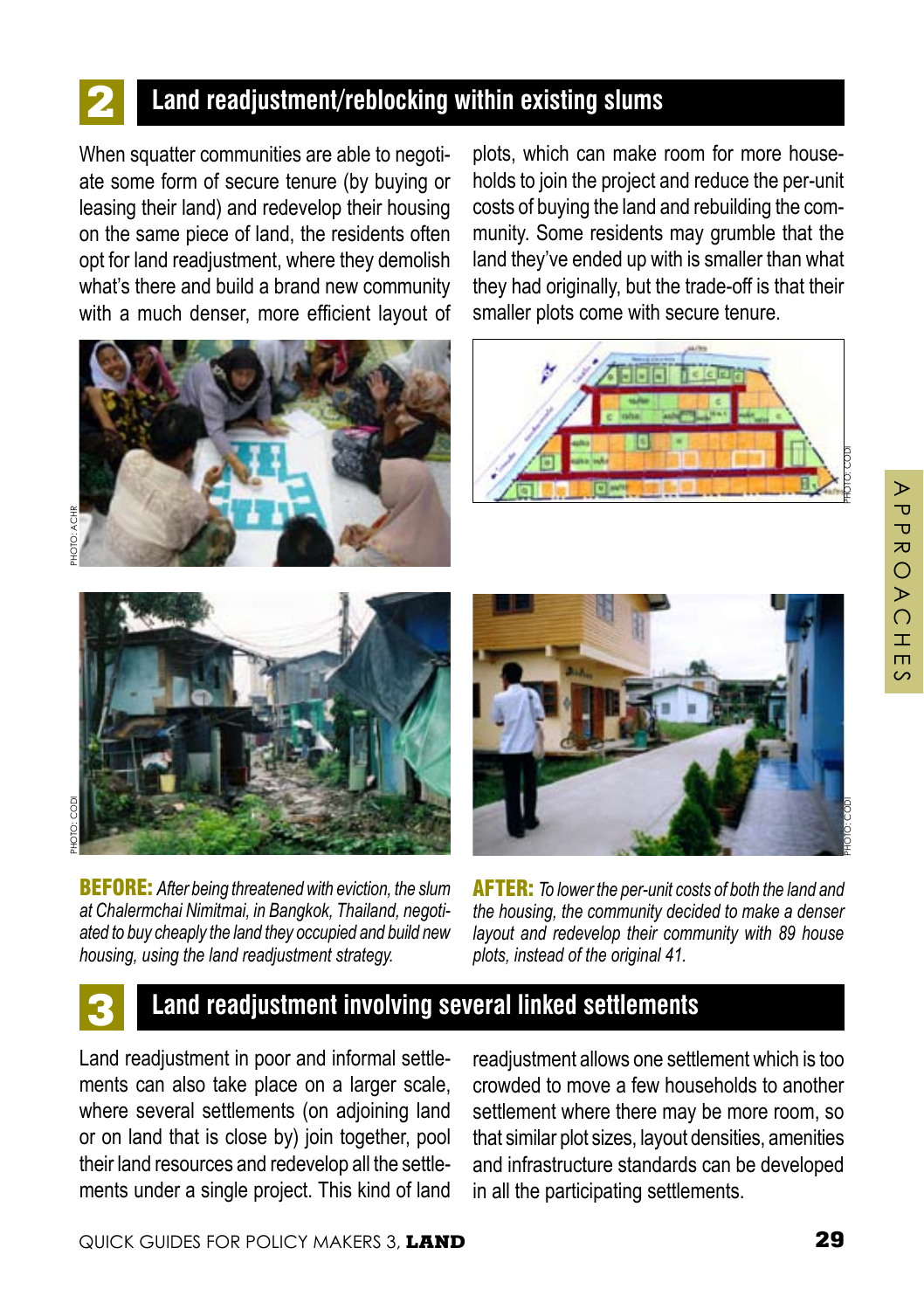#### **2 Land readjustment/reblocking within existing slums**

When squatter communities are able to negotiate some form of secure tenure (by buying or leasing their land) and redevelop their housing on the same piece of land, the residents often opt for land readjustment, where they demolish what's there and build a brand new community with a much denser, more efficient layout of



plots, which can make room for more households to join the project and reduce the per-unit costs of buying the land and rebuilding the community. Some residents may grumble that the land they've ended up with is smaller than what they had originally, but the trade-off is that their smaller plots come with secure tenure.





PHOTO: COD

BEFORE: *After being threatened with eviction, the slum at Chalermchai Nimitmai, in Bangkok, Thailand, negotiated to buy cheaply the land they occupied and build new housing, using the land readjustment strategy.* 



AFTER: *To lower the per-unit costs of both the land and the housing, the community decided to make a denser layout and redevelop their community with 89 house plots, instead of the original 41.*

#### **3 Land readjustment involving several linked settlements**

Land readjustment in poor and informal settlements can also take place on a larger scale, where several settlements (on adjoining land or on land that is close by) join together, pool their land resources and redevelop all the settlements under a single project. This kind of land readjustment allows one settlement which is too crowded to move a few households to another settlement where there may be more room, so that similar plot sizes, layout densities, amenities and infrastructure standards can be developed in all the participating settlements.

 $\triangleright$  $\overline{u}$  $\overline{\mathbf{U}}$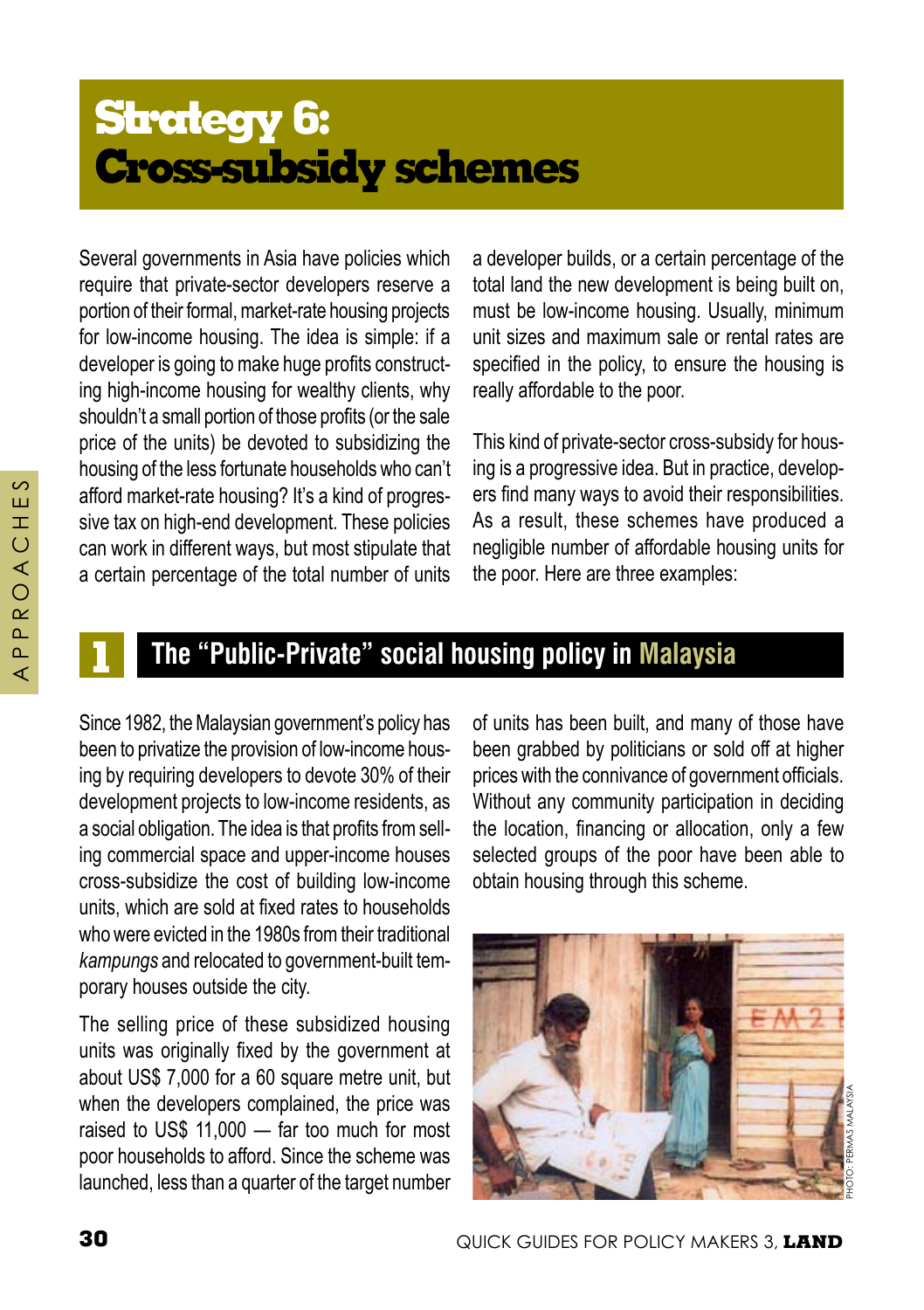# **Strategy 6: Cross-subsidy schemes**

Several governments in Asia have policies which require that private-sector developers reserve a portion of their formal, market-rate housing projects for low-income housing. The idea is simple: if a developer is going to make huge profits constructing high-income housing for wealthy clients, why shouldn't a small portion of those profits (or the sale price of the units) be devoted to subsidizing the housing of the less fortunate households who can't afford market-rate housing? It's a kind of progressive tax on high-end development. These policies can work in different ways, but most stipulate that a certain percentage of the total number of units

a developer builds, or a certain percentage of the total land the new development is being built on, must be low-income housing. Usually, minimum unit sizes and maximum sale or rental rates are specified in the policy, to ensure the housing is really affordable to the poor.

This kind of private-sector cross-subsidy for housing is a progressive idea. But in practice, developers find many ways to avoid their responsibilities. As a result, these schemes have produced a negligible number of affordable housing units for the poor. Here are three examples:

#### A P P R O A C H E S⋖  $\circ$  $\alpha$  $\sim$  $\Delta$ ⋖

 $54$  $\pm$  $\overline{O}$ 

#### **1 The "Public-Private" social housing policy in Malaysia**

Since 1982, the Malaysian government's policy has been to privatize the provision of low-income housing by requiring developers to devote 30% of their development projects to low-income residents, as a social obligation. The idea is that profits from selling commercial space and upper-income houses cross-subsidize the cost of building low-income units, which are sold at fixed rates to households who were evicted in the 1980s from their traditional *kampungs* and relocated to government-built temporary houses outside the city.

The selling price of these subsidized housing units was originally fixed by the government at about US\$ 7,000 for a 60 square metre unit, but when the developers complained, the price was raised to US\$ 11,000 — far too much for most poor households to afford. Since the scheme was launched, less than a quarter of the target number

of units has been built, and many of those have been grabbed by politicians or sold off at higher prices with the connivance of government officials. Without any community participation in deciding the location, financing or allocation, only a few selected groups of the poor have been able to obtain housing through this scheme.

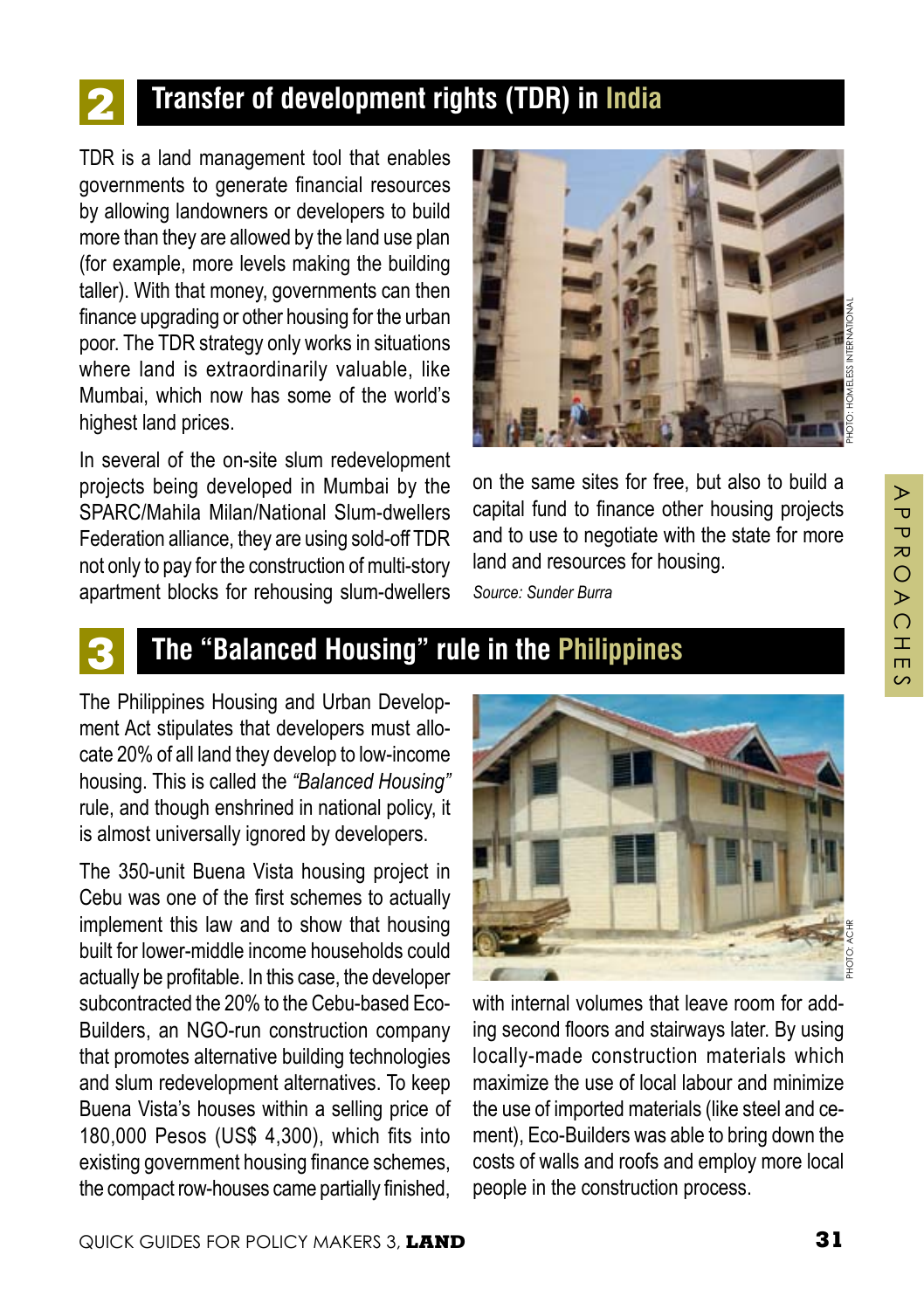## **2 Transfer of development rights (TDR) in India**

TDR is a land management tool that enables governments to generate financial resources by allowing landowners or developers to build more than they are allowed by the land use plan (for example, more levels making the building taller). With that money, governments can then finance upgrading or other housing for the urban poor. The TDR strategy only works in situations where land is extraordinarily valuable, like Mumbai, which now has some of the world's highest land prices.

In several of the on-site slum redevelopment projects being developed in Mumbai by the SPARC/Mahila Milan/National Slum-dwellers Federation alliance, they are using sold-off TDR not only to pay for the construction of multi-story apartment blocks for rehousing slum-dwellers



on the same sites for free, but also to build a capital fund to finance other housing projects and to use to negotiate with the state for more land and resources for housing.

*Source: Sunder Burra*

#### **3 The "Balanced Housing" rule in the Philippines**

The Philippines Housing and Urban Development Act stipulates that developers must allocate 20% of all land they develop to low-income housing. This is called the *"Balanced Housing"* rule, and though enshrined in national policy, it is almost universally ignored by developers.

The 350-unit Buena Vista housing project in Cebu was one of the first schemes to actually implement this law and to show that housing built for lower-middle income households could actually be profitable. In this case, the developer subcontracted the 20% to the Cebu-based Eco-Builders, an NGO-run construction company that promotes alternative building technologies and slum redevelopment alternatives. To keep Buena Vista's houses within a selling price of 180,000 Pesos (US\$ 4,300), which fits into existing government housing finance schemes, the compact row-houses came partially finished,



with internal volumes that leave room for adding second floors and stairways later. By using locally-made construction materials which maximize the use of local labour and minimize the use of imported materials (like steel and cement), Eco-Builders was able to bring down the costs of walls and roofs and employ more local people in the construction process.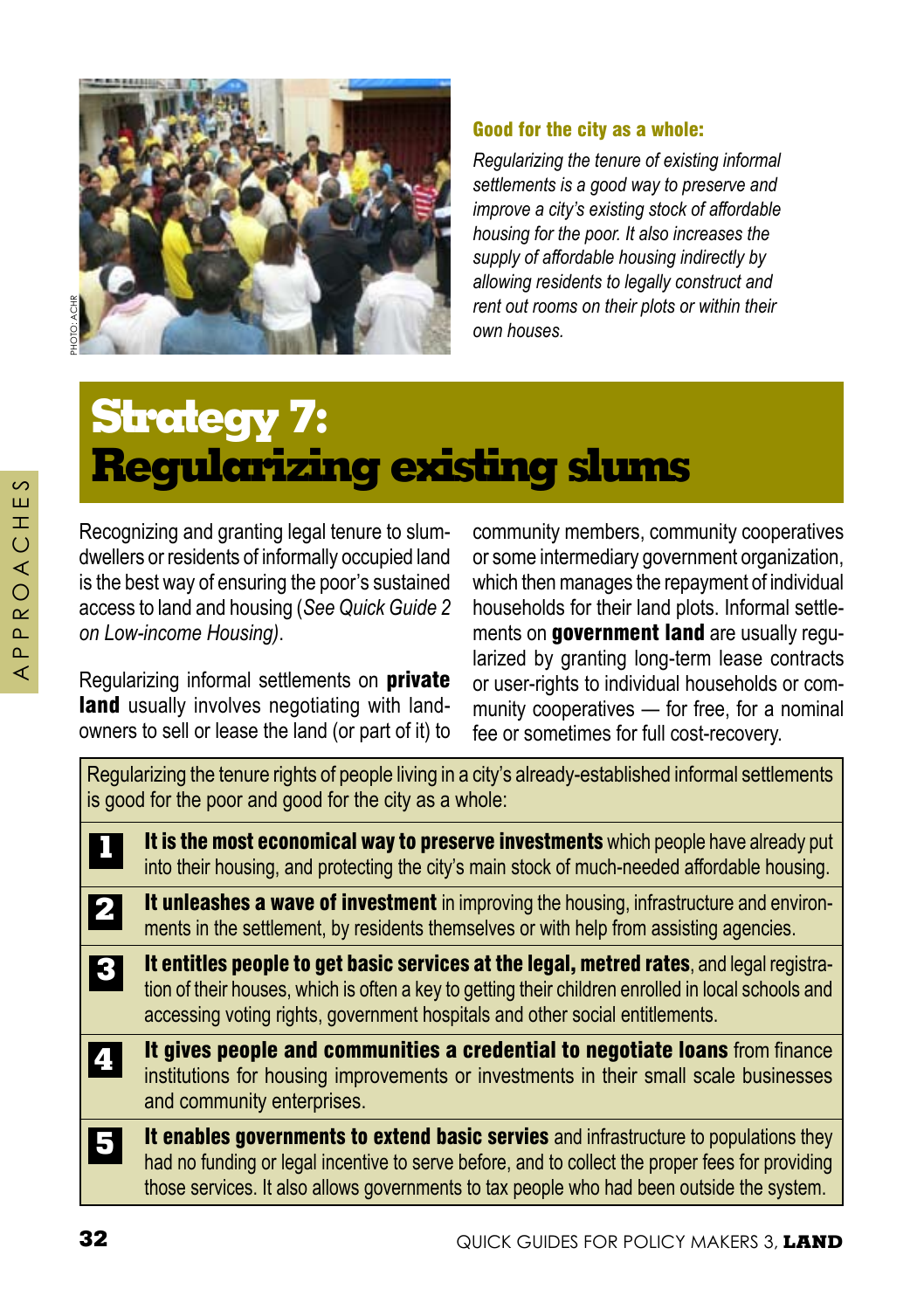

#### Good for the city as a whole:

*Regularizing the tenure of existing informal settlements is a good way to preserve and improve a city's existing stock of affordable housing for the poor. It also increases the supply of affordable housing indirectly by allowing residents to legally construct and rent out rooms on their plots or within their own houses.*

# **Strategy 7: Regularizing existing slums**

Recognizing and granting legal tenure to slumdwellers or residents of informally occupied land is the best way of ensuring the poor's sustained access to land and housing (*See Quick Guide 2 on Low-income Housing)*.

Regularizing informal settlements on **private** land usually involves negotiating with landowners to sell or lease the land (or part of it) to

community members, community cooperatives or some intermediary government organization, which then manages the repayment of individual households for their land plots. Informal settlements on government land are usually regularized by granting long-term lease contracts or user-rights to individual households or community cooperatives — for free, for a nominal fee or sometimes for full cost-recovery.

Regularizing the tenure rights of people living in a city's already-established informal settlements is good for the poor and good for the city as a whole:

- It is the most economical way to preserve investments which people have already put into their housing, and protecting the city's main stock of much-needed affordable housing. **1**
- It unleashes a wave of investment in improving the housing, infrastructure and environments in the settlement, by residents themselves or with help from assisting agencies. **2**
- It entitles people to get basic services at the legal, metred rates, and legal registration of their houses, which is often a key to getting their children enrolled in local schools and accessing voting rights, government hospitals and other social entitlements. **3**
- It gives people and communities a credential to negotiate loans from finance institutions for housing improvements or investments in their small scale businesses and community enterprises. **4**
- It enables governments to extend basic servies and infrastructure to populations they had no funding or legal incentive to serve before, and to collect the proper fees for providing those services. It also allows governments to tax people who had been outside the system. **5**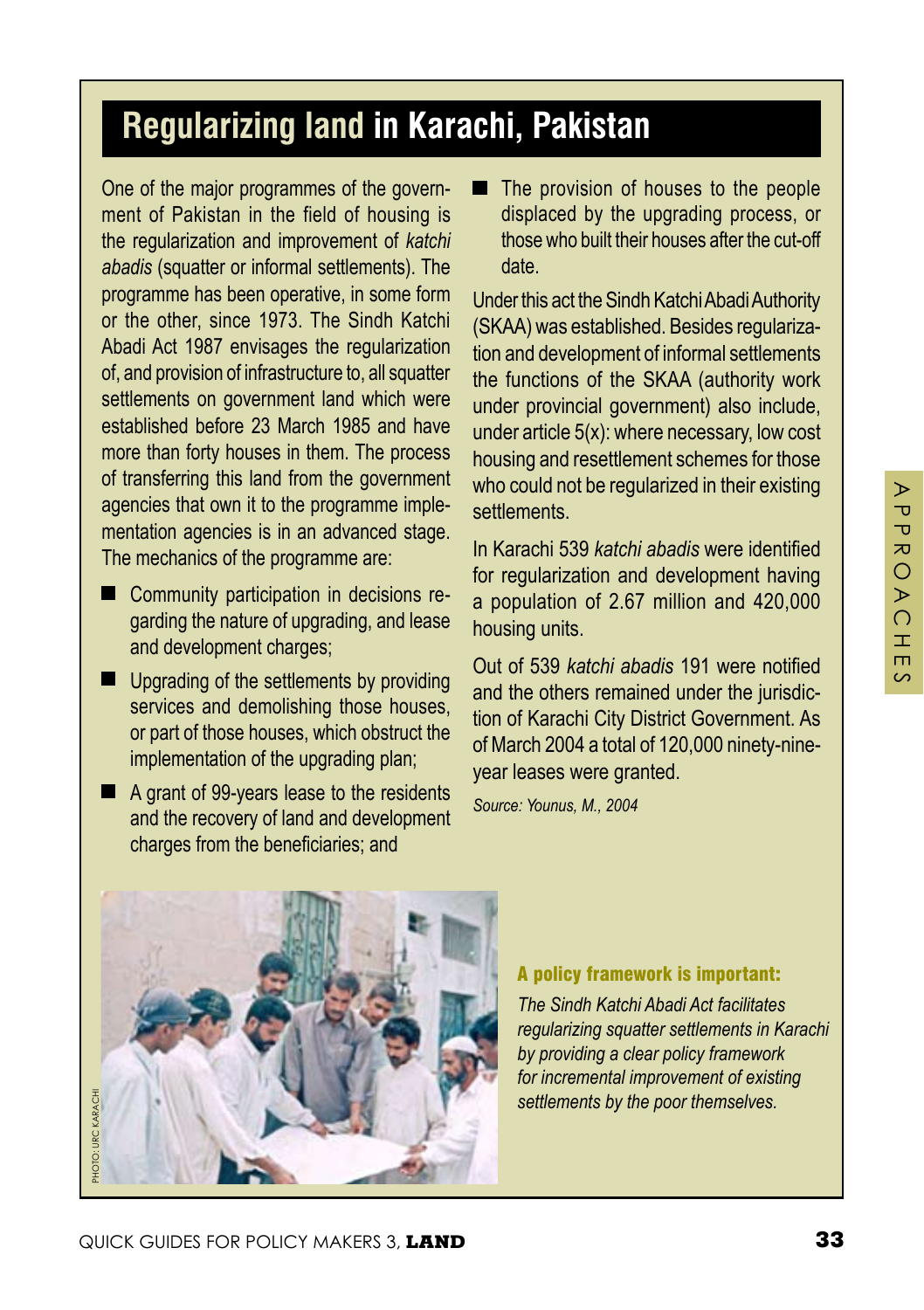## **Regularizing land in Karachi, Pakistan**

One of the major programmes of the government of Pakistan in the field of housing is the regularization and improvement of *katchi abadis* (squatter or informal settlements). The programme has been operative, in some form or the other, since 1973. The Sindh Katchi Abadi Act 1987 envisages the regularization of, and provision of infrastructure to, all squatter settlements on government land which were established before 23 March 1985 and have more than forty houses in them. The process of transferring this land from the government agencies that own it to the programme implementation agencies is in an advanced stage. The mechanics of the programme are:

- Community participation in decisions regarding the nature of upgrading, and lease and development charges;
- **Upgrading of the settlements by providing** services and demolishing those houses, or part of those houses, which obstruct the implementation of the upgrading plan;
- $\blacksquare$  A grant of 99-years lease to the residents and the recovery of land and development charges from the beneficiaries; and

The provision of houses to the people displaced by the upgrading process, or those who built their houses after the cut-off date.

Under this act the Sindh Katchi Abadi Authority (SKAA) was established. Besides regularization and development of informal settlements the functions of the SKAA (authority work under provincial government) also include, under article 5(x): where necessary, low cost housing and resettlement schemes for those who could not be regularized in their existing settlements.

In Karachi 539 *katchi abadis* were identified for regularization and development having a population of 2.67 million and 420,000 housing units.

Out of 539 *katchi abadis* 191 were notified and the others remained under the jurisdiction of Karachi City District Government. As of March 2004 a total of 120,000 ninety-nineyear leases were granted.

*Source: Younus, M., 2004*



#### A policy framework is important:

*The Sindh Katchi Abadi Act facilitates regularizing squatter settlements in Karachi by providing a clear policy framework for incremental improvement of existing settlements by the poor themselves.*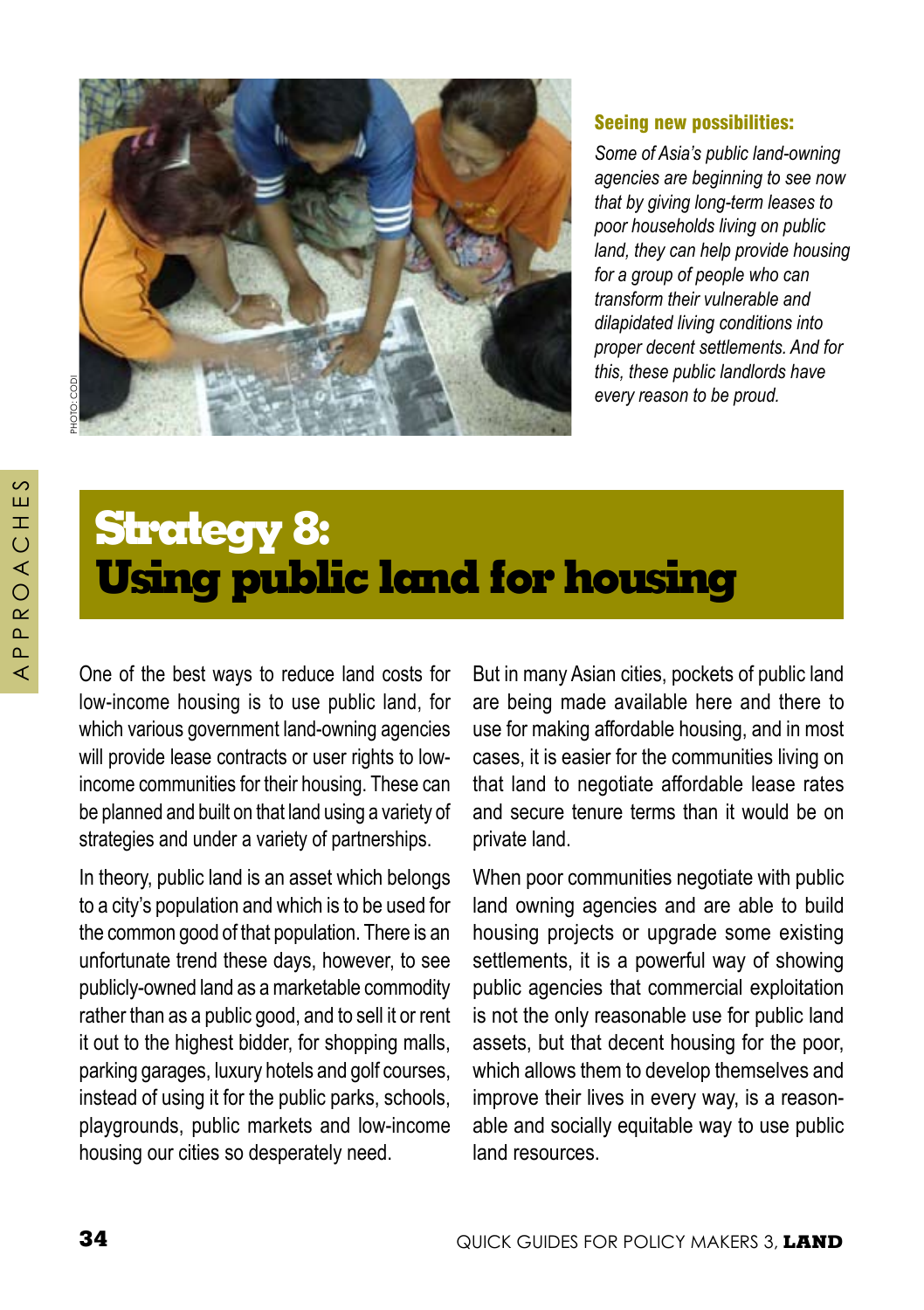

#### Seeing new possibilities:

*Some of Asia's public land-owning agencies are beginning to see now that by giving long-term leases to poor households living on public land, they can help provide housing for a group of people who can transform their vulnerable and dilapidated living conditions into proper decent settlements. And for this, these public landlords have every reason to be proud.* 

A P P R O A C H E S

 $\sim$ й  $\top$  $\circ$ ⋖  $\bigcirc$  $\alpha$  $\sim$  $\mathbf{r}$ ∢

# **Strategy 8: Using public land for housing**

One of the best ways to reduce land costs for low-income housing is to use public land, for which various government land-owning agencies will provide lease contracts or user rights to lowincome communities for their housing. These can be planned and built on that land using a variety of strategies and under a variety of partnerships.

In theory, public land is an asset which belongs to a city's population and which is to be used for the common good of that population. There is an unfortunate trend these days, however, to see publicly-owned land as a marketable commodity rather than as a public good, and to sell it or rent it out to the highest bidder, for shopping malls, parking garages, luxury hotels and golf courses, instead of using it for the public parks, schools, playgrounds, public markets and low-income housing our cities so desperately need.

But in many Asian cities, pockets of public land are being made available here and there to use for making affordable housing, and in most cases, it is easier for the communities living on that land to negotiate affordable lease rates and secure tenure terms than it would be on private land.

When poor communities negotiate with public land owning agencies and are able to build housing projects or upgrade some existing settlements, it is a powerful way of showing public agencies that commercial exploitation is not the only reasonable use for public land assets, but that decent housing for the poor, which allows them to develop themselves and improve their lives in every way, is a reasonable and socially equitable way to use public land resources.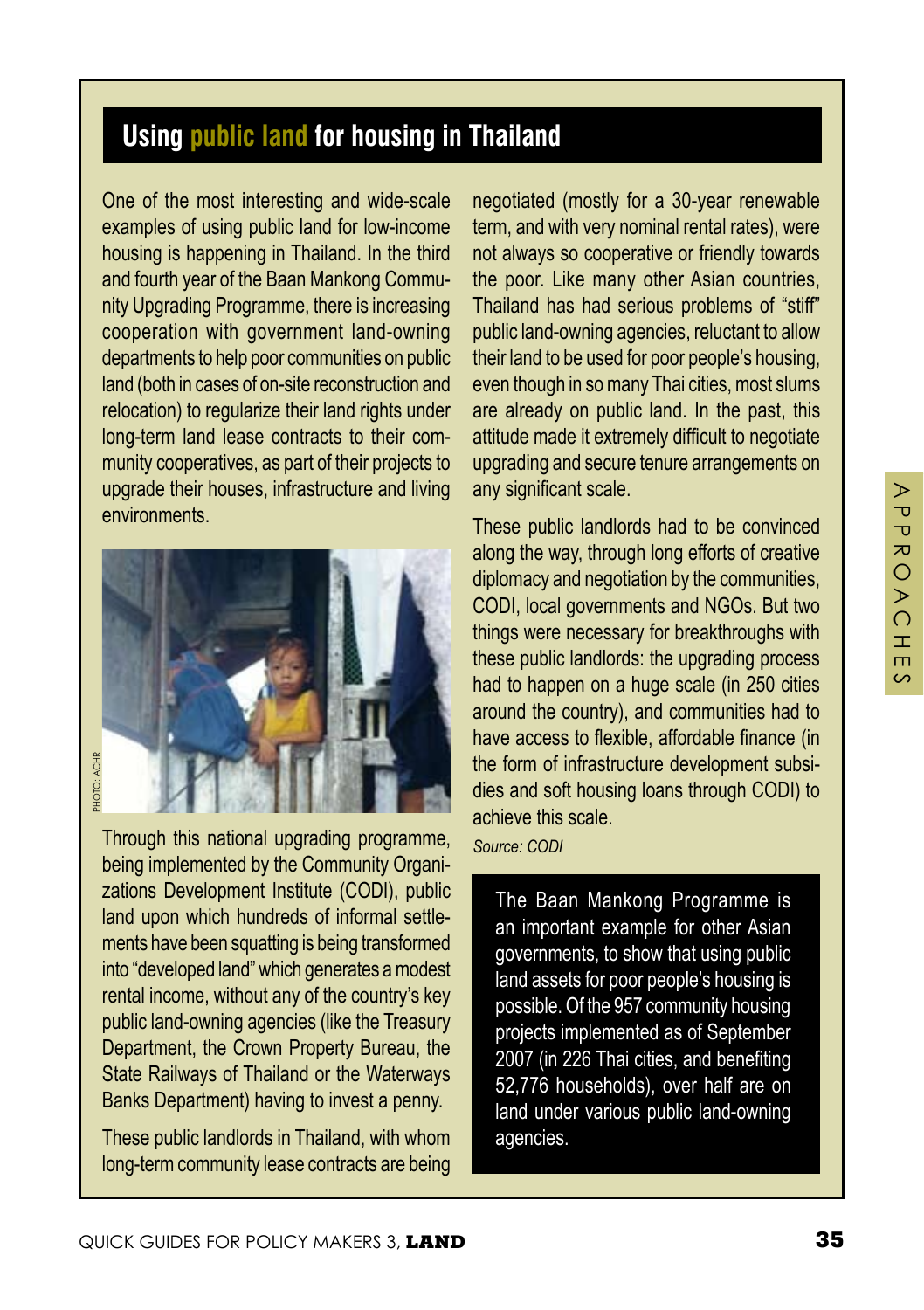## **Using public land for housing in Thailand**

One of the most interesting and wide-scale examples of using public land for low-income housing is happening in Thailand. In the third and fourth year of the Baan Mankong Community Upgrading Programme, there is increasing cooperation with government land-owning departments to help poor communities on public land (both in cases of on-site reconstruction and relocation) to regularize their land rights under long-term land lease contracts to their community cooperatives, as part of their projects to upgrade their houses, infrastructure and living environments.



Through this national upgrading programme, being implemented by the Community Organizations Development Institute (CODI), public land upon which hundreds of informal settlements have been squatting is being transformed into "developed land" which generates a modest rental income, without any of the country's key public land-owning agencies (like the Treasury Department, the Crown Property Bureau, the State Railways of Thailand or the Waterways Banks Department) having to invest a penny.

These public landlords in Thailand, with whom long-term community lease contracts are being

negotiated (mostly for a 30-year renewable term, and with very nominal rental rates), were not always so cooperative or friendly towards the poor. Like many other Asian countries, Thailand has had serious problems of "stiff" public land-owning agencies, reluctant to allow their land to be used for poor people's housing, even though in so many Thai cities, most slums are already on public land. In the past, this attitude made it extremely difficult to negotiate upgrading and secure tenure arrangements on any significant scale.

These public landlords had to be convinced along the way, through long efforts of creative diplomacy and negotiation by the communities, CODI, local governments and NGOs. But two things were necessary for breakthroughs with these public landlords: the upgrading process had to happen on a huge scale (in 250 cities around the country), and communities had to have access to flexible, affordable finance (in the form of infrastructure development subsidies and soft housing loans through CODI) to achieve this scale.

*Source: CODI*

The Baan Mankong Programme is an important example for other Asian governments, to show that using public land assets for poor people's housing is possible. Of the 957 community housing projects implemented as of September 2007 (in 226 Thai cities, and benefiting 52,776 households), over half are on land under various public land-owning agencies.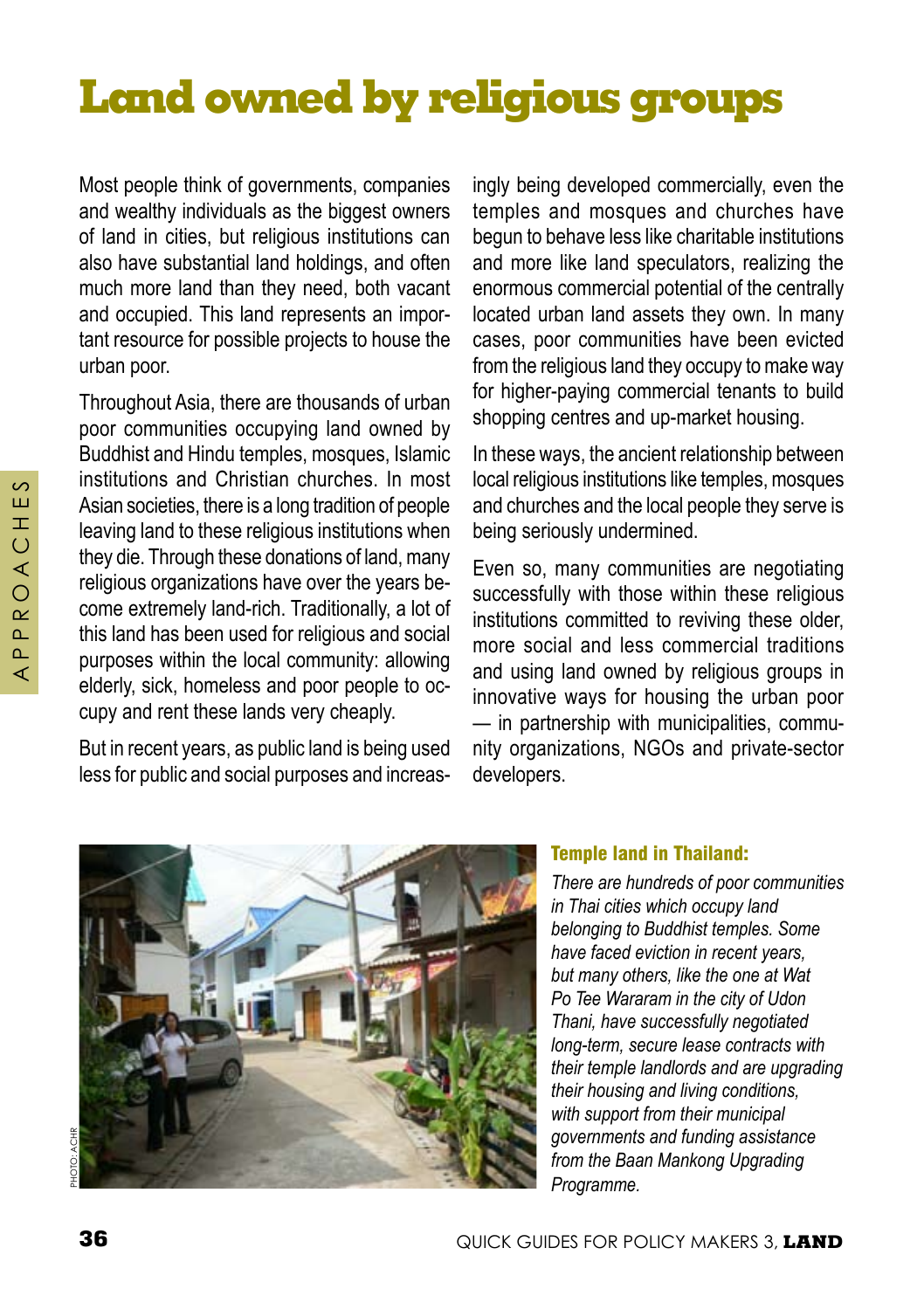# **Land owned by religious groups**

Most people think of governments, companies and wealthy individuals as the biggest owners of land in cities, but religious institutions can also have substantial land holdings, and often much more land than they need, both vacant and occupied. This land represents an important resource for possible projects to house the urban poor.

Throughout Asia, there are thousands of urban poor communities occupying land owned by Buddhist and Hindu temples, mosques, Islamic institutions and Christian churches. In most Asian societies, there is a long tradition of people leaving land to these religious institutions when they die. Through these donations of land, many religious organizations have over the years become extremely land-rich. Traditionally, a lot of this land has been used for religious and social purposes within the local community: allowing elderly, sick, homeless and poor people to occupy and rent these lands very cheaply.

But in recent years, as public land is being used less for public and social purposes and increas-

ingly being developed commercially, even the temples and mosques and churches have begun to behave less like charitable institutions and more like land speculators, realizing the enormous commercial potential of the centrally located urban land assets they own. In many cases, poor communities have been evicted from the religious land they occupy to make way for higher-paying commercial tenants to build shopping centres and up-market housing.

In these ways, the ancient relationship between local religious institutions like temples, mosques and churches and the local people they serve is being seriously undermined.

Even so, many communities are negotiating successfully with those within these religious institutions committed to reviving these older, more social and less commercial traditions and using land owned by religious groups in innovative ways for housing the urban poor — in partnership with municipalities, community organizations, NGOs and private-sector developers.



#### Temple land in Thailand:

*There are hundreds of poor communities in Thai cities which occupy land belonging to Buddhist temples. Some have faced eviction in recent years, but many others, like the one at Wat Po Tee Wararam in the city of Udon Thani, have successfully negotiated long-term, secure lease contracts with their temple landlords and are upgrading their housing and living conditions, with support from their municipal governments and funding assistance from the Baan Mankong Upgrading Programme.*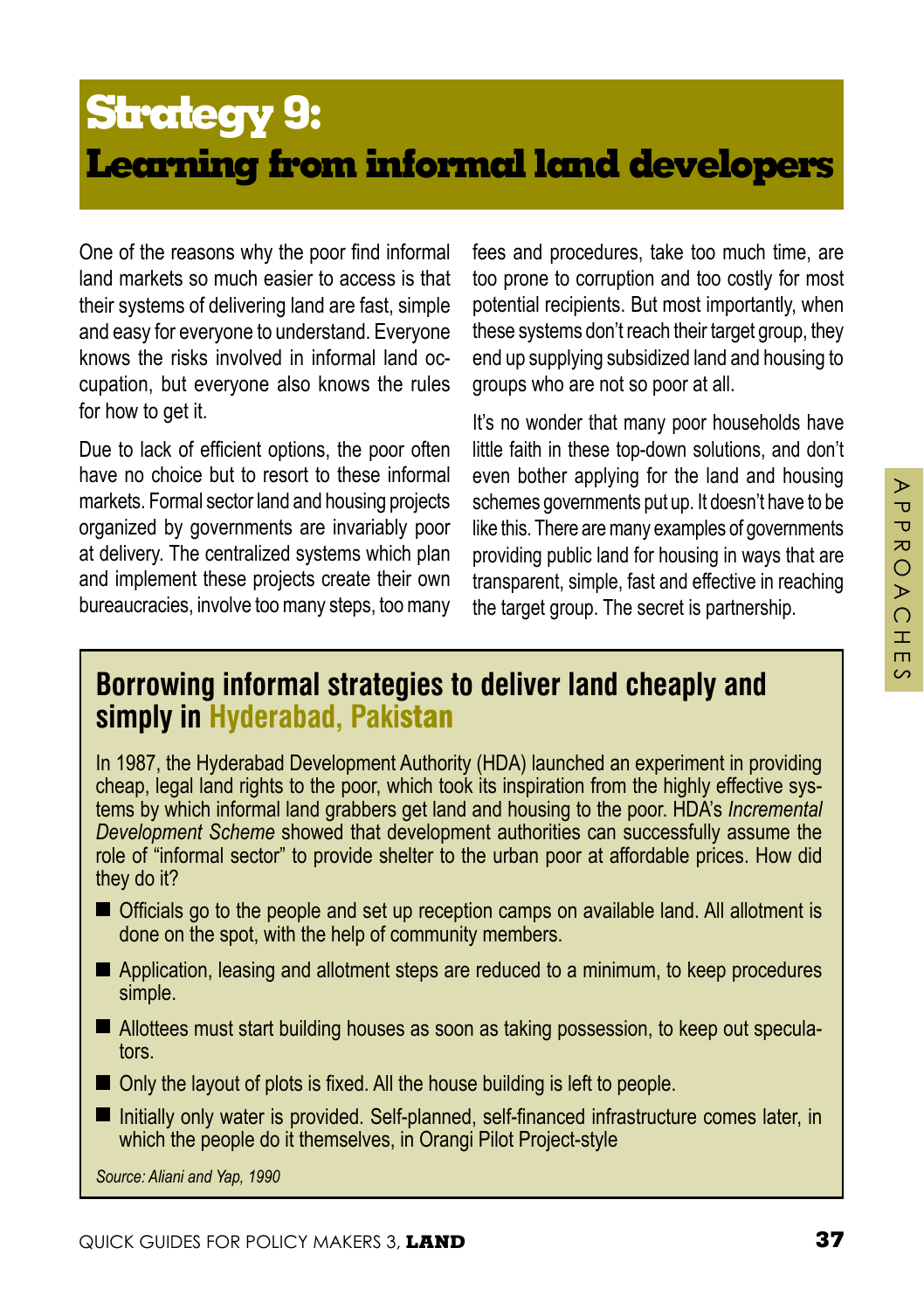# **Strategy 9: Learning from informal land developers**

One of the reasons why the poor find informal land markets so much easier to access is that their systems of delivering land are fast, simple and easy for everyone to understand. Everyone knows the risks involved in informal land occupation, but everyone also knows the rules for how to get it.

Due to lack of efficient options, the poor often have no choice but to resort to these informal markets. Formal sector land and housing projects organized by governments are invariably poor at delivery. The centralized systems which plan and implement these projects create their own bureaucracies, involve too many steps, too many

fees and procedures, take too much time, are too prone to corruption and too costly for most potential recipients. But most importantly, when these systems don't reach their target group, they end up supplying subsidized land and housing to groups who are not so poor at all.

It's no wonder that many poor households have little faith in these top-down solutions, and don't even bother applying for the land and housing schemes governments put up. It doesn't have to be like this. There are many examples of governments providing public land for housing in ways that are transparent, simple, fast and effective in reaching the target group. The secret is partnership.

#### **Borrowing informal strategies to deliver land cheaply and simply in Hyderabad, Paki**stan

In 1987, the Hyderabad Development Authority (HDA) launched an experiment in providing cheap, legal land rights to the poor, which took its inspiration from the highly effective systems by which informal land grabbers get land and housing to the poor. HDA's *Incremental Development Scheme* showed that development authorities can successfully assume the role of "informal sector" to provide shelter to the urban poor at affordable prices. How did they do it?

- Officials go to the people and set up reception camps on available land. All allotment is done on the spot, with the help of community members.
- Application, leasing and allotment steps are reduced to a minimum, to keep procedures simple.
- Allottees must start building houses as soon as taking possession, to keep out speculators.
- Only the layout of plots is fixed. All the house building is left to people.
- Initially only water is provided. Self-planned, self-financed infrastructure comes later, in which the people do it themselves, in Orangi Pilot Project-style

*Source: Aliani and Yap, 1990*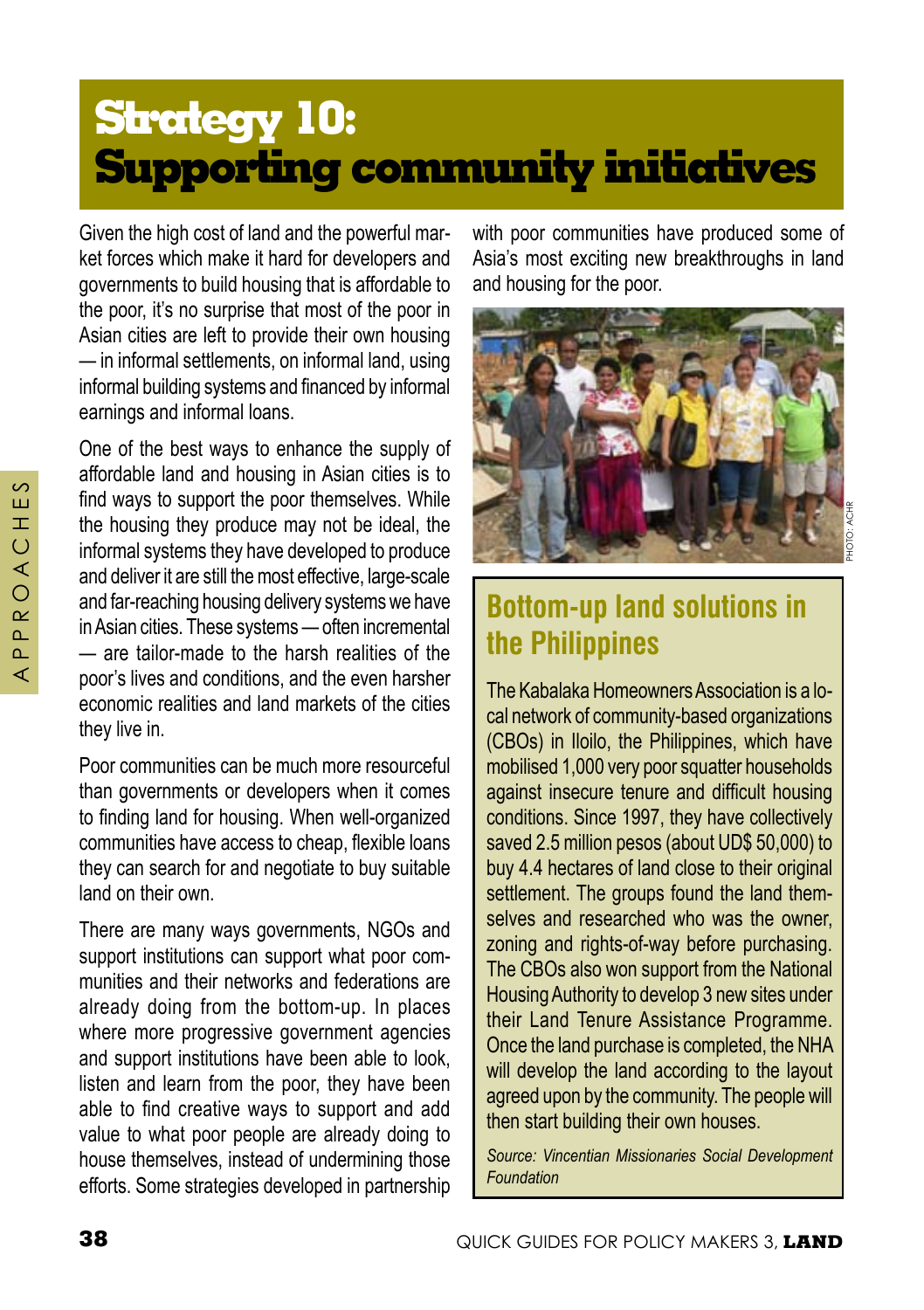# **Strategy 10: Supporting community initiatives**

Given the high cost of land and the powerful market forces which make it hard for developers and governments to build housing that is affordable to the poor, it's no surprise that most of the poor in Asian cities are left to provide their own housing — in informal settlements, on informal land, using informal building systems and financed by informal earnings and informal loans.

One of the best ways to enhance the supply of affordable land and housing in Asian cities is to find ways to support the poor themselves. While the housing they produce may not be ideal, the informal systems they have developed to produce and deliver it are still the most effective, large-scale and far-reaching housing delivery systems we have in Asian cities. These systems — often incremental — are tailor-made to the harsh realities of the poor's lives and conditions, and the even harsher economic realities and land markets of the cities they live in.

Poor communities can be much more resourceful than governments or developers when it comes to finding land for housing. When well-organized communities have access to cheap, flexible loans they can search for and negotiate to buy suitable land on their own.

There are many ways governments, NGOs and support institutions can support what poor communities and their networks and federations are already doing from the bottom-up. In places where more progressive government agencies and support institutions have been able to look, listen and learn from the poor, they have been able to find creative ways to support and add value to what poor people are already doing to house themselves, instead of undermining those efforts. Some strategies developed in partnership with poor communities have produced some of Asia's most exciting new breakthroughs in land and housing for the poor.



## **Bottom-up land solutions in the Philippines**

The Kabalaka Homeowners Association is a local network of community-based organizations (CBOs) in Iloilo, the Philippines, which have mobilised 1,000 very poor squatter households against insecure tenure and difficult housing conditions. Since 1997, they have collectively saved 2.5 million pesos (about UD\$ 50,000) to buy 4.4 hectares of land close to their original settlement. The groups found the land themselves and researched who was the owner, zoning and rights-of-way before purchasing. The CBOs also won support from the National Housing Authority to develop 3 new sites under their Land Tenure Assistance Programme. Once the land purchase is completed, the NHA will develop the land according to the layout agreed upon by the community. The people will then start building their own houses.

*Source: Vincentian Missionaries Social Development Foundation*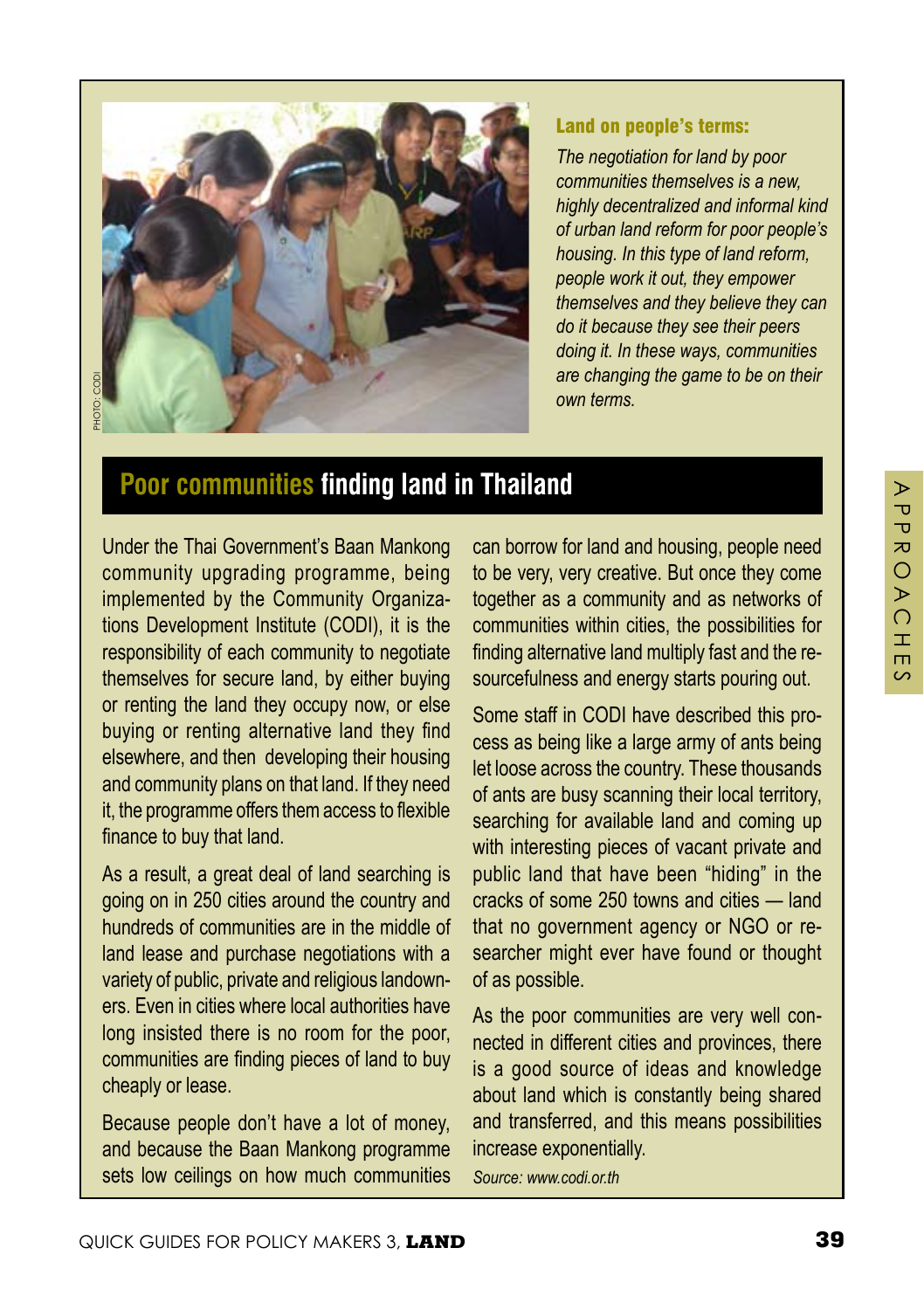$\triangleright$ 



#### Land on people's terms:

*The negotiation for land by poor communities themselves is a new, highly decentralized and informal kind of urban land reform for poor people's housing. In this type of land reform, people work it out, they empower themselves and they believe they can do it because they see their peers doing it. In these ways, communities are changing the game to be on their own terms.* 

## **Poor communities finding land in Thailand**

Under the Thai Government's Baan Mankong community upgrading programme, being implemented by the Community Organizations Development Institute (CODI), it is the responsibility of each community to negotiate themselves for secure land, by either buying or renting the land they occupy now, or else buying or renting alternative land they find elsewhere, and then developing their housing and community plans on that land. If they need it, the programme offers them access to flexible finance to buy that land.

As a result, a great deal of land searching is going on in 250 cities around the country and hundreds of communities are in the middle of land lease and purchase negotiations with a variety of public, private and religious landowners. Even in cities where local authorities have long insisted there is no room for the poor, communities are finding pieces of land to buy cheaply or lease.

Because people don't have a lot of money, and because the Baan Mankong programme sets low ceilings on how much communities

can borrow for land and housing, people need to be very, very creative. But once they come together as a community and as networks of communities within cities, the possibilities for finding alternative land multiply fast and the resourcefulness and energy starts pouring out.

Some staff in CODI have described this process as being like a large army of ants being let loose across the country. These thousands of ants are busy scanning their local territory, searching for available land and coming up with interesting pieces of vacant private and public land that have been "hiding" in the cracks of some 250 towns and cities — land that no government agency or NGO or researcher might ever have found or thought of as possible.

As the poor communities are very well connected in different cities and provinces, there is a good source of ideas and knowledge about land which is constantly being shared and transferred, and this means possibilities increase exponentially.

*Source: www.codi.or.th*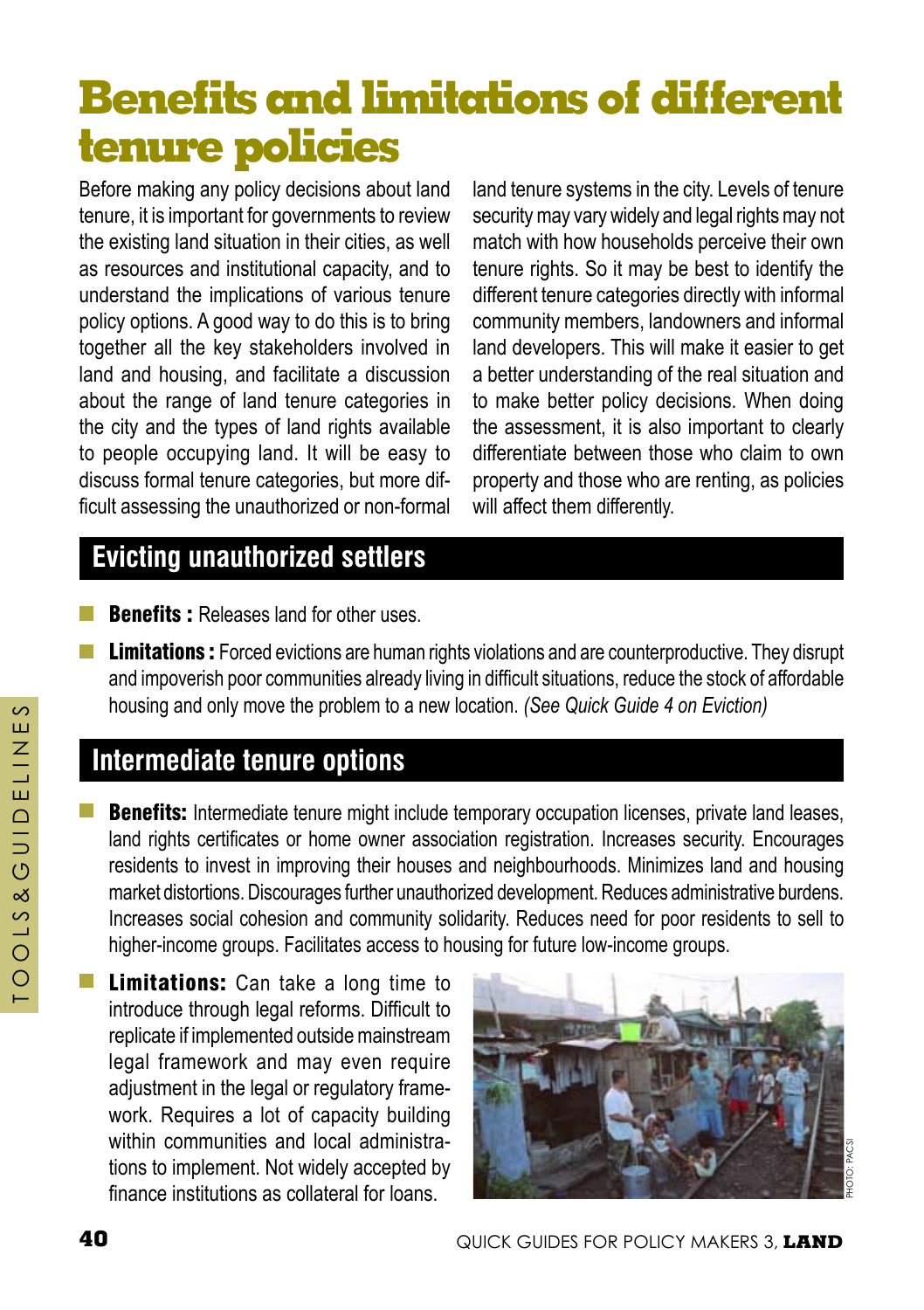# **Benefits and limitations of different tenure policies**

Before making any policy decisions about land tenure, it is important for governments to review the existing land situation in their cities, as well as resources and institutional capacity, and to understand the implications of various tenure policy options. A good way to do this is to bring together all the key stakeholders involved in land and housing, and facilitate a discussion about the range of land tenure categories in the city and the types of land rights available to people occupying land. It will be easy to discuss formal tenure categories, but more difficult assessing the unauthorized or non-formal

land tenure systems in the city. Levels of tenure security may vary widely and legal rights may not match with how households perceive their own tenure rights. So it may be best to identify the different tenure categories directly with informal community members, landowners and informal land developers. This will make it easier to get a better understanding of the real situation and to make better policy decisions. When doing the assessment, it is also important to clearly differentiate between those who claim to own property and those who are renting, as policies will affect them differently.

## **Evicting unauthorized settlers**

- **Benefits :** Releases land for other uses.
- **Limitations :** Forced evictions are human rights violations and are counterproductive. They disrupt and impoverish poor communities already living in difficult situations, reduce the stock of affordable housing and only move the problem to a new location. *(See Quick Guide 4 on Eviction)*

## **Intermediate tenure options**

- **Benefits:** Intermediate tenure might include temporary occupation licenses, private land leases, land rights certificates or home owner association registration. Increases security. Encourages residents to invest in improving their houses and neighbourhoods. Minimizes land and housing market distortions. Discourages further unauthorized development. Reduces administrative burdens. Increases social cohesion and community solidarity. Reduces need for poor residents to sell to higher-income groups. Facilitates access to housing for future low-income groups.
- **Limitations:** Can take a long time to introduce through legal reforms. Difficult to replicate if implemented outside mainstream legal framework and may even require adiustment in the legal or regulatory framework. Requires a lot of capacity building within communities and local administrations to implement. Not widely accepted by finance institutions as collateral for loans.

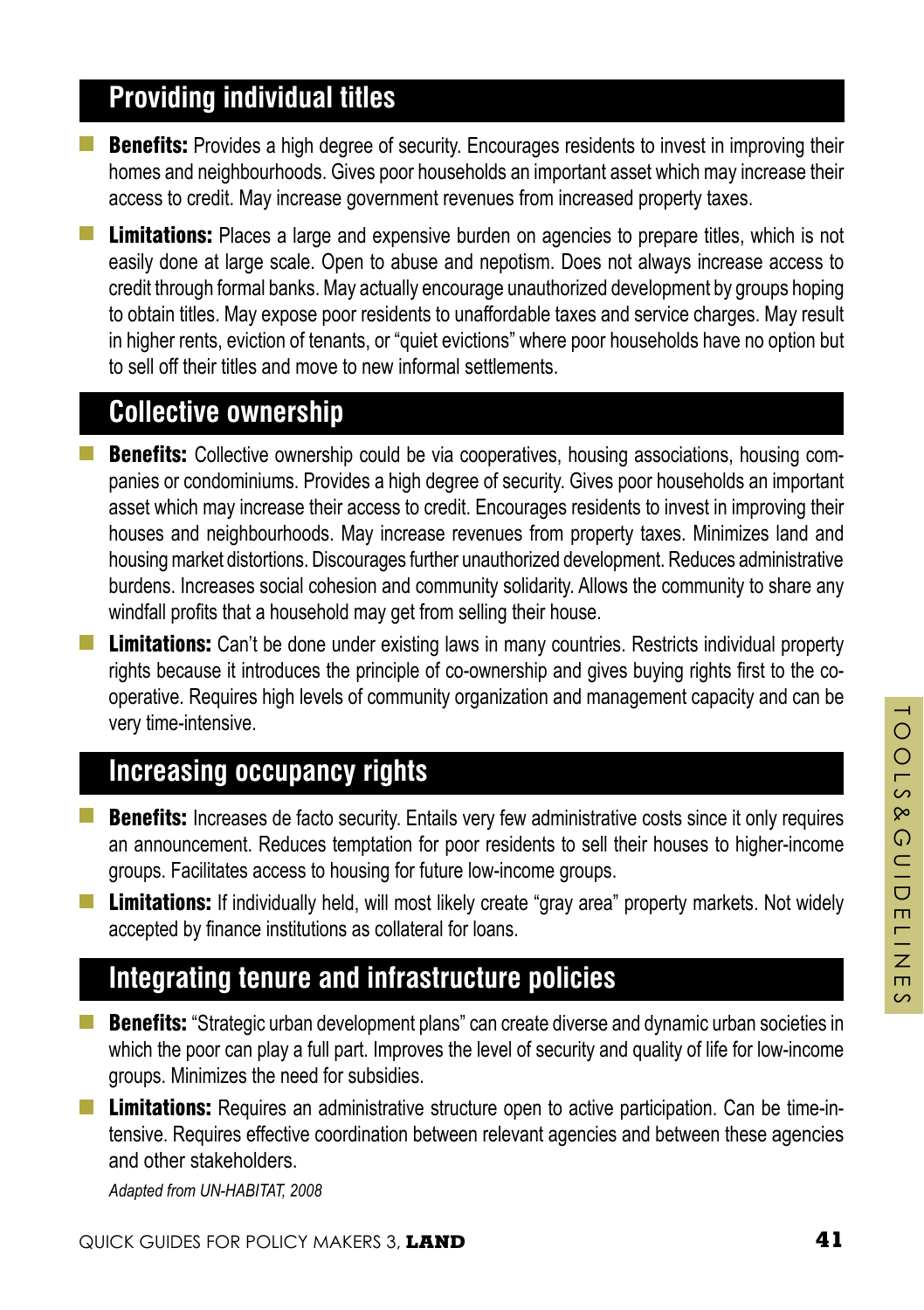## **Providing individual titles**

**Benefits:** Provides a high degree of security. Encourages residents to invest in improving their homes and neighbourhoods. Gives poor households an important asset which may increase their access to credit. May increase government revenues from increased property taxes.

**Limitations:** Places a large and expensive burden on agencies to prepare titles, which is not easily done at large scale. Open to abuse and nepotism. Does not always increase access to credit through formal banks. May actually encourage unauthorized development by groups hoping to obtain titles. May expose poor residents to unaffordable taxes and service charges. May result in higher rents, eviction of tenants, or "quiet evictions" where poor households have no option but to sell off their titles and move to new informal settlements.

#### **Collective ownership**

- **Benefits:** Collective ownership could be via cooperatives, housing associations, housing companies or condominiums. Provides a high degree of security. Gives poor households an important asset which may increase their access to credit. Encourages residents to invest in improving their houses and neighbourhoods. May increase revenues from property taxes. Minimizes land and housing market distortions. Discourages further unauthorized development. Reduces administrative burdens. Increases social cohesion and community solidarity. Allows the community to share any windfall profits that a household may get from selling their house.
- **Limitations:** Can't be done under existing laws in many countries. Restricts individual property rights because it introduces the principle of co-ownership and gives buying rights first to the cooperative. Requires high levels of community organization and management capacity and can be very time-intensive.

#### **Increasing occupancy rights**

- **Benefits:** Increases de facto security. Entails very few administrative costs since it only requires an announcement. Reduces temptation for poor residents to sell their houses to higher-income groups. Facilitates access to housing for future low-income groups.
- **Limitations:** If individually held, will most likely create "gray area" property markets. Not widely accepted by finance institutions as collateral for loans.

#### **Integrating tenure and infrastructure policies**

- $\mathcal{L}^{\text{max}}$ **Benefits:** "Strategic urban development plans" can create diverse and dynamic urban societies in which the poor can play a full part. Improves the level of security and quality of life for low-income groups. Minimizes the need for subsidies.
- **Limitations:** Requires an administrative structure open to active participation. Can be time-intensive. Requires effective coordination between relevant agencies and between these agencies and other stakeholders.

*Adapted from UN-HABITAT, 2008*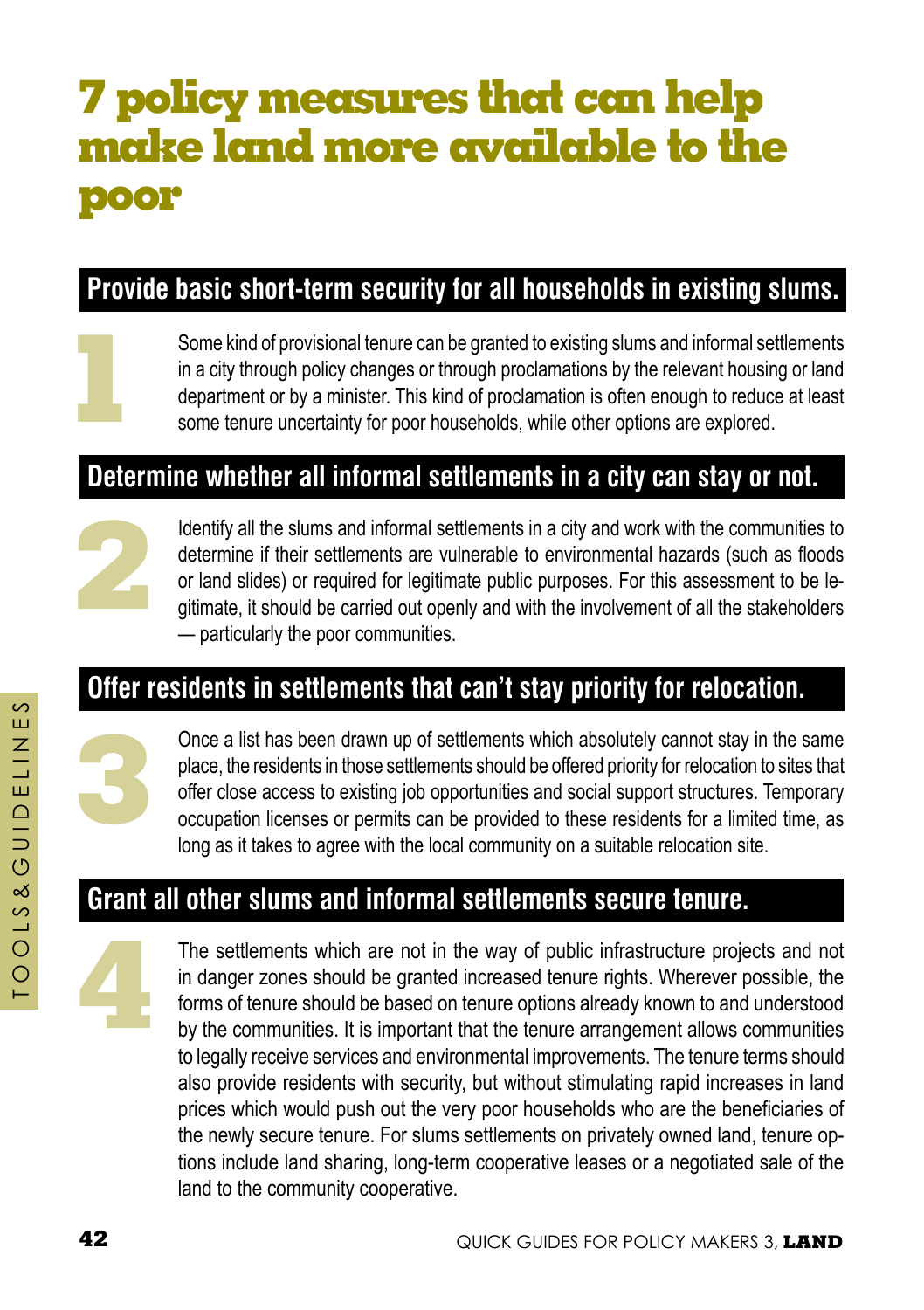# **7 policy measures that can help make land more available to the poor**

## **Provide basic short-term security for all households in existing slums.**

**1**

Some kind of provisional tenure can be granted to existing slums and informal settlements in a city through policy changes or through proclamations by the relevant housing or land department or by a minister. This kind of proclamation is often enough to reduce at least some tenure uncertainty for poor households, while other options are explored.

#### **Determine whether all informal settlements in a city can stay or not.**



Identify all the slums and informal settlements in a city and work with the communities to determine if their settlements are vulnerable to environmental hazards (such as floods or land slides) or required for legitimate public purposes. For this assessment to be legitimate, it should be carried out openly and with the involvement of all the stakeholders — particularly the poor communities.

#### **Offer residents in settlements that can't stay priority for relocation.**



Once a list has been drawn up of settlements which absolutely cannot stay in the same place, the residents in those settlements should be offered priority for relocation to sites that offer close access to existing job opportunities and social support structures. Temporary occupation licenses or permits can be provided to these residents for a limited time, as long as it takes to agree with the local community on a suitable relocation site.

## **Grant all other slums and informal settlements secure tenure.**



The settlements which are not in the way of public infrastructure projects and not in danger zones should be granted increased tenure rights. Wherever possible, the forms of tenure should be based on tenure options already known to and understood by the communities. It is important that the tenure arrangement allows communities to legally receive services and environmental improvements. The tenure terms should also provide residents with security, but without stimulating rapid increases in land prices which would push out the very poor households who are the beneficiaries of the newly secure tenure. For slums settlements on privately owned land, tenure options include land sharing, long-term cooperative leases or a negotiated sale of the land to the community cooperative.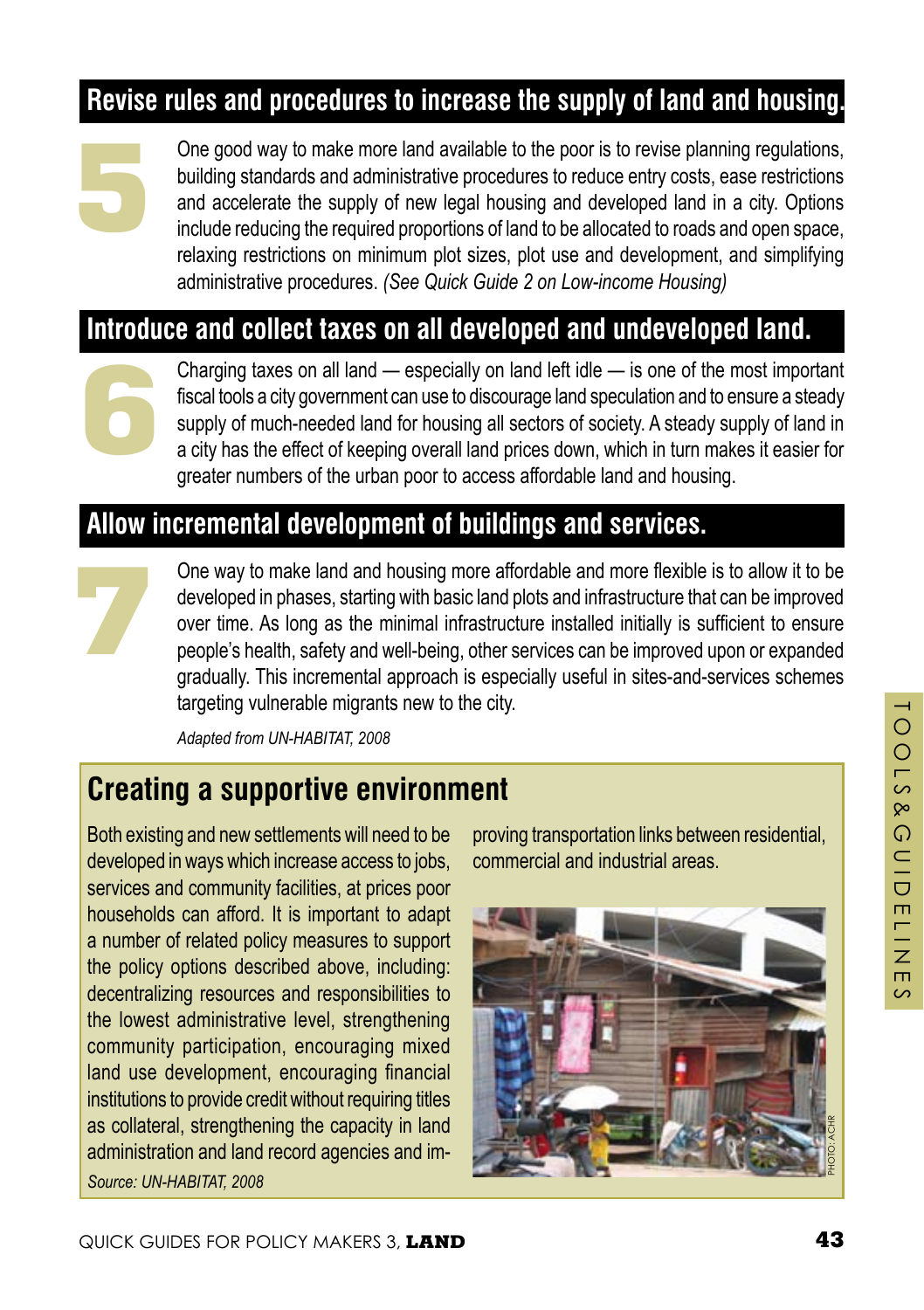## **Revise rules and procedures to increase the supply of land and housing.**



One good way to make more land available to the poor is to revise planning regulations, building standards and administrative procedures to reduce entry costs, ease restrictions and accelerate the supply of new legal housing and developed land in a city. Options include reducing the required proportions of land to be allocated to roads and open space, relaxing restrictions on minimum plot sizes, plot use and development, and simplifying administrative procedures. *(See Quick Guide 2 on Low-income Housing)*

#### **Introduce and collect taxes on all developed and undeveloped land.**



Charging taxes on all land — especially on land left idle — is one of the most important fiscal tools a city government can use to discourage land speculation and to ensure a steady supply of much-needed land for housing all sectors of society. A steady supply of land in a city has the effect of keeping overall land prices down, which in turn makes it easier for greater numbers of the urban poor to access affordable land and housing.

#### **Allow incremental development of buildings and services.**



One way to make land and housing more affordable and more flexible is to allow it to be developed in phases, starting with basic land plots and infrastructure that can be improved over time. As long as the minimal infrastructure installed initially is sufficient to ensure people's health, safety and well-being, other services can be improved upon or expanded gradually. This incremental approach is especially useful in sites-and-services schemes targeting vulnerable migrants new to the city.

*Adapted from UN-HABITAT, 2008*

## **Creating a supportive environment**

Both existing and new settlements will need to be developed in ways which increase access to jobs, services and community facilities, at prices poor households can afford. It is important to adapt a number of related policy measures to support the policy options described above, including: decentralizing resources and responsibilities to the lowest administrative level, strengthening community participation, encouraging mixed land use development, encouraging financial institutions to provide credit without requiring titles as collateral, strengthening the capacity in land administration and land record agencies and im-*Source: UN-HABITAT, 2008*

proving transportation links between residential, commercial and industrial areas.

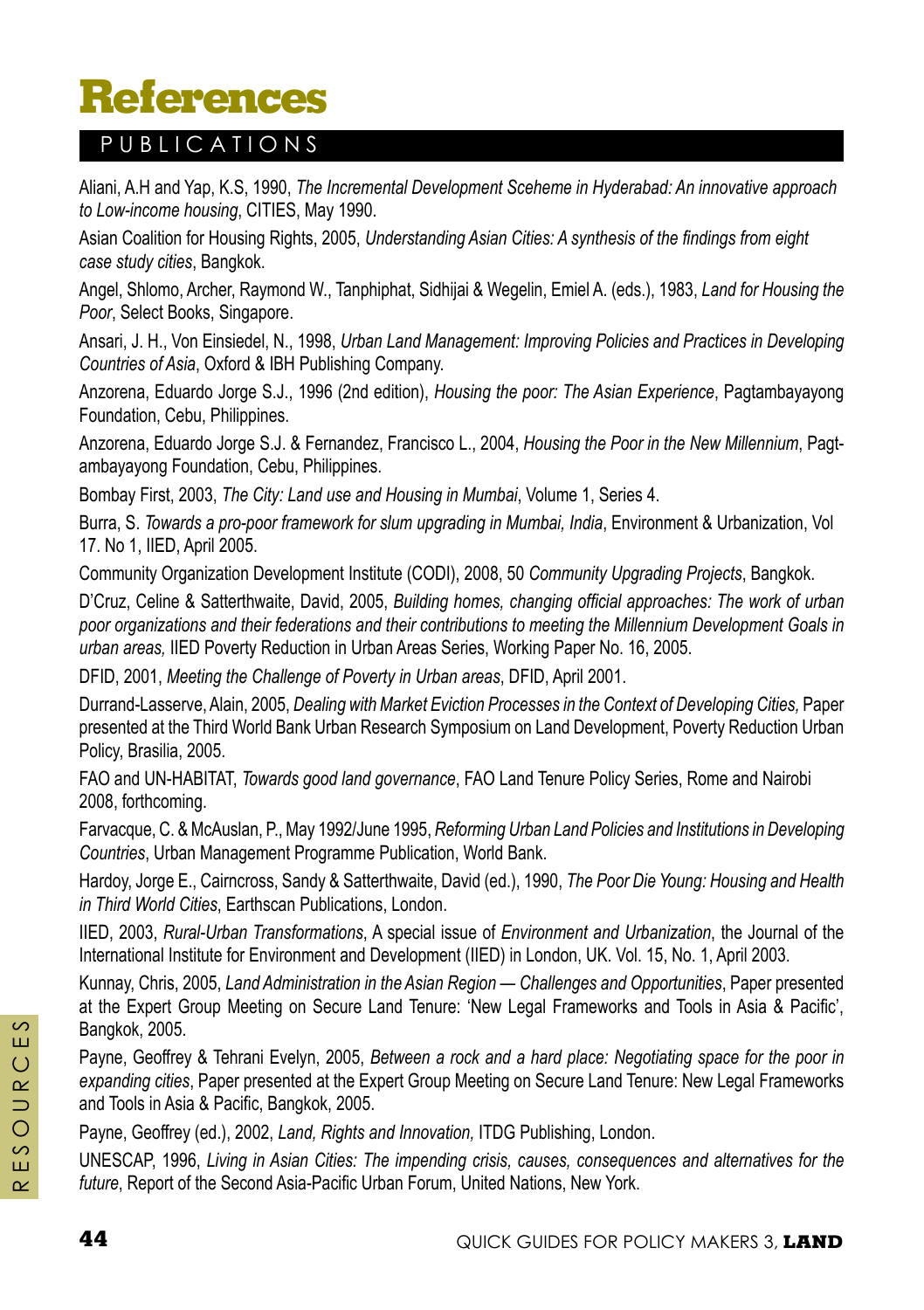# **References**

#### PUBLICATIONS

Aliani, A.H and Yap, K.S, 1990, *The Incremental Development Sceheme in Hyderabad: An innovative approach to Low-income housing*, CITIES, May 1990.

Asian Coalition for Housing Rights, 2005, *Understanding Asian Cities: A synthesis of the findings from eight case study cities*, Bangkok.

Angel, Shlomo, Archer, Raymond W., Tanphiphat, Sidhijai & Wegelin, Emiel A. (eds.), 1983, *Land for Housing the Poor*, Select Books, Singapore.

Ansari, J. H., Von Einsiedel, N., 1998, *Urban Land Management: Improving Policies and Practices in Developing Countries of Asia*, Oxford & IBH Publishing Company.

Anzorena, Eduardo Jorge S.J., 1996 (2nd edition), *Housing the poor: The Asian Experience*, Pagtambayayong Foundation, Cebu, Philippines.

Anzorena, Eduardo Jorge S.J. & Fernandez, Francisco L., 2004, *Housing the Poor in the New Millennium*, Pagtambayayong Foundation, Cebu, Philippines.

Bombay First, 2003, *The City: Land use and Housing in Mumbai*, Volume 1, Series 4.

Burra, S. *Towards a pro-poor framework for slum upgrading in Mumbai, India*, Environment & Urbanization, Vol 17. No 1, IIED, April 2005.

Community Organization Development Institute (CODI), 2008, 50 *Community Upgrading Projects*, Bangkok.

D'Cruz, Celine & Satterthwaite, David, 2005, *Building homes, changing official approaches: The work of urban poor organizations and their federations and their contributions to meeting the Millennium Development Goals in urban areas,* IIED Poverty Reduction in Urban Areas Series, Working Paper No. 16, 2005.

DFID, 2001, *Meeting the Challenge of Poverty in Urban areas*, DFID, April 2001.

Durrand-Lasserve, Alain, 2005, *Dealing with Market Eviction processes in the Context of Developing Cities,* Paper presented at the Third World Bank Urban Research Symposium on Land Development, Poverty Reduction Urban Policy, Brasilia, 2005.

FAO and UN-HABITAT, *Towards good land governance*, FAO Land Tenure Policy Series, Rome and Nairobi 2008, forthcoming.

Farvacque, C. & McAuslan, P., May 1992/June 1995, *Reforming Urban Land Policies and Institutions in Developing Countries*, Urban Management Programme Publication, World Bank.

Hardoy, Jorge E., Cairncross, Sandy & Satterthwaite, David (ed.), 1990, *The Poor Die Young: Housing and Health in Third World Cities*, Earthscan Publications, London.

IIED, 2003, *Rural-Urban Transformations*, A special issue of *Environment and Urbanization*, the Journal of the International Institute for Environment and Development (IIED) in London, UK. Vol. 15, No. 1, April 2003.

Kunnay, Chris, 2005, *Land Administration in the Asian Region — Challenges and Opportunities*, Paper presented at the Expert Group Meeting on Secure Land Tenure: 'New Legal Frameworks and Tools in Asia & Pacific', Bangkok, 2005.

Payne, Geoffrey & Tehrani Evelyn, 2005, *Between a rock and a hard place: Negotiating space for the poor in expanding cities*, Paper presented at the Expert Group Meeting on Secure Land Tenure: New Legal Frameworks and Tools in Asia & Pacific, Bangkok, 2005.

Payne, Geoffrey (ed.), 2002, *Land, Rights and Innovation,* ITDG Publishing, London.

UNESCAP, 1996, *Living in Asian Cities: The impending crisis, causes, consequences and alternatives for the future*, Report of the Second Asia-Pacific Urban Forum, United Nations, New York.